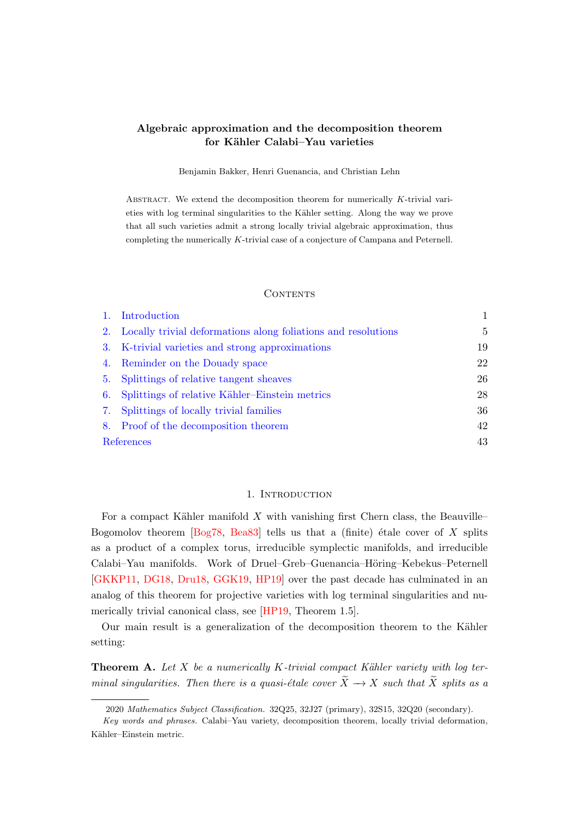# <span id="page-0-2"></span>Algebraic approximation and the decomposition theorem for Kähler Calabi-Yau varieties

Benjamin Bakker, Henri Guenancia, and Christian Lehn

ABSTRACT. We extend the decomposition theorem for numerically  $K$ -trivial varieties with log terminal singularities to the Kähler setting. Along the way we prove that all such varieties admit a strong locally trivial algebraic approximation, thus completing the numerically K-trivial case of a conjecture of Campana and Peternell.

### **CONTENTS**

| 1.         | Introduction                                                     |    |
|------------|------------------------------------------------------------------|----|
|            | 2. Locally trivial deformations along foliations and resolutions | 5  |
|            | 3. K-trivial varieties and strong approximations                 | 19 |
|            | 4. Reminder on the Douady space                                  | 22 |
|            | 5. Splittings of relative tangent sheaves                        | 26 |
|            | 6. Splittings of relative Kähler–Einstein metrics                | 28 |
|            | 7. Splittings of locally trivial families                        | 36 |
|            | 8. Proof of the decomposition theorem                            | 42 |
| References |                                                                  | 43 |

### 1. INTRODUCTION

<span id="page-0-0"></span>For a compact Kähler manifold  $X$  with vanishing first Chern class, the Beauville– Bogomolov theorem  $\left[\text{Bog78}, \text{Bea83}\right]$  tells us that a (finite) étale cover of X splits as a product of a complex torus, irreducible symplectic manifolds, and irreducible Calabi–Yau manifolds. Work of Druel–Greb–Guenancia–Höring–Kebekus–Peternell [\[GKKP11,](#page-44-0) [DG18,](#page-43-0) [Dru18,](#page-43-1) [GGK19,](#page-44-1) [HP19\]](#page-44-2) over the past decade has culminated in an analog of this theorem for projective varieties with log terminal singularities and numerically trivial canonical class, see [\[HP19,](#page-44-2) Theorem 1.5].

Our main result is a generalization of the decomposition theorem to the Kähler setting:

<span id="page-0-1"></span>**Theorem A.** Let  $X$  be a numerically  $K$ -trivial compact Kähler variety with log terminal singularities. Then there is a quasi-étale cover  $\widetilde{X} \to X$  such that  $\widetilde{X}$  splits as a

<sup>2020</sup> Mathematics Subject Classification. 32Q25, 32J27 (primary), 32S15, 32Q20 (secondary).

Key words and phrases. Calabi–Yau variety, decomposition theorem, locally trivial deformation, Kähler–Einstein metric.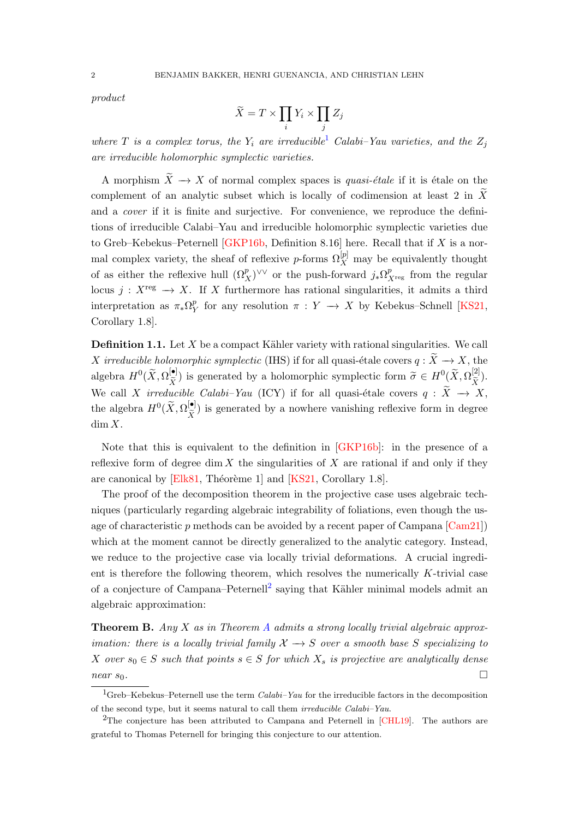<span id="page-1-3"></span>product

$$
\widetilde{X} = T \times \prod_i Y_i \times \prod_j Z_j
$$

where T is a complex torus, the  $Y_i$  are irreducible<sup>[1](#page-1-0)</sup> Calabi–Yau varieties, and the  $Z_i$ are irreducible holomorphic symplectic varieties.

A morphism  $\widetilde{X} \to X$  of normal complex spaces is *quasi-étale* if it is étale on the complement of an analytic subset which is locally of codimension at least 2 in  $\tilde{X}$ and a cover if it is finite and surjective. For convenience, we reproduce the definitions of irreducible Calabi–Yau and irreducible holomorphic symplectic varieties due to Greb–Kebekus–Peternell [\[GKP16b,](#page-44-3) Definition 8.16] here. Recall that if  $X$  is a normal complex variety, the sheaf of reflexive *p*-forms  $\Omega_X^{[p]}$  may be equivalently thought of as either the reflexive hull  $(\Omega_X^p)^{\vee \vee}$  or the push-forward  $j_*\Omega_{X^{\text{reg}}}^p$  from the regular locus j :  $X^{\text{reg}} \to X$ . If X furthermore has rational singularities, it admits a third interpretation as  $\pi_* \Omega^p$  $\frac{p}{Y}$  for any resolution  $\pi : Y \to X$  by Kebekus–Schnell [\[KS21,](#page-45-0) Corollary 1.8].

**Definition 1.1.** Let  $X$  be a compact Kähler variety with rational singularities. We call X irreducible holomorphic symplectic (IHS) if for all quasi-étale covers  $q : \widetilde{X} \to X$ , the algebra  $H^0(\widetilde{X}, \Omega_{\widetilde{X}}^{[\bullet]})$  is generated by a holomorphic symplectic form  $\widetilde{\sigma} \in H^0(\widetilde{X}, \Omega_{\widetilde{X}}^{[2]})$ .  $X^{\prime}$  is considered by a memorphic symptotic form  $\sigma \in \mathbb{R} \setminus \mathbb{R}$ ,  $X^{\prime}$ We call X irreducible Calabi–Yau (ICY) if for all quasi-étale covers  $q : X \to X$ , the algebra  $H^0(\widetilde{X}, \Omega_{\widetilde{X}}^{[\bullet]}$  $\boldsymbol{X}$ ) is generated by a nowhere vanishing reflexive form in degree  $\dim X$ .

Note that this is equivalent to the definition in [\[GKP16b\]](#page-44-3): in the presence of a reflexive form of degree dim  $X$  the singularities of  $X$  are rational if and only if they are canonical by [\[Elk81,](#page-43-2) Théorème 1] and [\[KS21,](#page-45-0) Corollary 1.8].

The proof of the decomposition theorem in the projective case uses algebraic techniques (particularly regarding algebraic integrability of foliations, even though the usage of characteristic p methods can be avoided by a recent paper of Campana [\[Cam21\]](#page-43-3)) which at the moment cannot be directly generalized to the analytic category. Instead, we reduce to the projective case via locally trivial deformations. A crucial ingredient is therefore the following theorem, which resolves the numerically K-trivial case of a conjecture of Campana–Peternell<sup>[2](#page-1-1)</sup> saying that Kähler minimal models admit an algebraic approximation:

<span id="page-1-2"></span>**Theorem B.** [A](#page-0-1)ny X as in Theorem A admits a strong locally trivial algebraic approximation: there is a locally trivial family  $\mathcal{X} \rightarrow S$  over a smooth base S specializing to X over  $s_0 \in S$  such that points  $s \in S$  for which  $X_s$  is projective are analytically dense  $near~s_0$ .

<span id="page-1-0"></span><sup>&</sup>lt;sup>1</sup>Greb–Kebekus–Peternell use the term *Calabi–Yau* for the irreducible factors in the decomposition of the second type, but it seems natural to call them irreducible Calabi–Yau.

<span id="page-1-1"></span><sup>2</sup>The conjecture has been attributed to Campana and Peternell in [\[CHL19\]](#page-43-4). The authors are grateful to Thomas Peternell for bringing this conjecture to our attention.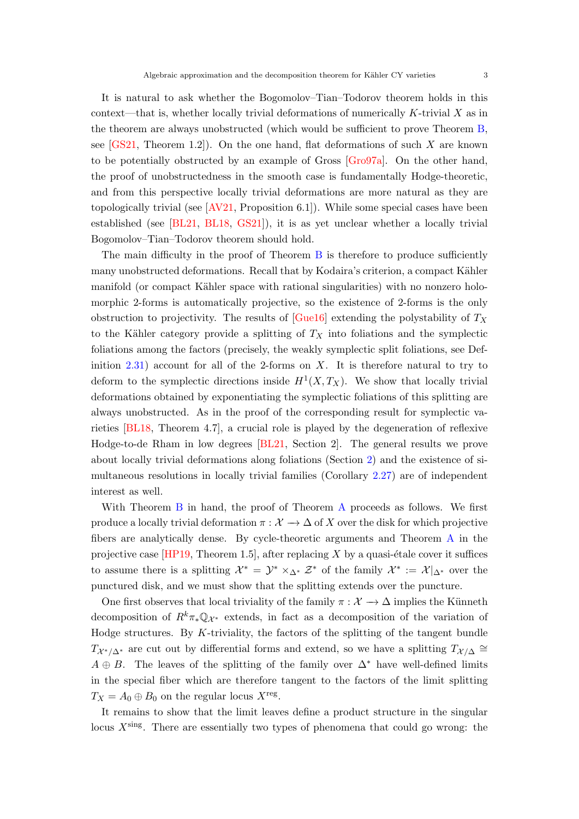<span id="page-2-0"></span>It is natural to ask whether the Bogomolov–Tian–Todorov theorem holds in this context—that is, whether locally trivial deformations of numerically  $K$ -trivial  $X$  as in the theorem are always unobstructed (which would be sufficient to prove Theorem [B,](#page-1-2) see  $[GS21, Theorem 1.2]$ . On the one hand, flat deformations of such X are known to be potentially obstructed by an example of Gross [\[Gro97a\]](#page-44-5). On the other hand, the proof of unobstructedness in the smooth case is fundamentally Hodge-theoretic, and from this perspective locally trivial deformations are more natural as they are topologically trivial (see  $[AV21, Proposition 6.1]$ ). While some special cases have been established (see [\[BL21,](#page-42-4) [BL18,](#page-42-5) [GS21\]](#page-44-4)), it is as yet unclear whether a locally trivial Bogomolov–Tian–Todorov theorem should hold.

The main difficulty in the proof of Theorem [B](#page-1-2) is therefore to produce sufficiently many unobstructed deformations. Recall that by Kodaira's criterion, a compact Kähler manifold (or compact Kähler space with rational singularities) with no nonzero holomorphic 2-forms is automatically projective, so the existence of 2-forms is the only obstruction to projectivity. The results of  $[Gue16]$  extending the polystability of  $T_X$ to the Kähler category provide a splitting of  $T_X$  into foliations and the symplectic foliations among the factors (precisely, the weakly symplectic split foliations, see Definition  $(2.31)$  $(2.31)$  account for all of the 2-forms on X. It is therefore natural to try to deform to the symplectic directions inside  $H^1(X,T_X)$ . We show that locally trivial deformations obtained by exponentiating the symplectic foliations of this splitting are always unobstructed. As in the proof of the corresponding result for symplectic varieties [\[BL18,](#page-42-5) Theorem 4.7], a crucial role is played by the degeneration of reflexive Hodge-to-de Rham in low degrees [\[BL21,](#page-42-4) Section 2]. The general results we prove about locally trivial deformations along foliations (Section [2\)](#page-4-0) and the existence of simultaneous resolutions in locally trivial families (Corollary [2.27\)](#page-12-0) are of independent interest as well.

With Theorem [B](#page-1-2) in hand, the proof of Theorem [A](#page-0-1) proceeds as follows. We first produce a locally trivial deformation  $\pi : \mathcal{X} \to \Delta$  of X over the disk for which projective fibers are analytically dense. By cycle-theoretic arguments and Theorem [A](#page-0-1) in the projective case  $[HP19, Theorem 1.5]$ , after replacing X by a quasi-étale cover it suffices to assume there is a splitting  $\mathcal{X}^* = \mathcal{Y}^* \times_{\Delta^*} \mathcal{Z}^*$  of the family  $\mathcal{X}^* := \mathcal{X}|_{\Delta^*}$  over the punctured disk, and we must show that the splitting extends over the puncture.

One first observes that local triviality of the family  $\pi : \mathcal{X} \to \Delta$  implies the Künneth decomposition of  $R^k \pi_* \mathbb{Q}_{\mathcal{X}^*}$  extends, in fact as a decomposition of the variation of Hodge structures. By  $K$ -triviality, the factors of the splitting of the tangent bundle  $T_{\mathcal{X}^*/\Delta^*}$  are cut out by differential forms and extend, so we have a splitting  $T_{\mathcal{X}/\Delta} \cong$  $A \oplus B$ . The leaves of the splitting of the family over  $\Delta^*$  have well-defined limits in the special fiber which are therefore tangent to the factors of the limit splitting  $T_X = A_0 \oplus B_0$  on the regular locus  $X^{\text{reg}}$ .

It remains to show that the limit leaves define a product structure in the singular locus  $X^{\text{sing}}$ . There are essentially two types of phenomena that could go wrong: the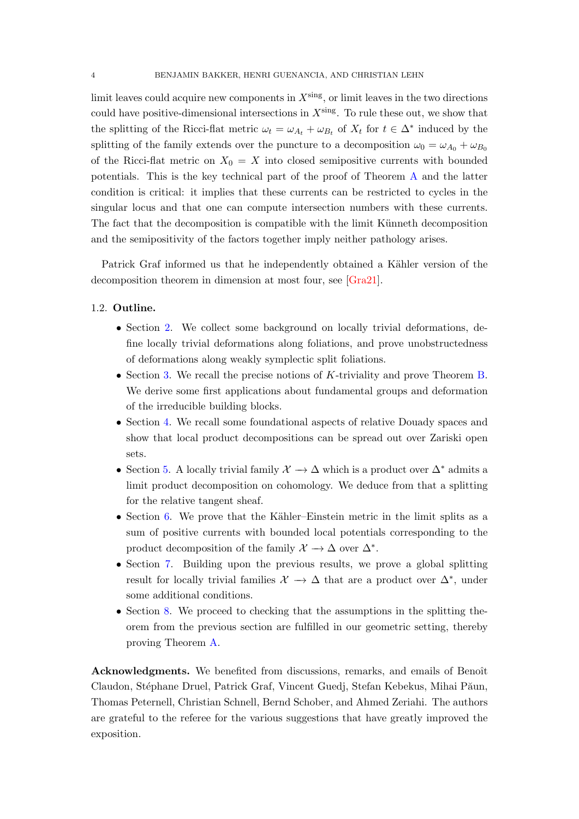<span id="page-3-0"></span>limit leaves could acquire new components in  $X^{\text{sing}}$ , or limit leaves in the two directions could have positive-dimensional intersections in  $X^{\text{sing}}$ . To rule these out, we show that the splitting of the Ricci-flat metric  $\omega_t = \omega_{A_t} + \omega_{B_t}$  of  $X_t$  for  $t \in \Delta^*$  induced by the splitting of the family extends over the puncture to a decomposition  $\omega_0 = \omega_{A_0} + \omega_{B_0}$ of the Ricci-flat metric on  $X_0 = X$  into closed semipositive currents with bounded potentials. This is the key technical part of the proof of Theorem [A](#page-0-1) and the latter condition is critical: it implies that these currents can be restricted to cycles in the singular locus and that one can compute intersection numbers with these currents. The fact that the decomposition is compatible with the limit Künneth decomposition and the semipositivity of the factors together imply neither pathology arises.

Patrick Graf informed us that he independently obtained a Kähler version of the decomposition theorem in dimension at most four, see [\[Gra21\]](#page-44-7).

#### 1.2. Outline.

- Section [2.](#page-4-0) We collect some background on locally trivial deformations, define locally trivial deformations along foliations, and prove unobstructedness of deformations along weakly symplectic split foliations.
- Section [3.](#page-18-0) We recall the precise notions of K-triviality and prove Theorem [B.](#page-1-2) We derive some first applications about fundamental groups and deformation of the irreducible building blocks.
- Section [4.](#page-21-0) We recall some foundational aspects of relative Douady spaces and show that local product decompositions can be spread out over Zariski open sets.
- Section [5.](#page-25-0) A locally trivial family  $\mathcal{X} \to \Delta$  which is a product over  $\Delta^*$  admits a limit product decomposition on cohomology. We deduce from that a splitting for the relative tangent sheaf.
- Section [6.](#page-27-0) We prove that the Kähler–Einstein metric in the limit splits as a sum of positive currents with bounded local potentials corresponding to the product decomposition of the family  $\mathcal{X} \to \Delta$  over  $\Delta^*$ .
- Section [7.](#page-35-0) Building upon the previous results, we prove a global splitting result for locally trivial families  $\mathcal{X} \to \Delta$  that are a product over  $\Delta^*$ , under some additional conditions.
- Section [8.](#page-41-0) We proceed to checking that the assumptions in the splitting theorem from the previous section are fulfilled in our geometric setting, thereby proving Theorem [A.](#page-0-1)

Acknowledgments. We benefited from discussions, remarks, and emails of Benoît Claudon, Stéphane Druel, Patrick Graf, Vincent Guedj, Stefan Kebekus, Mihai Păun, Thomas Peternell, Christian Schnell, Bernd Schober, and Ahmed Zeriahi. The authors are grateful to the referee for the various suggestions that have greatly improved the exposition.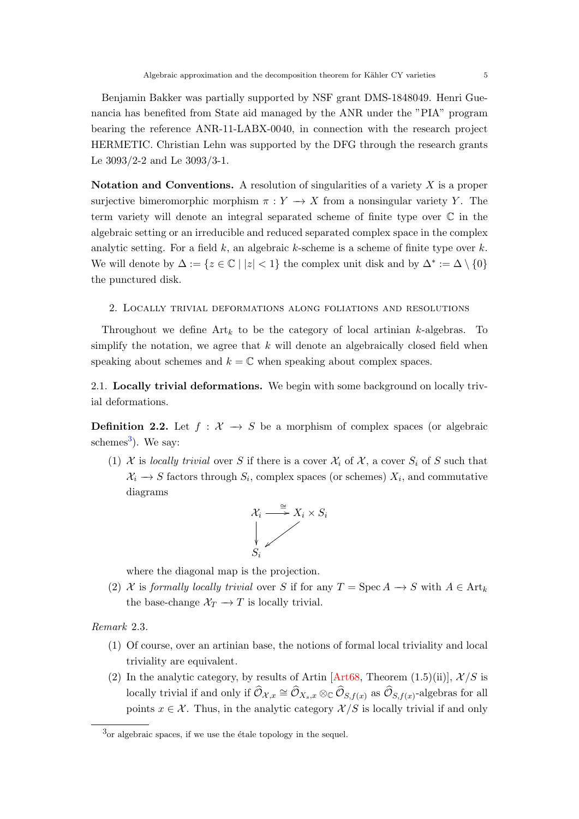<span id="page-4-2"></span>Benjamin Bakker was partially supported by NSF grant DMS-1848049. Henri Guenancia has benefited from State aid managed by the ANR under the "PIA" program bearing the reference ANR-11-LABX-0040, in connection with the research project HERMETIC. Christian Lehn was supported by the DFG through the research grants Le 3093/2-2 and Le 3093/3-1.

Notation and Conventions. A resolution of singularities of a variety  $X$  is a proper surjective bimeromorphic morphism  $\pi : Y \to X$  from a nonsingular variety Y. The term variety will denote an integral separated scheme of finite type over C in the algebraic setting or an irreducible and reduced separated complex space in the complex analytic setting. For a field  $k$ , an algebraic  $k$ -scheme is a scheme of finite type over  $k$ . We will denote by  $\Delta := \{z \in \mathbb{C} \mid |z| < 1\}$  the complex unit disk and by  $\Delta^* := \Delta \setminus \{0\}$ the punctured disk.

#### <span id="page-4-0"></span>2. Locally trivial deformations along foliations and resolutions

Throughout we define  $Art_k$  to be the category of local artinian k-algebras. To simplify the notation, we agree that  $k$  will denote an algebraically closed field when speaking about schemes and  $k = \mathbb{C}$  when speaking about complex spaces.

2.1. Locally trivial deformations. We begin with some background on locally trivial deformations.

**Definition 2.2.** Let  $f : \mathcal{X} \to S$  be a morphism of complex spaces (or algebraic schemes<sup>[3](#page-4-1)</sup>). We say:

(1) X is locally trivial over S if there is a cover  $\mathcal{X}_i$  of X, a cover  $S_i$  of S such that  $X_i \to S$  factors through  $S_i$ , complex spaces (or schemes)  $X_i$ , and commutative diagrams



where the diagonal map is the projection.

(2) X is formally locally trivial over S if for any  $T = \operatorname{Spec} A \to S$  with  $A \in \operatorname{Art}_k$ the base-change  $\mathcal{X}_T \longrightarrow T$  is locally trivial.

Remark 2.3.

- (1) Of course, over an artinian base, the notions of formal local triviality and local triviality are equivalent.
- (2) In the analytic category, by results of Artin [\[Art68,](#page-42-6) Theorem (1.5)(ii)],  $\mathcal{X}/S$  is locally trivial if and only if  $\widehat{\mathcal{O}}_{\mathcal{X},x} \cong \widehat{\mathcal{O}}_{X_s,x} \otimes_{\mathbb{C}} \widehat{\mathcal{O}}_{S,f(x)}$  as  $\widehat{\mathcal{O}}_{S,f(x)}$ -algebras for all points  $x \in \mathcal{X}$ . Thus, in the analytic category  $\mathcal{X}/S$  is locally trivial if and only

<span id="page-4-1"></span> $3<sup>3</sup>$ or algebraic spaces, if we use the étale topology in the sequel.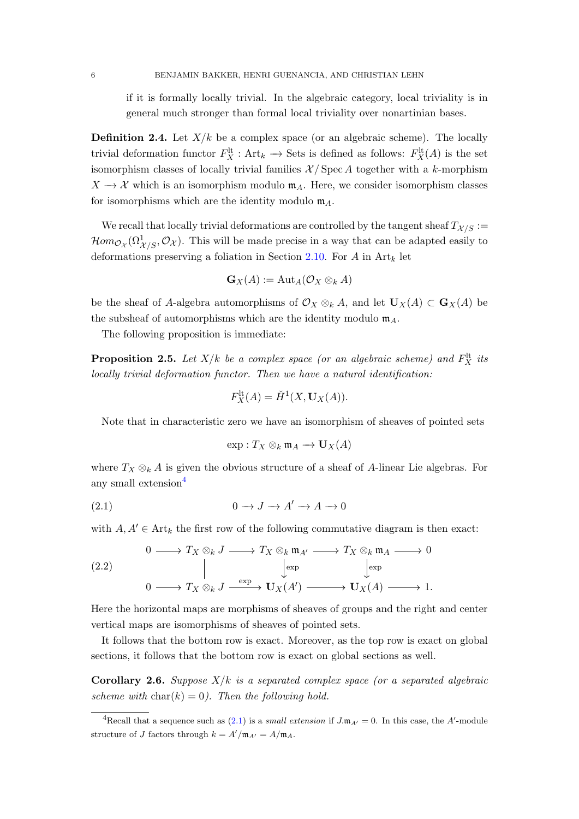if it is formally locally trivial. In the algebraic category, local triviality is in general much stronger than formal local triviality over nonartinian bases.

**Definition 2.4.** Let  $X/k$  be a complex space (or an algebraic scheme). The locally trivial deformation functor  $F_X^{\text{lt}}$ : Art<sub>k</sub>  $\to$  Sets is defined as follows:  $F_X^{\text{lt}}(A)$  is the set isomorphism classes of locally trivial families  $\mathcal{X}/\mathrm{Spec}\,A$  together with a k-morphism  $X \to \mathcal{X}$  which is an isomorphism modulo  $\mathfrak{m}_A$ . Here, we consider isomorphism classes for isomorphisms which are the identity modulo  $\mathfrak{m}_A$ .

We recall that locally trivial deformations are controlled by the tangent sheaf  $T_{\mathcal{X}/S}$  :=  $\mathcal{H}om_{\mathcal{O}_{\mathcal{X}}}(\Omega^1_{\mathcal{X}/S},\mathcal{O}_{\mathcal{X}})$ . This will be made precise in a way that can be adapted easily to deformations preserving a foliation in Section [2.10.](#page-7-0) For A in  $Art_k$  let

$$
\mathbf{G}_X(A) := \mathrm{Aut}_A(\mathcal{O}_X \otimes_k A)
$$

be the sheaf of A-algebra automorphisms of  $\mathcal{O}_X \otimes_k A$ , and let  $U_X(A) \subset G_X(A)$  be the subsheaf of automorphisms which are the identity modulo  $m_A$ .

The following proposition is immediate:

<span id="page-5-4"></span>**Proposition 2.5.** Let  $X/k$  be a complex space (or an algebraic scheme) and  $F_X^{\text{lt}}$  its locally trivial deformation functor. Then we have a natural identification:

$$
F_X^{\rm lt}(A) = \check{H}^1(X, \mathbf{U}_X(A)).
$$

Note that in characteristic zero we have an isomorphism of sheaves of pointed sets

<span id="page-5-1"></span>
$$
\exp: T_X \otimes_k \mathfrak{m}_A \to \mathbf{U}_X(A)
$$

where  $T_X \otimes_k A$  is given the obvious structure of a sheaf of A-linear Lie algebras. For any small extension<sup>[4](#page-5-0)</sup>

$$
(2.1) \t\t 0 \to J \to A' \to A \to 0
$$

with  $A, A' \in \text{Art}_k$  the first row of the following commutative diagram is then exact:

<span id="page-5-3"></span>(2.2) 
$$
0 \longrightarrow T_X \otimes_k J \longrightarrow T_X \otimes_k \mathfrak{m}_{A'} \longrightarrow T_X \otimes_k \mathfrak{m}_A \longrightarrow 0
$$

$$
\downarrow_{\text{exp}} \qquad \downarrow_{\text{exp}} \qquad \downarrow_{\text{exp}} \qquad 0 \longrightarrow T_X \otimes_k J \xrightarrow{\text{exp}} \mathbf{U}_X(A') \longrightarrow \mathbf{U}_X(A) \longrightarrow 1.
$$

Here the horizontal maps are morphisms of sheaves of groups and the right and center vertical maps are isomorphisms of sheaves of pointed sets.

It follows that the bottom row is exact. Moreover, as the top row is exact on global sections, it follows that the bottom row is exact on global sections as well.

<span id="page-5-2"></span>**Corollary 2.6.** Suppose  $X/k$  is a separated complex space (or a separated algebraic scheme with  $char(k) = 0$ . Then the following hold.

<span id="page-5-0"></span><sup>&</sup>lt;sup>4</sup>Recall that a sequence such as [\(2.1\)](#page-5-1) is a *small extension* if  $J \cdot \mathfrak{m}_{A'} = 0$ . In this case, the A'-module structure of J factors through  $k = A'/\mathfrak{m}_{A'} = A/\mathfrak{m}_A$ .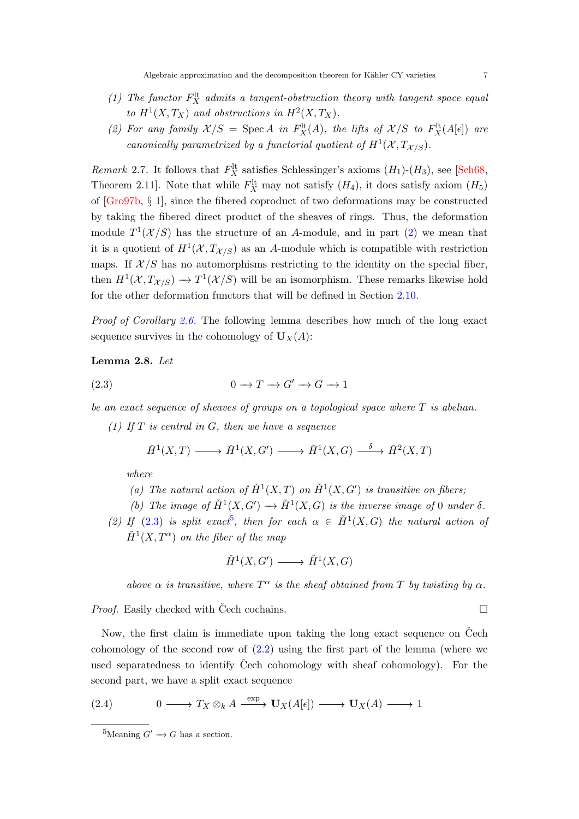- <span id="page-6-4"></span>(1) The functor  $F_X^{\text{lt}}$  admits a tangent-obstruction theory with tangent space equal to  $H^1(X, T_X)$  and obstructions in  $H^2(X, T_X)$ .
- <span id="page-6-0"></span>(2) For any family  $\mathcal{X}/S = \text{Spec } A$  in  $F_X^{\text{lt}}(A)$ , the lifts of  $\mathcal{X}/S$  to  $F_X^{\text{lt}}(A[\epsilon])$  are canonically parametrized by a functorial quotient of  $H^1(\mathcal{X}, T_{\mathcal{X}/S})$ .

<span id="page-6-3"></span>*Remark* 2.7. It follows that  $F_X^{\text{lt}}$  satisfies Schlessinger's axioms  $(H_1)-(H_3)$ , see [\[Sch68,](#page-45-1) Theorem 2.11]. Note that while  $F_X^{\text{lt}}$  may not satisfy  $(H_4)$ , it does satisfy axiom  $(H_5)$ of [\[Gro97b,](#page-44-8) § 1], since the fibered coproduct of two deformations may be constructed by taking the fibered direct product of the sheaves of rings. Thus, the deformation module  $T^1(\mathcal{X}/S)$  has the structure of an A-module, and in part [\(2\)](#page-6-0) we mean that it is a quotient of  $H^1(\mathcal{X}, T_{\mathcal{X}/S})$  as an A-module which is compatible with restriction maps. If  $\mathcal{X}/S$  has no automorphisms restricting to the identity on the special fiber, then  $H^1(\mathcal{X}, T_{\mathcal{X}/S}) \to T^1(\mathcal{X}/S)$  will be an isomorphism. These remarks likewise hold for the other deformation functors that will be defined in Section [2.10.](#page-7-0)

Proof of Corollary [2.6.](#page-5-2) The following lemma describes how much of the long exact sequence survives in the cohomology of  $U_X(A)$ :

# Lemma 2.8. Let

$$
(2.3) \t\t 0 \t \to T \t \to G' \t \to G \t \to 1
$$

be an exact sequence of sheaves of groups on a topological space where T is abelian.

(1) If  $T$  is central in  $G$ , then we have a sequence

<span id="page-6-1"></span>
$$
\check{H}^1(X,T) \longrightarrow \check{H}^1(X,G') \longrightarrow \check{H}^1(X,G) \stackrel{\delta}{\longrightarrow} \check{H}^2(X,T)
$$

where

- (a) The natural action of  $\check{H}^1(X,T)$  on  $\check{H}^1(X,G')$  is transitive on fibers;
- (b) The image of  $\check{H}^1(X, G') \to \check{H}^1(X, G)$  is the inverse image of 0 under  $\delta$ .
- (2) If [\(2.3\)](#page-6-1) is split exact<sup>[5](#page-6-2)</sup>, then for each  $\alpha \in \check{H}^1(X, G)$  the natural action of  $\check{H}^1(X, T^\alpha)$  on the fiber of the map

$$
\check{H}^1(X, G') \longrightarrow \check{H}^1(X, G)
$$

above  $\alpha$  is transitive, where  $T^{\alpha}$  is the sheaf obtained from T by twisting by  $\alpha$ .

*Proof.* Easily checked with Čech cochains.  $\square$ 

Now, the first claim is immediate upon taking the long exact sequence on Čech cohomology of the second row of  $(2.2)$  using the first part of the lemma (where we used separatedness to identify Cech cohomology with sheaf cohomology). For the second part, we have a split exact sequence

(2.4) 
$$
0 \longrightarrow T_X \otimes_k A \xrightarrow{\exp} \mathbf{U}_X(A[\epsilon]) \longrightarrow \mathbf{U}_X(A) \longrightarrow 1
$$

<span id="page-6-2"></span><sup>&</sup>lt;sup>5</sup>Meaning  $G' \to G$  has a section.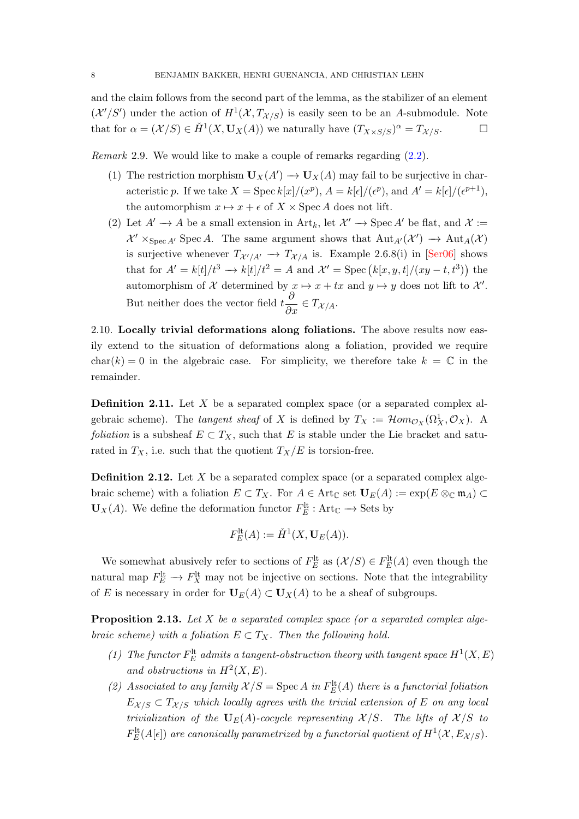<span id="page-7-2"></span>and the claim follows from the second part of the lemma, as the stabilizer of an element  $(\mathcal{X}'/S')$  under the action of  $H^1(\mathcal{X}, T_{\mathcal{X}/S})$  is easily seen to be an A-submodule. Note that for  $\alpha = (\mathcal{X}/S) \in \check{H}^1(X, \mathbf{U}_X(A))$  we naturally have  $(T_{X \times S/S})^{\alpha} = T_{\mathcal{X}/S}$ .

Remark 2.9. We would like to make a couple of remarks regarding [\(2.2\)](#page-5-3).

- (1) The restriction morphism  $\mathbf{U}_X(A') \to \mathbf{U}_X(A)$  may fail to be surjective in characteristic p. If we take  $X = \text{Spec } k[x]/(x^p)$ ,  $A = k[\epsilon]/(\epsilon^p)$ , and  $A' = k[\epsilon]/(\epsilon^{p+1})$ , the automorphism  $x \mapsto x + \epsilon$  of  $X \times \operatorname{Spec} A$  does not lift.
- (2) Let  $A' \to A$  be a small extension in Art<sub>k</sub>, let  $\mathcal{X}' \to \operatorname{Spec} A'$  be flat, and  $\mathcal{X} :=$  $\mathcal{X}' \times_{\text{Spec } A'} \text{Spec } A$ . The same argument shows that  $\text{Aut}_{A'}(\mathcal{X}') \to \text{Aut}_{A}(\mathcal{X})$ is surjective whenever  $T_{\mathcal{X}'/A'} \to T_{\mathcal{X}/A}$  is. Example 2.6.8(i) in [\[Ser06\]](#page-45-2) shows that for  $A' = k[t]/t^3 \rightarrow k[t]/t^2 = A$  and  $\mathcal{X}' = \text{Spec}(k[x, y, t]/(xy - t, t^3))$  the automorphism of X determined by  $x \mapsto x + tx$  and  $y \mapsto y$  does not lift to  $\mathcal{X}'$ . But neither does the vector field  $t \frac{\partial}{\partial x} \in T_{\mathcal{X}/A}$ .

<span id="page-7-0"></span>2.10. Locally trivial deformations along foliations. The above results now easily extend to the situation of deformations along a foliation, provided we require char(k) = 0 in the algebraic case. For simplicity, we therefore take  $k = \mathbb{C}$  in the remainder.

**Definition 2.11.** Let  $X$  be a separated complex space (or a separated complex algebraic scheme). The *tangent sheaf* of X is defined by  $T_X := \mathcal{H}om_{\mathcal{O}_X}(\Omega_X^1, \mathcal{O}_X)$ . A *foliation* is a subsheaf  $E \subset T_X$ , such that E is stable under the Lie bracket and saturated in  $T_X$ , i.e. such that the quotient  $T_X/E$  is torsion-free.

**Definition 2.12.** Let  $X$  be a separated complex space (or a separated complex algebraic scheme) with a foliation  $E \subset T_X$ . For  $A \in \text{Art}_{\mathbb{C}}$  set  $U_E(A) := \exp(E \otimes_{\mathbb{C}} \mathfrak{m}_A) \subset$  $U_X(A)$ . We define the deformation functor  $F_E^{\text{lt}}$ : Art<sub> $\mathbb{C} \to$  Sets by</sub>

$$
F_E^{\rm lt}(A) := \check{H}^1(X, \mathbf{U}_E(A)).
$$

We somewhat abusively refer to sections of  $F_E^{\text{lt}}$  as  $(\mathcal{X}/S) \in F_E^{\text{lt}}(A)$  even though the natural map  $F_E^{\text{lt}} \to F_X^{\text{lt}}$  may not be injective on sections. Note that the integrability of E is necessary in order for  $U_E(A) \subset U_X(A)$  to be a sheaf of subgroups.

<span id="page-7-1"></span>**Proposition 2.13.** Let X be a separated complex space (or a separated complex algebraic scheme) with a foliation  $E \subset T_X$ . Then the following hold.

- (1) The functor  $F_E^{\text{lt}}$  admits a tangent-obstruction theory with tangent space  $H^1(X, E)$ and obstructions in  $H^2(X, E)$ .
- (2) Associated to any family  $\mathcal{X}/S = \text{Spec}\, A$  in  $F_E^{\text{lt}}(A)$  there is a functorial foliation  $E_{X/S} \subset T_{X/S}$  which locally agrees with the trivial extension of E on any local trivialization of the  $U_E(A)$ -cocycle representing  $X/S$ . The lifts of  $X/S$  to  $F_{E}^{\rm{lt}}(A[\epsilon])$  are canonically parametrized by a functorial quotient of  $H^{1}(\mathcal{X},E_{\mathcal{X}/S}).$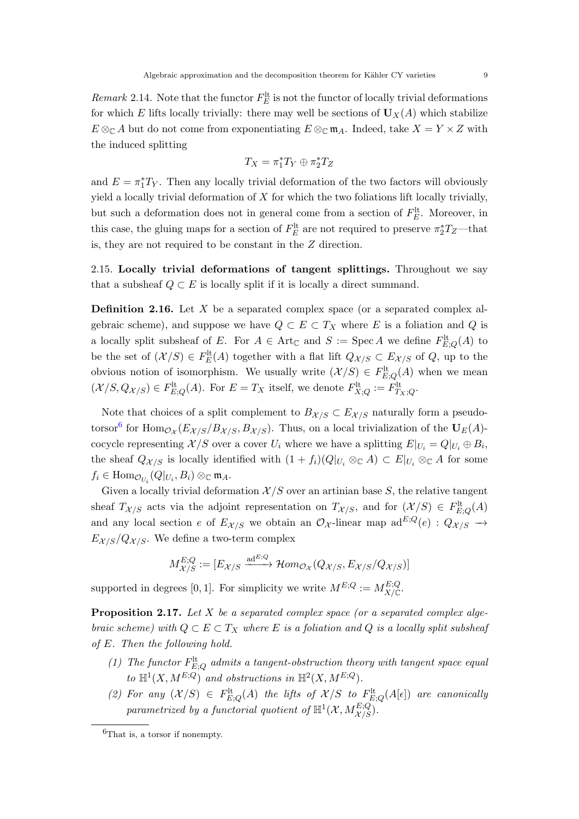Remark 2.14. Note that the functor  $F_E^{\text{lt}}$  is not the functor of locally trivial deformations for which E lifts locally trivially: there may well be sections of  $U_X(A)$  which stabilize  $E \otimes_{\mathbb{C}} A$  but do not come from exponentiating  $E \otimes_{\mathbb{C}} \mathfrak{m}_A$ . Indeed, take  $X = Y \times Z$  with the induced splitting

$$
T_X = \pi_1^* T_Y \oplus \pi_2^* T_Z
$$

and  $E = \pi_1^* T_Y$ . Then any locally trivial deformation of the two factors will obviously yield a locally trivial deformation of  $X$  for which the two foliations lift locally trivially, but such a deformation does not in general come from a section of  $F_E^{\text{lt}}$ . Moreover, in this case, the gluing maps for a section of  $F_E^{\text{lt}}$  are not required to preserve  $\pi_2^* T_Z$ —that is, they are not required to be constant in the Z direction.

2.15. Locally trivial deformations of tangent splittings. Throughout we say that a subsheaf  $Q \subset E$  is locally split if it is locally a direct summand.

Definition 2.16. Let X be a separated complex space (or a separated complex algebraic scheme), and suppose we have  $Q \subset E \subset T_X$  where E is a foliation and Q is a locally split subsheaf of E. For  $A \in \text{Art}_{\mathbb{C}}$  and  $S := \text{Spec } A$  we define  $F_{E,Q}^{\text{lt}}(A)$  to be the set of  $(\mathcal{X}/S) \in F_E^{\text{lt}}(A)$  together with a flat lift  $Q_{\mathcal{X}/S} \subset E_{\mathcal{X}/S}$  of  $Q$ , up to the obvious notion of isomorphism. We usually write  $(\mathcal{X}/S) \in F^{\text{lt}}_{E,Q}(A)$  when we mean  $(\mathcal{X}/S, Q_{\mathcal{X}/S}) \in F^{\text{lt}}_{E;Q}(A)$ . For  $E = T_X$  itself, we denote  $F^{\text{lt}}_{X;Q} := F^{\text{lt}}_{T_X;Q}$ .

Note that choices of a split complement to  $B_{\mathcal{X}/S} \subset E_{\mathcal{X}/S}$  naturally form a pseudo-torsor<sup>[6](#page-8-0)</sup> for  $\text{Hom}_{\mathcal{O}_{\mathcal{X}}}(E_{\mathcal{X}/S}/B_{\mathcal{X}/S},B_{\mathcal{X}/S})$ . Thus, on a local trivialization of the  $U_E(A)$ cocycle representing  $\mathcal{X}/S$  over a cover  $U_i$  where we have a splitting  $E|_{U_i} = Q|_{U_i} \oplus B_i$ , the sheaf  $Q_{\mathcal{X}/S}$  is locally identified with  $(1 + f_i)(Q|_{U_i} \otimes_{\mathbb{C}} A) \subset E|_{U_i} \otimes_{\mathbb{C}} A$  for some  $f_i \in \text{Hom}_{\mathcal{O}_{U_i}}(Q|_{U_i}, B_i) \otimes_{\mathbb{C}} \mathfrak{m}_A.$ 

Given a locally trivial deformation  $\mathcal{X}/S$  over an artinian base S, the relative tangent sheaf  $T_{\mathcal{X}/S}$  acts via the adjoint representation on  $T_{\mathcal{X}/S}$ , and for  $(\mathcal{X}/S) \in F_{E,Q}^{\text{lt}}(A)$ and any local section e of  $E_{\mathcal{X}/S}$  we obtain an  $\mathcal{O}_{\mathcal{X}}$ -linear map  $ad^{E;Q}(e)$  :  $Q_{\mathcal{X}/S}$  →  $E_{\mathcal{X}/S}/Q_{\mathcal{X}/S}$ . We define a two-term complex

$$
M_{\mathcal{X}/S}^{E;Q} := [E_{\mathcal{X}/S} \xrightarrow{\mathrm{ad}^{E;Q}} \mathcal{H}om_{\mathcal{O}_{\mathcal{X}}}(Q_{\mathcal{X}/S}, E_{\mathcal{X}/S}/Q_{\mathcal{X}/S})]
$$

supported in degrees [0, 1]. For simplicity we write  $M^{E,Q} := M_{X/\mathbb{C}}^{E,Q}$ .

<span id="page-8-1"></span>**Proposition 2.17.** Let  $X$  be a separated complex space (or a separated complex algebraic scheme) with  $Q \subset E \subset T_X$  where E is a foliation and Q is a locally split subsheaf of E. Then the following hold.

- (1) The functor  $F_{E;Q}^{\text{lt}}$  admits a tangent-obstruction theory with tangent space equal to  $\mathbb{H}^1(X, M^{E;Q})$  and obstructions in  $\mathbb{H}^2(X, M^{E;Q})$ .
- (2) For any  $(\mathcal{X}/S) \in F_{E;Q}^{\text{lt}}(A)$  the lifts of  $\mathcal{X}/S$  to  $F_{E;Q}^{\text{lt}}(A[\epsilon])$  are canonically parametrized by a functorial quotient of  $\mathbb{H}^{1}(\mathcal{X},M_{\mathcal{X}/S}^{E;Q}).$

<span id="page-8-0"></span> ${}^{6}$ That is, a torsor if nonempty.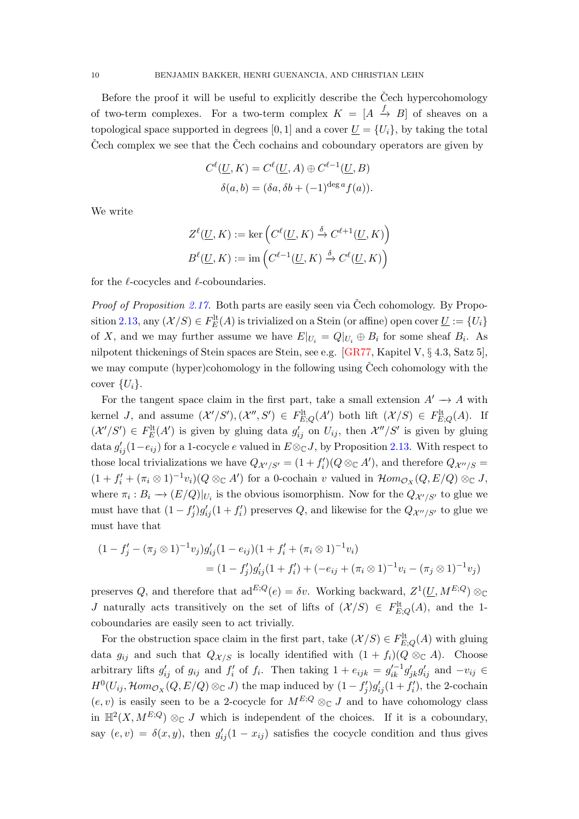<span id="page-9-0"></span>Before the proof it will be useful to explicitly describe the  $\text{C}$ ech hypercohomology of two-term complexes. For a two-term complex  $K = [A \stackrel{f}{\rightarrow} B]$  of sheaves on a topological space supported in degrees [0, 1] and a cover  $U = \{U_i\}$ , by taking the total Cech complex we see that the Cech cochains and coboundary operators are given by

$$
C^{\ell}(\underline{U}, K) = C^{\ell}(\underline{U}, A) \oplus C^{\ell-1}(\underline{U}, B)
$$

$$
\delta(a, b) = (\delta a, \delta b + (-1)^{\deg a} f(a)).
$$

We write

$$
Z^{\ell}(\underline{U}, K) := \ker \left( C^{\ell}(\underline{U}, K) \xrightarrow{\delta} C^{\ell+1}(\underline{U}, K) \right)
$$

$$
B^{\ell}(\underline{U}, K) := \operatorname{im} \left( C^{\ell-1}(\underline{U}, K) \xrightarrow{\delta} C^{\ell}(\underline{U}, K) \right)
$$

for the  $\ell$ -cocycles and  $\ell$ -coboundaries.

*Proof of Proposition [2.17.](#page-8-1)* Both parts are easily seen via Čech cohomology. By Propo-sition [2.13,](#page-7-1) any  $(\mathcal{X}/S) \in F_E^{\text{lt}}(A)$  is trivialized on a Stein (or affine) open cover  $\underline{U} := \{U_i\}$ of X, and we may further assume we have  $E|_{U_i} = Q|_{U_i} \oplus B_i$  for some sheaf  $B_i$ . As nilpotent thickenings of Stein spaces are Stein, see e.g. [\[GR77,](#page-44-9) Kapitel V, § 4.3, Satz 5], we may compute (hyper)cohomology in the following using  $\check{C}$ ech cohomology with the cover  $\{U_i\}.$ 

For the tangent space claim in the first part, take a small extension  $A' \rightarrow A$  with kernel *J*, and assume  $(\mathcal{X}'/S')$ ,  $(\mathcal{X}'', S') \in F_{E,Q}^{\text{lt}}(A')$  both lift  $(\mathcal{X}/S) \in F_{E,Q}^{\text{lt}}(A)$ . If  $(\mathcal{X}'/S') \in F_{E}^{\text{lt}}(A')$  is given by gluing data  $g'_{ij}$  on  $U_{ij}$ , then  $\mathcal{X}''/S'$  is given by gluing data  $g'_{ij}(1-e_{ij})$  for a 1-cocycle e valued in  $E \otimes_{\mathbb{C}} J$ , by Proposition [2.13.](#page-7-1) With respect to those local trivializations we have  $Q_{\mathcal{X}'/S'} = (1 + f'_i)(Q \otimes_{\mathbb{C}} A')$ , and therefore  $Q_{\mathcal{X}''/S} =$  $(1 + f'_i + (\pi_i \otimes 1)^{-1}v_i)(Q \otimes_{\mathbb{C}} A')$  for a 0-cochain v valued in  $\mathcal{H}om_{\mathcal{O}_X}(Q, E/Q) \otimes_{\mathbb{C}} J$ , where  $\pi_i : B_i \to (E/Q)|_{U_i}$  is the obvious isomorphism. Now for the  $Q_{\mathcal{X}'/S'}$  to glue we must have that  $(1 - f'_j)g'_{ij}(1 + f'_i)$  preserves Q, and likewise for the  $Q_{\mathcal{X}''/S'}$  to glue we must have that

$$
(1 - f'_j - (\pi_j \otimes 1)^{-1} v_j) g'_{ij} (1 - e_{ij}) (1 + f'_i + (\pi_i \otimes 1)^{-1} v_i)
$$
  
= 
$$
(1 - f'_j) g'_{ij} (1 + f'_i) + (-e_{ij} + (\pi_i \otimes 1)^{-1} v_i - (\pi_j \otimes 1)^{-1} v_j)
$$

preserves Q, and therefore that ad<sup>E;Q</sup>(e) =  $\delta v$ . Working backward,  $Z^1(\underline{U}, M^{E;Q}) \otimes_{\mathbb{C}}$ J naturally acts transitively on the set of lifts of  $(\mathcal{X}/S) \in F_{E,Q}^{\text{lt}}(A)$ , and the 1coboundaries are easily seen to act trivially.

For the obstruction space claim in the first part, take  $(\mathcal{X}/S) \in F_{E,Q}^{\text{lt}}(A)$  with gluing data  $g_{ij}$  and such that  $Q_{\mathcal{X}/S}$  is locally identified with  $(1 + f_i)(Q \otimes_{\mathbb{C}} A)$ . Choose arbitrary lifts  $g'_{ij}$  of  $g_{ij}$  and  $f'_i$  of  $f_i$ . Then taking  $1 + e_{ijk} = g'_{ik}^{-1} g'_{jk} g'_{ij}$  and  $-v_{ij} \in$  $H^0(U_{ij}, \mathcal{H}om_{\mathcal{O}_X}(Q, E/Q) \otimes_{\mathbb{C}} J)$  the map induced by  $(1 - f'_j)g'_{ij}(1 + f'_i)$ , the 2-cochain  $(e, v)$  is easily seen to be a 2-cocycle for  $M^{E,Q} \otimes_{\mathbb{C}} J$  and to have cohomology class in  $\mathbb{H}^2(X, M^{E,Q}) \otimes_{\mathbb{C}} J$  which is independent of the choices. If it is a coboundary, say  $(e, v) = \delta(x, y)$ , then  $g'_{ij}(1 - x_{ij})$  satisfies the cocycle condition and thus gives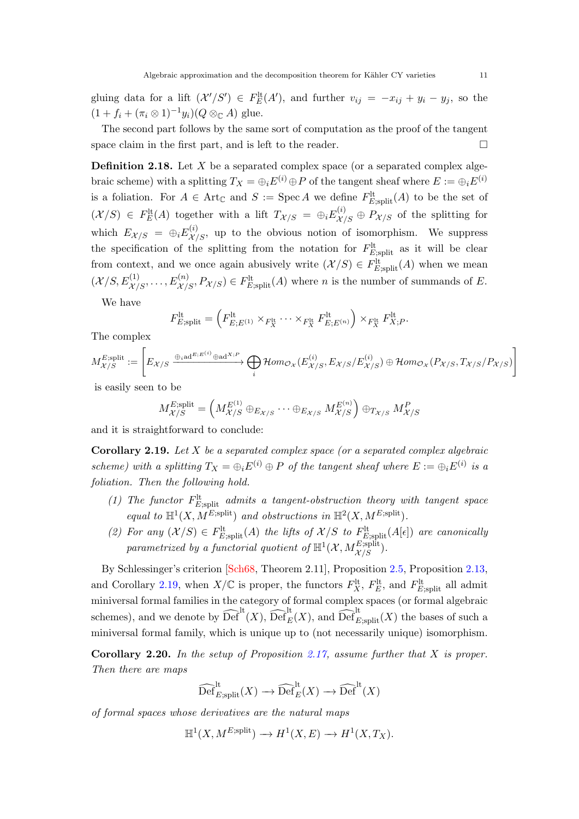<span id="page-10-2"></span>gluing data for a lift  $(\mathcal{X}'/S') \in F_E^{\text{lt}}(A')$ , and further  $v_{ij} = -x_{ij} + y_i - y_j$ , so the  $(1 + f_i + (\pi_i \otimes 1)^{-1} y_i)(Q \otimes_{\mathbb{C}} A)$  glue.

The second part follows by the same sort of computation as the proof of the tangent space claim in the first part, and is left to the reader.  $\Box$ 

**Definition 2.18.** Let  $X$  be a separated complex space (or a separated complex algebraic scheme) with a splitting  $T_X = \bigoplus_i E^{(i)} \oplus P$  of the tangent sheaf where  $E := \bigoplus_i E^{(i)}$ is a foliation. For  $A \in \text{Art}_{\mathbb{C}}$  and  $S := \text{Spec } A$  we define  $F_{E; \text{split}}^{\text{lt}}(A)$  to be the set of  $(X/S) \in F_E^{\text{lt}}(A)$  together with a lift  $T_{X/S} = \bigoplus_i E_{X/S}^{(i)} \oplus P_{X/S}$  of the splitting for which  $E_{\mathcal{X}/S} = \bigoplus_i E^{(i)}_{\mathcal{X}/S}$ , up to the obvious notion of isomorphism. We suppress the specification of the splitting from the notation for  $F_{E;split}^{\text{lt}}$  as it will be clear from context, and we once again abusively write  $(\mathcal{X}/S) \in F_{E;split}^{lt}(A)$  when we mean  $(\mathcal{X}/S, E^{(1)}_{\mathcal{X}/S}, \ldots, E^{(n)}_{\mathcal{X}/S}, P_{\mathcal{X}/S}) \in F^{\text{lt}}_{E; \text{split}}(A)$  where *n* is the number of summands of *E*.

We have

$$
F_{E;\text{split}}^{\text{lt}} = \left(F_{E;E^{(1)}}^{\text{lt}} \times_{F_X^{\text{lt}}} \cdots \times_{F_X^{\text{lt}}} F_{E;E^{(n)}}^{\text{lt}}\right) \times_{F_X^{\text{lt}}} F_X^{\text{lt}}.
$$

The complex

$$
M_{\mathcal{X}/S}^{E;\text{split}} := \left[ E_{\mathcal{X}/S} \xrightarrow{\oplus_i \text{ad}^{E; E^{(i)}} \oplus \text{ad}^{X; P}} \bigoplus_i \mathcal{H}om_{\mathcal{O}_{\mathcal{X}}}(E_{\mathcal{X}/S}^{(i)}, E_{\mathcal{X}/S}/E_{\mathcal{X}/S}^{(i)}) \oplus \mathcal{H}om_{\mathcal{O}_{\mathcal{X}}}(P_{\mathcal{X}/S}, T_{\mathcal{X}/S}/P_{\mathcal{X}/S}) \right]
$$

is easily seen to be

$$
M_{\mathcal{X}/S}^{E;\text{split}} = \left( M_{\mathcal{X}/S}^{E^{(1)}} \oplus_{E_{\mathcal{X}/S}} \cdots \oplus_{E_{\mathcal{X}/S}} M_{\mathcal{X}/S}^{E^{(n)}} \right) \oplus_{T_{\mathcal{X}/S}} M_{\mathcal{X}/S}^{P}
$$

and it is straightforward to conclude:

<span id="page-10-0"></span>**Corollary 2.19.** Let  $X$  be a separated complex space (or a separated complex algebraic scheme) with a splitting  $T_X = \bigoplus_i E^{(i)} \oplus P$  of the tangent sheaf where  $E := \bigoplus_i E^{(i)}$  is a foliation. Then the following hold.

- (1) The functor  $F_{E;\text{split}}^{\text{lt}}$  admits a tangent-obstruction theory with tangent space equal to  $\mathbb{H}^1(X, M^{E;split})$  and obstructions in  $\mathbb{H}^2(X, M^{E;split})$ .
- (2) For any  $(X/S) \in F_{E,split}^{\text{lt}}(A)$  the lifts of  $X/S$  to  $F_{E,split}^{\text{lt}}(A[\epsilon])$  are canonically parametrized by a functorial quotient of  $\mathbb{H}^1(\mathcal{X}, M_{\mathcal{X}/S}^{E; \text{split}})$ .

By Schlessinger's criterion [\[Sch68,](#page-45-1) Theorem 2.11], Proposition [2.5,](#page-5-4) Proposition [2.13,](#page-7-1) and Corollary [2.19,](#page-10-0) when  $X/\mathbb{C}$  is proper, the functors  $F_X^{\text{lt}}$ ,  $F_E^{\text{lt}}$ , and  $F_{E;\text{split}}^{\text{lt}}$  all admit miniversal formal families in the category of formal complex spaces (or formal algebraic schemes), and we denote by  $\widehat{\text{Def}}^{\text{lt}}(X)$ ,  $\widehat{\text{Def}}^{\text{lt}}_{E}(X)$ , and  $\widehat{\text{Def}}^{\text{lt}}_{E;\text{split}}(X)$  the bases of such a miniversal formal family, which is unique up to (not necessarily unique) isomorphism.

<span id="page-10-1"></span>**Corollary 2.20.** In the setup of Proposition [2.17,](#page-8-1) assume further that X is proper. Then there are maps

$$
\widehat{\text{Def}}_{E; \text{split}}^{\text{lt}}(X) \longrightarrow \widehat{\text{Def}}_E^{\text{lt}}(X) \longrightarrow \widehat{\text{Def}}^{\text{lt}}(X)
$$

of formal spaces whose derivatives are the natural maps

$$
\mathbb{H}^1(X, M^{E;\text{split}}) \to H^1(X, E) \to H^1(X, T_X).
$$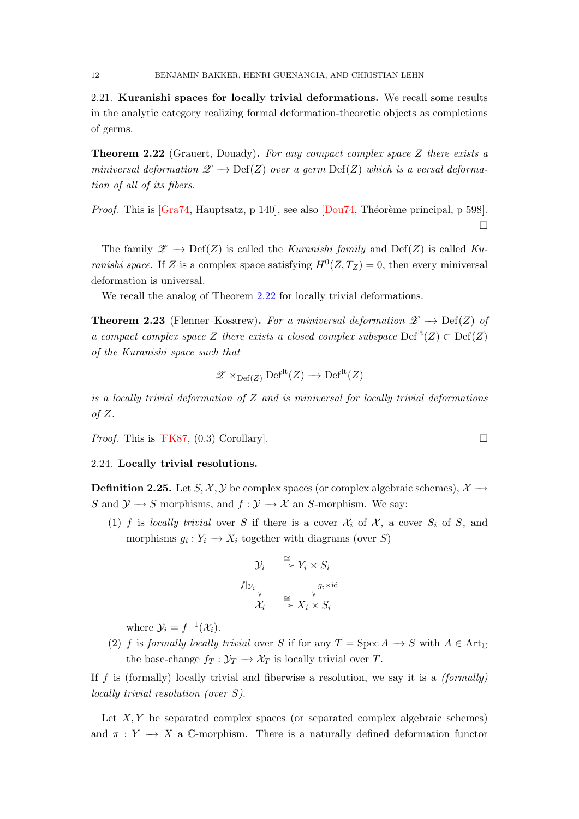<span id="page-11-2"></span>2.21. Kuranishi spaces for locally trivial deformations. We recall some results in the analytic category realizing formal deformation-theoretic objects as completions of germs.

<span id="page-11-0"></span>Theorem 2.22 (Grauert, Douady). For any compact complex space Z there exists a miniversal deformation  $\mathscr{Z} \longrightarrow \mathrm{Def}(Z)$  over a germ  $\mathrm{Def}(Z)$  which is a versal deformation of all of its fibers.

*Proof.* This is  $[Gra74, Hauptsatz, p 140]$ , see also  $[Dou74, Théorème principal, p 598]$ .  $\Box$ 

The family  $\mathscr{Z} \to \mathrm{Def}(Z)$  is called the Kuranishi family and  $\mathrm{Def}(Z)$  is called Kuranishi space. If Z is a complex space satisfying  $H^0(Z, T_Z) = 0$ , then every miniversal deformation is universal.

We recall the analog of Theorem [2.22](#page-11-0) for locally trivial deformations.

<span id="page-11-1"></span>**Theorem 2.23** (Flenner–Kosarew). For a miniversal deformation  $\mathscr{Z} \longrightarrow \mathrm{Def}(Z)$  of a compact complex space Z there exists a closed complex subspace  $\mathrm{Def}^{\mathrm{lt}}(Z) \subset \mathrm{Def}(Z)$ of the Kuranishi space such that

$$
\mathscr{Z} \times_{\mathrm{Def}(Z)} \mathrm{Def}^{\mathrm{lt}}(Z) \longrightarrow \mathrm{Def}^{\mathrm{lt}}(Z)
$$

is a locally trivial deformation of  $Z$  and is miniversal for locally trivial deformations of  $Z$ .

*Proof.* This is [\[FK87,](#page-43-6) (0.3) Corollary].

#### 2.24. Locally trivial resolutions.

**Definition 2.25.** Let  $S, \mathcal{X}, \mathcal{Y}$  be complex spaces (or complex algebraic schemes),  $\mathcal{X} \rightarrow$ S and  $\mathcal{Y} \to S$  morphisms, and  $f : \mathcal{Y} \to \mathcal{X}$  an S-morphism. We say:

(1) f is locally trivial over S if there is a cover  $\mathcal{X}_i$  of  $\mathcal{X}_i$ , a cover  $S_i$  of S, and morphisms  $g_i: Y_i \longrightarrow X_i$  together with diagrams (over S)

$$
\mathcal{Y}_i \xrightarrow{\cong} Y_i \times S_i
$$
\n
$$
f|_{\mathcal{Y}_i} \downarrow \qquad \qquad \downarrow g_i \times \mathrm{id}
$$
\n
$$
\mathcal{X}_i \xrightarrow{\cong} X_i \times S_i
$$

where  $\mathcal{Y}_i = f^{-1}(\mathcal{X}_i)$ .

(2) f is formally locally trivial over S if for any  $T = \operatorname{Spec} A \to S$  with  $A \in \operatorname{Art}_{\mathbb{C}}$ the base-change  $f_T : \mathcal{Y}_T \to \mathcal{X}_T$  is locally trivial over T.

If  $f$  is (formally) locally trivial and fiberwise a resolution, we say it is a  $(formally)$ locally trivial resolution (over S).

Let  $X, Y$  be separated complex spaces (or separated complex algebraic schemes) and  $\pi : Y \longrightarrow X$  a C-morphism. There is a naturally defined deformation functor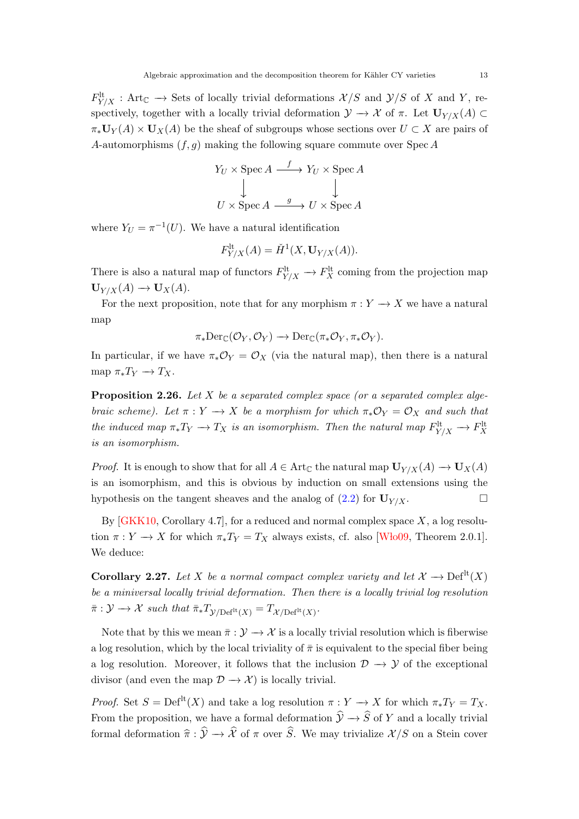<span id="page-12-2"></span> $F^{\rm lt}_{Y/X}$ : Art<sub>C</sub>  $\rightarrow$  Sets of locally trivial deformations  $\mathcal{X}/S$  and  $\mathcal{Y}/S$  of X and Y, respectively, together with a locally trivial deformation  $\mathcal{Y} \to \mathcal{X}$  of  $\pi$ . Let  $\mathbf{U}_{Y/X}(A) \subset$  $\pi_*\mathbf{U}_Y(A)\times\mathbf{U}_X(A)$  be the sheaf of subgroups whose sections over  $U\subset X$  are pairs of A-automorphisms  $(f, q)$  making the following square commute over Spec A

$$
Y_U \times \operatorname{Spec} A \xrightarrow{f} Y_U \times \operatorname{Spec} A
$$
  

$$
\downarrow \qquad \qquad \downarrow
$$
  

$$
U \times \operatorname{Spec} A \xrightarrow{g} U \times \operatorname{Spec} A
$$

where  $Y_U = \pi^{-1}(U)$ . We have a natural identification

$$
F_{Y/X}^{\mathrm{lt}}(A) = \check{H}^1(X, \mathbf{U}_{Y/X}(A)).
$$

There is also a natural map of functors  $F_{Y/X}^{\text{lt}} \to F_X^{\text{lt}}$  coming from the projection map  $\mathbf{U}_{Y/X}(A) \longrightarrow \mathbf{U}_X(A).$ 

For the next proposition, note that for any morphism  $\pi : Y \longrightarrow X$  we have a natural map

$$
\pi_*\mathrm{Der}_{\mathbb{C}}(\mathcal{O}_Y,\mathcal{O}_Y)\longrightarrow \mathrm{Der}_{\mathbb{C}}(\pi_*\mathcal{O}_Y,\pi_*\mathcal{O}_Y).
$$

In particular, if we have  $\pi_*\mathcal{O}_Y = \mathcal{O}_X$  (via the natural map), then there is a natural map  $\pi_* T_Y \to T_X$ .

<span id="page-12-1"></span>**Proposition 2.26.** Let X be a separated complex space (or a separated complex algebraic scheme). Let  $\pi : Y \to X$  be a morphism for which  $\pi_* \mathcal{O}_Y = \mathcal{O}_X$  and such that the induced map  $\pi_* T_Y \to T_X$  is an isomorphism. Then the natural map  $F^{\text{lt}}_{Y/X} \to F^{\text{lt}}_X$ is an isomorphism.

*Proof.* It is enough to show that for all  $A \in Art_{\mathbb{C}}$  the natural map  $U_{Y/X}(A) \to U_X(A)$ is an isomorphism, and this is obvious by induction on small extensions using the hypothesis on the tangent sheaves and the analog of  $(2.2)$  for  $\mathbf{U}_{Y/X}$ .

By  $GKK10$ , Corollary 4.7, for a reduced and normal complex space  $X$ , a log resolution  $\pi: Y \to X$  for which  $\pi_* T_Y = T_X$  always exists, cf. also [Wło09, Theorem 2.0.1]. We deduce:

<span id="page-12-0"></span>Corollary 2.27. Let X be a normal compact complex variety and let  $\mathcal{X} \longrightarrow \mathrm{Def}^{\mathrm{lt}}(X)$ be a miniversal locally trivial deformation. Then there is a locally trivial log resolution  $\bar{\pi}: \mathcal{Y} \longrightarrow \mathcal{X}$  such that  $\bar{\pi}_* T_{\mathcal{Y}/\mathrm{Def}^{\mathrm{lt}}(X)} = T_{\mathcal{X}/\mathrm{Def}^{\mathrm{lt}}(X)}.$ 

Note that by this we mean  $\bar{\pi}: \mathcal{Y} \to \mathcal{X}$  is a locally trivial resolution which is fiberwise a log resolution, which by the local triviality of  $\bar{\pi}$  is equivalent to the special fiber being a log resolution. Moreover, it follows that the inclusion  $\mathcal{D} \rightarrow \mathcal{Y}$  of the exceptional divisor (and even the map  $\mathcal{D} \rightarrow \mathcal{X}$ ) is locally trivial.

*Proof.* Set  $S = Def^{lt}(X)$  and take a log resolution  $\pi : Y \to X$  for which  $\pi_* T_Y = T_X$ . From the proposition, we have a formal deformation  $\hat{y} \rightarrow \hat{S}$  of Y and a locally trivial formal deformation  $\hat{\pi} : \hat{\mathcal{Y}} \to \hat{\mathcal{X}}$  of  $\pi$  over  $\hat{S}$ . We may trivialize  $\mathcal{X}/S$  on a Stein cover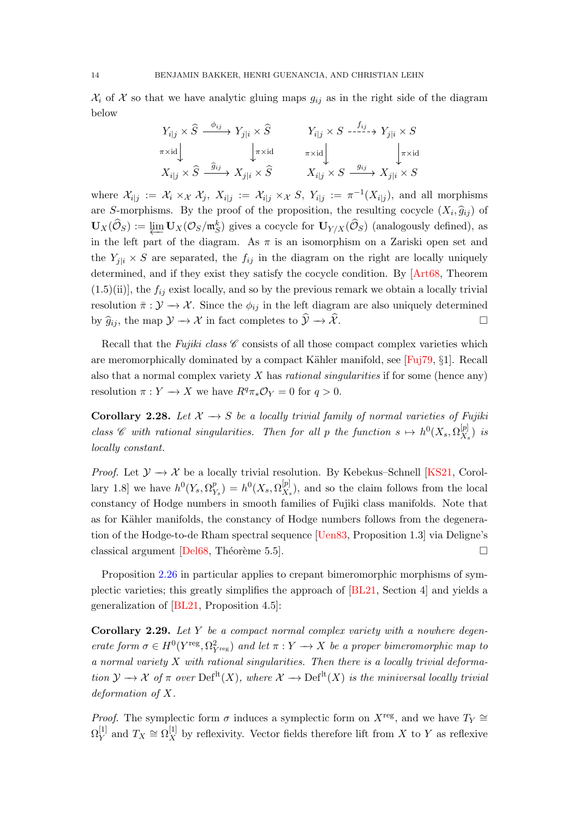<span id="page-13-1"></span> $\mathcal{X}_i$  of X so that we have analytic gluing maps  $g_{ij}$  as in the right side of the diagram below

$$
Y_{i|j} \times \widehat{S} \xrightarrow{\phi_{ij}} Y_{j|i} \times \widehat{S} \qquad Y_{i|j} \times S \xrightarrow{f_{ij}} Y_{j|i} \times S
$$
  
\n
$$
\pi \times \text{id} \downarrow \qquad \qquad \downarrow \pi \times \text{id} \qquad \qquad \pi \times \text{id} \downarrow \qquad \qquad \downarrow \pi \times \text{id}
$$
  
\n
$$
X_{i|j} \times \widehat{S} \xrightarrow{\widehat{g}_{ij}} X_{j|i} \times \widehat{S} \qquad X_{i|j} \times S \xrightarrow{g_{ij}} X_{j|i} \times S
$$

where  $\mathcal{X}_{i|j} := \mathcal{X}_i \times_{\mathcal{X}} \mathcal{X}_j$ ,  $X_{i|j} := \mathcal{X}_{i|j} \times_{\mathcal{X}} S$ ,  $Y_{i|j} := \pi^{-1}(X_{i|j})$ , and all morphisms are S-morphisms. By the proof of the proposition, the resulting cocycle  $(X_i, \hat{g}_{ij})$  of  $\mathbf{U}_X(\widehat{\mathcal{O}}_S) := \varprojlim \mathbf{U}_X(\mathcal{O}_S/\mathfrak{m}_S^k)$  gives a cocycle for  $\mathbf{U}_{Y/X}(\widehat{\mathcal{O}}_S)$  (analogously defined), as in the left part of the diagram. As  $\pi$  is an isomorphism on a Zariski open set and the  $Y_{i|i} \times S$  are separated, the  $f_{ij}$  in the diagram on the right are locally uniquely determined, and if they exist they satisfy the cocycle condition. By [\[Art68,](#page-42-6) Theorem  $(1.5)(ii)$ , the  $f_{ij}$  exist locally, and so by the previous remark we obtain a locally trivial resolution  $\bar{\pi}: \mathcal{Y} \to \mathcal{X}$ . Since the  $\phi_{ij}$  in the left diagram are also uniquely determined by  $\widehat{g}_{ij}$ , the map  $\mathcal{Y} \to \mathcal{X}$  in fact completes to  $\widehat{\mathcal{Y}} \to \widehat{\mathcal{X}}$ .

Recall that the Fujiki class  $\mathscr C$  consists of all those compact complex varieties which are meromorphically dominated by a compact Kähler manifold, see [\[Fuj79,](#page-43-7)  $\S1$ ]. Recall also that a normal complex variety  $X$  has *rational singularities* if for some (hence any) resolution  $\pi: Y \to X$  we have  $R^q \pi_* \mathcal{O}_Y = 0$  for  $q > 0$ .

<span id="page-13-0"></span>Corollary 2.28. Let  $\mathcal{X} \to S$  be a locally trivial family of normal varieties of Fujiki class C with rational singularities. Then for all p the function  $s \mapsto h^0(X_s, \Omega_X^{[p]})$  $\binom{p_1}{X_s}$  is locally constant.

*Proof.* Let  $\mathcal{Y} \to \mathcal{X}$  be a locally trivial resolution. By Kebekus–Schnell [\[KS21,](#page-45-0) Corollary 1.8] we have  $h^0(Y_s, \Omega_Y^p)$  $\mathop{P}\limits^p_{Y_s}) = h^0(X_s,\Omega^{[p]}_{X_s})$  $\mathcal{L}_{X_s}^{[p]}$ , and so the claim follows from the local constancy of Hodge numbers in smooth families of Fujiki class manifolds. Note that as for Kähler manifolds, the constancy of Hodge numbers follows from the degeneration of the Hodge-to-de Rham spectral sequence [\[Uen83,](#page-45-4) Proposition 1.3] via Deligne's classical argument [\[Del68,](#page-43-8) Théorème 5.5].  $\Box$ 

Proposition [2.26](#page-12-1) in particular applies to crepant bimeromorphic morphisms of symplectic varieties; this greatly simplifies the approach of [\[BL21,](#page-42-4) Section 4] and yields a generalization of [\[BL21,](#page-42-4) Proposition 4.5]:

**Corollary 2.29.** Let Y be a compact normal complex variety with a nowhere degenerate form  $\sigma \in H^0(Y^{\text{reg}}, \Omega^2_{Y^{\text{reg}}})$  and let  $\pi : Y \to X$  be a proper bimeromorphic map to a normal variety  $X$  with rational singularities. Then there is a locally trivial deformation  $\mathcal{Y} \to \mathcal{X}$  of  $\pi$  over  $\text{Def}^{\text{lt}}(X)$ , where  $\mathcal{X} \to \text{Def}^{\text{lt}}(X)$  is the miniversal locally trivial deformation of X.

*Proof.* The symplectic form  $\sigma$  induces a symplectic form on  $X^{\text{reg}}$ , and we have  $T_Y \cong$  $\Omega^{[1]}_Y$  $Y^{[1]}$  and  $T_X \cong \Omega_X^{[1]}$  by reflexivity. Vector fields therefore lift from X to Y as reflexive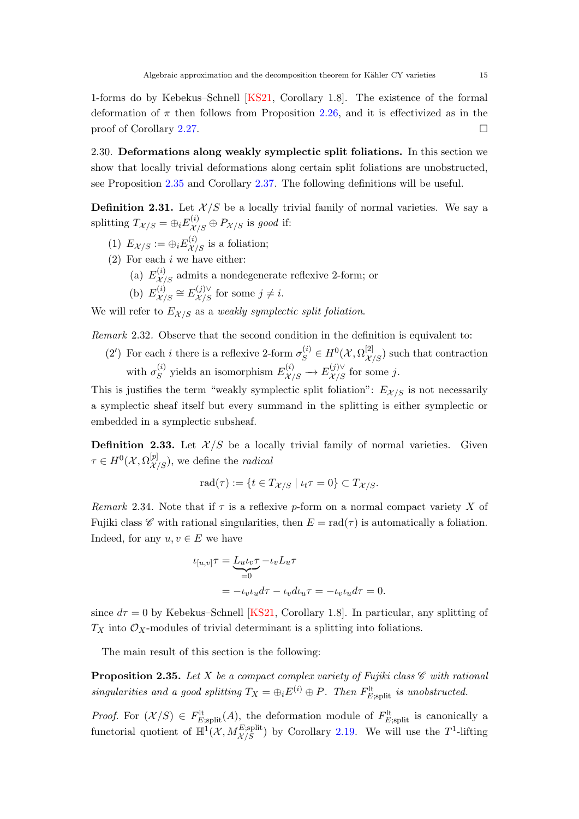<span id="page-14-4"></span>1-forms do by Kebekus–Schnell [\[KS21,](#page-45-0) Corollary 1.8]. The existence of the formal deformation of  $\pi$  then follows from Proposition [2.26,](#page-12-1) and it is effectivized as in the proof of Corollary [2.27.](#page-12-0)

<span id="page-14-3"></span>2.30. Deformations along weakly symplectic split foliations. In this section we show that locally trivial deformations along certain split foliations are unobstructed, see Proposition [2.35](#page-14-1) and Corollary [2.37.](#page-17-0) The following definitions will be useful.

<span id="page-14-0"></span>**Definition 2.31.** Let  $\mathcal{X}/S$  be a locally trivial family of normal varieties. We say a splitting  $T_{\mathcal{X}/S} = \bigoplus_i E_{\mathcal{X}/S}^{(i)} \oplus P_{\mathcal{X}/S}$  is good if:

- (1)  $E_{\mathcal{X}/S} := \bigoplus_i E_{\mathcal{X}/S}^{(i)}$  is a foliation;
- $(2)$  For each i we have either:
	- (a)  $E^{(i)}_{\mathcal{X}/S}$  admits a nondegenerate reflexive 2-form; or

(b) 
$$
E_{\mathcal{X}/S}^{(i)} \cong E_{\mathcal{X}/S}^{(j)\vee}
$$
 for some  $j \neq i$ .

We will refer to  $E_{\mathcal{X}/S}$  as a weakly symplectic split foliation.

<span id="page-14-2"></span>Remark 2.32. Observe that the second condition in the definition is equivalent to:

(2') For each *i* there is a reflexive 2-form  $\sigma_S^{(i)} \in H^0(\mathcal{X}, \Omega_{\mathcal{X}/S}^{[2]})$  such that contraction with  $\sigma_S^{(i)}$  $S(S^{(i)}\text{ yields an isomorphism } E^{(i)}_{\mathcal{X}/S} \to E^{(j)\vee}_{\mathcal{X}/S} \text{ for some } j.$ 

This is justifies the term "weakly symplectic split foliation":  $E_{\mathcal{X}/S}$  is not necessarily a symplectic sheaf itself but every summand in the splitting is either symplectic or embedded in a symplectic subsheaf.

**Definition 2.33.** Let  $\mathcal{X}/S$  be a locally trivial family of normal varieties. Given  $\tau \in H^0(\mathcal{X}, \Omega^{[p]}_{\mathcal{X}/S}),$  we define the *radical* 

$$
\mathrm{rad}(\tau) := \{ t \in T_{\mathcal{X}/S} \mid \iota_t \tau = 0 \} \subset T_{\mathcal{X}/S}.
$$

Remark 2.34. Note that if  $\tau$  is a reflexive p-form on a normal compact variety X of Fujiki class  $\mathscr C$  with rational singularities, then  $E = \text{rad}(\tau)$  is automatically a foliation. Indeed, for any  $u, v \in E$  we have

$$
\begin{aligned} \iota_{[u,v]}\tau &= \underbrace{L_u \iota_v \tau}_{=0} - \iota_v L_u \tau \\ &= -\iota_v \iota_u d\tau - \iota_v d\iota_u \tau = -\iota_v \iota_u d\tau = 0. \end{aligned}
$$

since  $d\tau = 0$  by Kebekus–Schnell [\[KS21,](#page-45-0) Corollary 1.8]. In particular, any splitting of  $T_X$  into  $\mathcal{O}_X$ -modules of trivial determinant is a splitting into foliations.

The main result of this section is the following:

<span id="page-14-1"></span>**Proposition 2.35.** Let X be a compact complex variety of Fujiki class  $\mathscr{C}$  with rational singularities and a good splitting  $T_X = \bigoplus_i E^{(i)} \oplus P$ . Then  $F_{E;{\rm split}}^{\rm{lt}}$  is unobstructed.

*Proof.* For  $(\mathcal{X}/S) \in F_{E;split}^{\text{lt}}(A)$ , the deformation module of  $F_{E;split}^{\text{lt}}$  is canonically a functorial quotient of  $\mathbb{H}^1(\mathcal{X}, M_{\mathcal{X}/S}^{E;split})$  by Corollary [2.19.](#page-10-0) We will use the  $T^1$ -lifting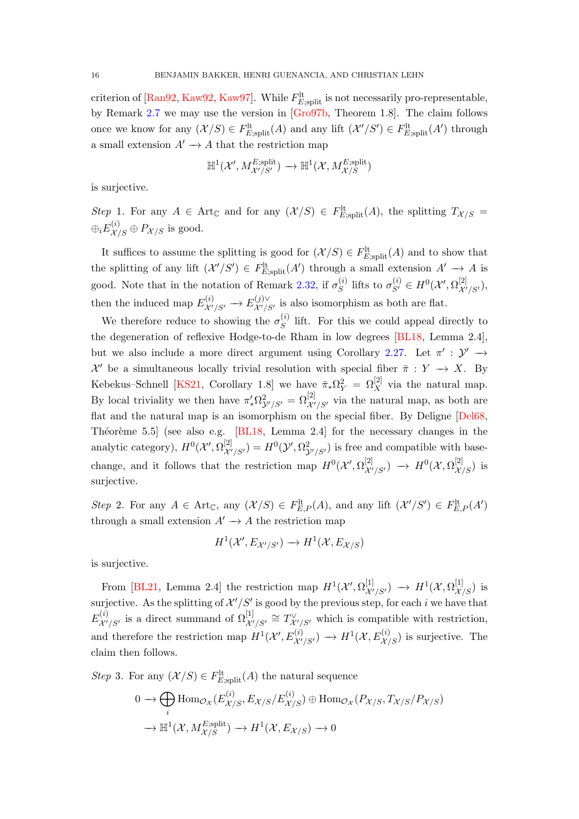<span id="page-15-3"></span>criterion of [\[Ran92,](#page-45-5) [Kaw92,](#page-44-12) [Kaw97\]](#page-44-13). While  $F_{E;\text{split}}^{\text{lt}}$  is not necessarily pro-representable, by Remark [2.7](#page-6-3) we may use the version in [\[Gro97b,](#page-44-8) Theorem 1.8]. The claim follows once we know for any  $(X/S) \in F_{E;split}^{\text{lt}}(A)$  and any lift  $(X'/S') \in F_{E;split}^{\text{lt}}(A')$  through a small extension  $A' \rightarrow A$  that the restriction map

$$
\mathbb{H}^{1}(\mathcal{X}',M^{\text{E};\text{split}}_{\mathcal{X}'/S'})\to\mathbb{H}^{1}(\mathcal{X},M^{\text{E};\text{split}}_{\mathcal{X}/S})
$$

is surjective.

<span id="page-15-0"></span>Step 1. For any  $A \in Art_{\mathbb{C}}$  and for any  $(\mathcal{X}/S) \in F_{E,split}^{lt}(A)$ , the splitting  $T_{\mathcal{X}/S} =$  $\oplus_i E_{\mathcal{X}/S}^{(i)} \oplus P_{\mathcal{X}/S}$  is good.

It suffices to assume the splitting is good for  $(X/S) \in F_{E;\text{split}}^{\text{lt}}(A)$  and to show that the splitting of any lift  $(\mathcal{X}'/S') \in F_{E;split}^{\text{lt}}(A')$  through a small extension  $A' \to A$  is good. Note that in the notation of Remark [2.32,](#page-14-2) if  $\sigma_S^{(i)}$  $S^{(i)}$  lifts to  $\sigma_{S'}^{(i)} \in H^0(\mathcal{X}', \Omega_{\mathcal{X}'/S'}^{[2]}),$ then the induced map  $E^{(i)}_{\mathcal{X}'/S'} \to E^{(j)\vee}_{\mathcal{X}'/S'}$  $\mathcal{X}^{\prime}/S^{\prime}$  is also isomorphism as both are flat.

We therefore reduce to showing the  $\sigma_S^{(i)}$  $S^{(i)}$  lift. For this we could appeal directly to the degeneration of reflexive Hodge-to-de Rham in low degrees [\[BL18,](#page-42-5) Lemma 2.4], but we also include a more direct argument using Corollary [2.27.](#page-12-0) Let  $\pi' : \mathcal{Y}' \to$  $\mathcal{X}'$  be a simultaneous locally trivial resolution with special fiber  $\bar{\pi}: Y \to X$ . By Kebekus–Schnell [\[KS21,](#page-45-0) Corollary 1.8] we have  $\bar{\pi}_*\Omega^2_Y = \Omega^{[2]}_X$  via the natural map. By local triviality we then have  $\pi'_*\Omega^2_{\mathcal{Y}'/S'} = \Omega^{[2]}_{\mathcal{X}'/S'}$  via the natural map, as both are flat and the natural map is an isomorphism on the special fiber. By Deligne [\[Del68,](#page-43-8) Théorème 5.5] (see also e.g.  $[BL18, Lemma 2.4]$  for the necessary changes in the analytic category),  $H^0(\mathcal{X}', \Omega^{[2]}_{\mathcal{X}'/S'}) = H^0(\mathcal{Y}', \Omega^2_{\mathcal{Y}'/S'})$  is free and compatible with basechange, and it follows that the restriction map  $H^0(\mathcal{X}', \Omega^{[2]}_{\mathcal{X}'/S'}) \longrightarrow H^0(\mathcal{X}, \Omega^{[2]}_{\mathcal{X}/S})$  is surjective.

<span id="page-15-1"></span>Step 2. For any  $A \in \text{Art}_{\mathbb{C}}$ , any  $(\mathcal{X}/S) \in F_{E,P}^{\text{lt}}(A)$ , and any lift  $(\mathcal{X}'/S') \in F_{E,P}^{\text{lt}}(A')$ through a small extension  $A' \rightarrow A$  the restriction map

$$
H^1(\mathcal{X}', E_{\mathcal{X}'/S'}) \to H^1(\mathcal{X}, E_{\mathcal{X}/S})
$$

is surjective.

From [\[BL21,](#page-42-4) Lemma 2.4] the restriction map  $H^1(\mathcal{X}', \Omega^{[1]}_{\mathcal{X}'/S'}) \longrightarrow H^1(\mathcal{X}, \Omega^{[1]}_{\mathcal{X}/S})$  is surjective. As the splitting of  $\mathcal{X}'/S'$  is good by the previous step, for each i we have that  $E_{\mathcal{\mathcal{X^{\prime}}}^{}}^{(i)}$  $\chi^{(i)}_{\mathcal{X}'/S'}$  is a direct summand of  $\Omega^{[1]}_{\mathcal{X}'/S'} \cong T^{\vee}_{\mathcal{X}'/S'}$  which is compatible with restriction, and therefore the restriction map  $H^1(\mathcal{X}', E^{(i)}_{\mathcal{X}'/S'}) \to H^1(\mathcal{X}, E^{(i)}_{\mathcal{X}/S})$  is surjective. The claim then follows.

<span id="page-15-2"></span>Step 3. For any  $(\mathcal{X}/S) \in F_{E;split}^{lt}(A)$  the natural sequence

$$
0 \to \bigoplus_{i} \text{Hom}_{\mathcal{O}_{\mathcal{X}}}(E_{\mathcal{X}/S}^{(i)}, E_{\mathcal{X}/S}/E_{\mathcal{X}/S}^{(i)}) \oplus \text{Hom}_{\mathcal{O}_{\mathcal{X}}}(P_{\mathcal{X}/S}, T_{\mathcal{X}/S}/P_{\mathcal{X}/S})
$$

$$
\to \mathbb{H}^{1}(\mathcal{X}, M_{\mathcal{X}/S}^{E;\text{split}}) \to H^{1}(\mathcal{X}, E_{\mathcal{X}/S}) \to 0
$$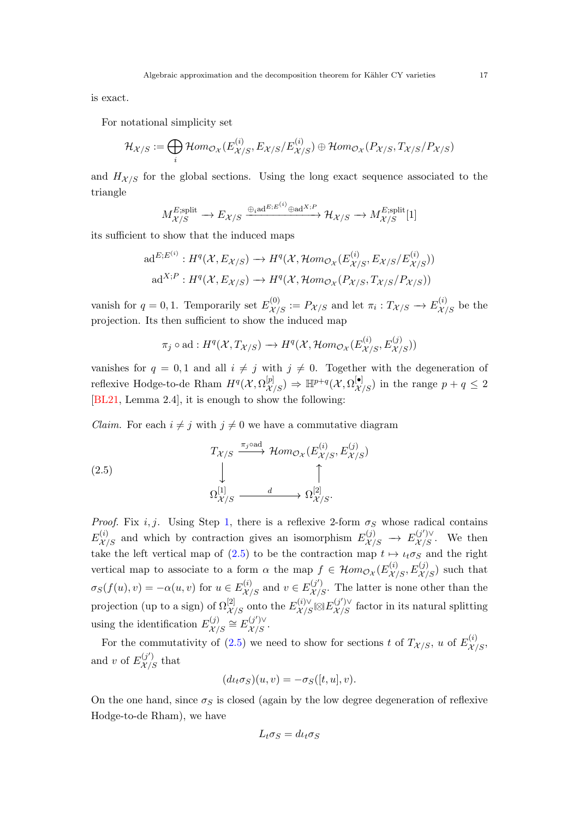<span id="page-16-1"></span>is exact.

For notational simplicity set

$$
\mathcal{H}_{\mathcal{X}/S} := \bigoplus_{i} \mathcal{H}om_{\mathcal{O}_{\mathcal{X}}}(E_{\mathcal{X}/S}^{(i)}, E_{\mathcal{X}/S}/E_{\mathcal{X}/S}^{(i)}) \oplus \mathcal{H}om_{\mathcal{O}_{\mathcal{X}}}(P_{\mathcal{X}/S}, T_{\mathcal{X}/S}/P_{\mathcal{X}/S})
$$

and  $H_{\mathcal{X}/S}$  for the global sections. Using the long exact sequence associated to the triangle

$$
M_{\mathcal{X}/S}^{E;\text{split}} \longrightarrow E_{\mathcal{X}/S} \xrightarrow{\oplus_i \text{ad}^{E; E^{(i)}} \oplus \text{ad}^{X; P}} \mathcal{H}_{\mathcal{X}/S} \longrightarrow M_{\mathcal{X}/S}^{E;\text{split}}[1]
$$

its sufficient to show that the induced maps

$$
\mathrm{ad}^{E; E^{(i)}}: H^q(\mathcal{X}, E_{\mathcal{X}/S}) \to H^q(\mathcal{X}, \mathcal{H}om_{\mathcal{O}_{\mathcal{X}}}(E_{\mathcal{X}/S}^{(i)}, E_{\mathcal{X}/S}/E_{\mathcal{X}/S}^{(i)}))
$$

$$
\mathrm{ad}^{X; P}: H^q(\mathcal{X}, E_{\mathcal{X}/S}) \to H^q(\mathcal{X}, \mathcal{H}om_{\mathcal{O}_{\mathcal{X}}}(P_{\mathcal{X}/S}, T_{\mathcal{X}/S}/P_{\mathcal{X}/S}))
$$

vanish for  $q = 0, 1$ . Temporarily set  $E^{(0)}_{\mathcal{X}/S} := P_{\mathcal{X}/S}$  and let  $\pi_i : T_{\mathcal{X}/S} \to E^{(i)}_{\mathcal{X}/S}$  be the projection. Its then sufficient to show the induced map

$$
\pi_j \circ \text{ad} : H^q(\mathcal{X}, T_{\mathcal{X}/S}) \to H^q(\mathcal{X}, \mathcal{H}om_{\mathcal{O}_{\mathcal{X}}}(E_{\mathcal{X}/S}^{(i)}, E_{\mathcal{X}/S}^{(j)}))
$$

vanishes for  $q = 0, 1$  and all  $i \neq j$  with  $j \neq 0$ . Together with the degeneration of reflexive Hodge-to-de Rham  $H^q(\mathcal{X}, \Omega^{[p]}_{\mathcal{X}/S}) \Rightarrow \mathbb{H}^{p+q}(\mathcal{X}, \Omega^{[\bullet]}_{\mathcal{X}/S})$  in the range  $p+q \leq 2$ [\[BL21,](#page-42-4) Lemma 2.4], it is enough to show the following:

*Claim.* For each  $i \neq j$  with  $j \neq 0$  we have a commutative diagram

<span id="page-16-0"></span>(2.5)  
\n
$$
T_{\mathcal{X}/S} \xrightarrow{\pi_j \text{oad}} \mathcal{H}om_{\mathcal{O}_{\mathcal{X}}}(E_{\mathcal{X}/S}^{(i)}, E_{\mathcal{X}/S}^{(j)})
$$
\n
$$
\downarrow \qquad \qquad \uparrow
$$
\n
$$
\Omega_{\mathcal{X}/S}^{[1]} \xrightarrow{d} \Omega_{\mathcal{X}/S}^{[2]}.
$$

*Proof.* Fix i, j. Using Step [1,](#page-15-0) there is a reflexive 2-form  $\sigma_S$  whose radical contains  $E_{\mathcal{X}/S}^{(i)}$  and which by contraction gives an isomorphism  $E_{\mathcal{X}/S}^{(j)} \to E_{\mathcal{X}/S}^{(j')\vee}$ . We then take the left vertical map of [\(2.5\)](#page-16-0) to be the contraction map  $t \mapsto \iota_t \sigma_S$  and the right vertical map to associate to a form  $\alpha$  the map  $f \in \mathcal{H}om_{\mathcal{O}_{\mathcal{X}}}(E^{(i)}_{\mathcal{X}/S}, E^{(j)}_{\mathcal{X}/S})$  such that  $\sigma_S(f(u), v) = -\alpha(u, v)$  for  $u \in E^{(i)}_{\mathcal{X}/S}$  and  $v \in E^{(j')}_{\mathcal{X}/S}$ . The latter is none other than the projection (up to a sign) of  $\Omega^{[2]}_{\mathcal{X}/S}$  onto the  $E^{(i)\vee}_{\mathcal{X}/S} \boxtimes E^{(j')\vee}_{\mathcal{X}/S}$  factor in its natural splitting using the identification  $E_{\mathcal{X}'}^{(j)}$  $E^{(j)}_{\mathcal{X}/S} \cong E^{(j')\vee}_{\mathcal{X}/S}.$ 

For the commutativity of [\(2.5\)](#page-16-0) we need to show for sections t of  $T_{\mathcal{X}/S}$ , u of  $E_{\mathcal{X}/S}^{(i)}$ , and v of  $E_{\mathcal{X}/S}^{(j')}$  that

$$
(d\iota_t \sigma_S)(u, v) = -\sigma_S([t, u], v).
$$

On the one hand, since  $\sigma_S$  is closed (again by the low degree degeneration of reflexive Hodge-to-de Rham), we have

$$
L_t \sigma_S = d\iota_t \sigma_S
$$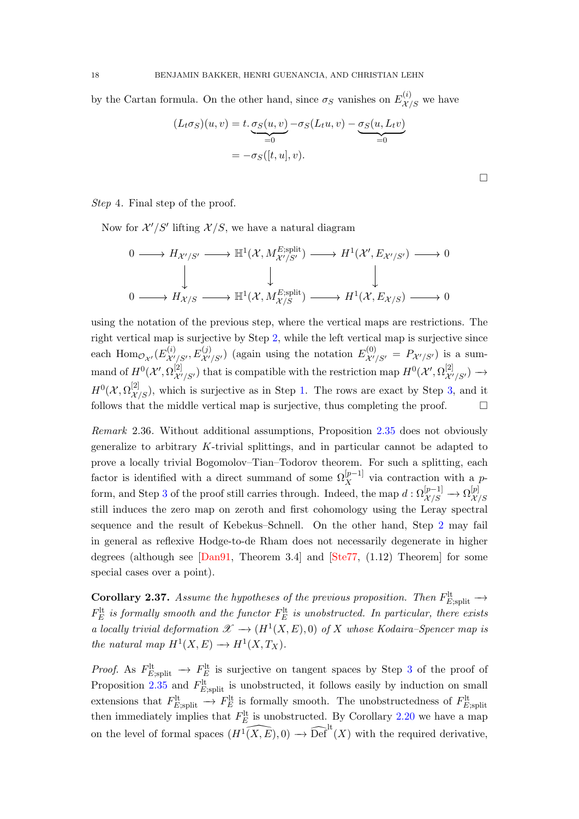<span id="page-17-1"></span>by the Cartan formula. On the other hand, since  $\sigma_S$  vanishes on  $E^{(i)}_{\mathcal{X}/S}$  we have

$$
(L_t \sigma_S)(u, v) = t \cdot \underbrace{\sigma_S(u, v)}_{=0} - \sigma_S(L_t u, v) - \underbrace{\sigma_S(u, L_t v)}_{=0}
$$

$$
= -\sigma_S([t, u], v).
$$

Step 4. Final step of the proof.

Now for  $\mathcal{X}'/S'$  lifting  $\mathcal{X}/S$ , we have a natural diagram

$$
\begin{array}{ccc}\n0 & \longrightarrow H_{\mathcal{X}'/S'} & \longrightarrow \mathbb{H}^{1}(\mathcal{X}, M_{\mathcal{X}'/S'}^{E;\text{split}}) & \longrightarrow H^{1}(\mathcal{X}', E_{\mathcal{X}'/S'}) \longrightarrow 0 \\
& &\downarrow & &\downarrow & &\downarrow & \\
0 & \longrightarrow H_{\mathcal{X}/S} & \longrightarrow \mathbb{H}^{1}(\mathcal{X}, M_{\mathcal{X}/S}^{E;\text{split}}) \longrightarrow H^{1}(\mathcal{X}, E_{\mathcal{X}/S}) \longrightarrow 0\n\end{array}
$$

using the notation of the previous step, where the vertical maps are restrictions. The right vertical map is surjective by Step [2,](#page-15-1) while the left vertical map is surjective since each  $\text{Hom}_{\mathcal{O}_{\mathcal{X}'}}(E_{\mathcal{X}'}^{(i)})$  $X^{(i)}_{\mathcal{X}'/S'}$ ,  $E^{(j)}_{\mathcal{X}'/S'}$  (again using the notation  $E^{(0)}_{\mathcal{X}'/S'} = P_{\mathcal{X}'/S'}$ ) is a summand of  $H^0(\mathcal{X}', \Omega^{[2]}_{\mathcal{X}'/S'})$  that is compatible with the restriction map  $H^0(\mathcal{X}', \Omega^{[2]}_{\mathcal{X}'/S'}) \longrightarrow$  $H^0(\mathcal{X}, \Omega^{[2]}_{\mathcal{X}/S})$ , which is surjective as in Step [1.](#page-15-0) The rows are exact by Step [3,](#page-15-2) and it follows that the middle vertical map is surjective, thus completing the proof.  $\Box$ 

Remark 2.36. Without additional assumptions, Proposition [2.35](#page-14-1) does not obviously generalize to arbitrary K-trivial splittings, and in particular cannot be adapted to prove a locally trivial Bogomolov–Tian–Todorov theorem. For such a splitting, each factor is identified with a direct summand of some  $\Omega_X^{[p-1]}$  via contraction with a p-form, and Step [3](#page-15-2) of the proof still carries through. Indeed, the map  $d: \Omega^{[p-1]}_{\mathcal{X}/S} \to \Omega^{[p]}_{\mathcal{X}}$  $\mathcal{X}/S$ still induces the zero map on zeroth and first cohomology using the Leray spectral sequence and the result of Kebekus–Schnell. On the other hand, Step [2](#page-15-1) may fail in general as reflexive Hodge-to-de Rham does not necessarily degenerate in higher degrees (although see  $[Dan91, Theorem 3.4]$  and  $[Ste77, (1.12) Theorem]$  for some special cases over a point).

<span id="page-17-0"></span>**Corollary 2.37.** Assume the hypotheses of the previous proposition. Then  $F_{E;\text{split}}^{\text{lt}} \rightarrow$  $F_{E}^{\text{lt}}$  is formally smooth and the functor  $F_{E}^{\text{lt}}$  is unobstructed. In particular, there exists a locally trivial deformation  $\mathscr{X} \to (H^1(X, E), 0)$  of X whose Kodaira–Spencer map is the natural map  $H^1(X, E) \to H^1(X, T_X)$ .

*Proof.* As  $F_{E;\text{split}}^{\text{lt}} \to F_E^{\text{lt}}$  is surjective on tangent spaces by Step [3](#page-15-2) of the proof of Proposition [2.35](#page-14-1) and  $F_{E;split}^{\text{lt}}$  is unobstructed, it follows easily by induction on small extensions that  $F_{E, \text{split}}^{\text{lt}} \to F_E^{\text{lt}}$  is formally smooth. The unobstructedness of  $F_{E, \text{split}}^{\text{lt}}$ then immediately implies that  $F_E^{\text{lt}}$  is unobstructed. By Corollary [2.20](#page-10-1) we have a map on the level of formal spaces  $\widehat{H^1(X, E)}, 0) \longrightarrow \widehat{\text{Def}}^{\text{lt}}(X)$  with the required derivative,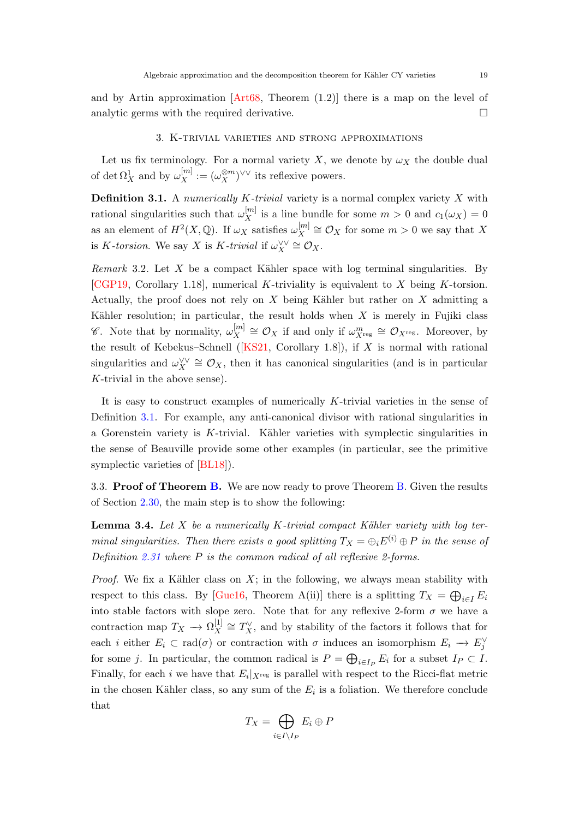<span id="page-18-2"></span>and by Artin approximation  $[Art68, Theorem (1.2)]$  there is a map on the level of analytic germs with the required derivative.  $\Box$ 

#### 3. K-trivial varieties and strong approximations

<span id="page-18-0"></span>Let us fix terminology. For a normal variety X, we denote by  $\omega_X$  the double dual of det  $\Omega_X^1$  and by  $\omega_X^{[m]} := (\omega_X^{\otimes m})^{\vee \vee}$  its reflexive powers.

<span id="page-18-1"></span>**Definition 3.1.** A numerically K-trivial variety is a normal complex variety X with rational singularities such that  $\omega_X^{[m]}$  is a line bundle for some  $m > 0$  and  $c_1(\omega_X) = 0$ as an element of  $H^2(X, \mathbb{Q})$ . If  $\omega_X$  satisfies  $\omega_X^{[m]}$  $\mathcal{L}_X^{[m]} \cong \mathcal{O}_X$  for some  $m > 0$  we say that X is K-torsion. We say X is K-trivial if  $\omega_X^{\vee\vee} \cong \mathcal{O}_X$ .

*Remark* 3.2. Let  $X$  be a compact Kähler space with log terminal singularities. By [\[CGP19,](#page-43-10) Corollary 1.18], numerical K-triviality is equivalent to X being K-torsion. Actually, the proof does not rely on  $X$  being Kähler but rather on  $X$  admitting a Kähler resolution; in particular, the result holds when  $X$  is merely in Fujiki class  $\mathscr{C}$ . Note that by normality,  $\omega_X^{[m]}$  $\mathcal{L}_X^{[m]} \cong \mathcal{O}_X$  if and only if  $\omega_{X^{\text{reg}}}^m \cong \mathcal{O}_{X^{\text{reg}}}$ . Moreover, by theresult of Kebekus–Schnell ( $[KS21, Corollary 1.8]$  $[KS21, Corollary 1.8]$ ), if X is normal with rational singularities and  $\omega_X^{\vee\vee} \cong \mathcal{O}_X$ , then it has canonical singularities (and is in particular K-trivial in the above sense).

It is easy to construct examples of numerically K-trivial varieties in the sense of Definition [3.1.](#page-18-1) For example, any anti-canonical divisor with rational singularities in a Gorenstein variety is K-trivial. Kähler varieties with symplectic singularities in the sense of Beauville provide some other examples (in particular, see the primitive symplectic varieties of [\[BL18\]](#page-42-5)).

3.3. Proof of Theorem [B.](#page-1-2) We are now ready to prove Theorem B. Given the results of Section [2.30,](#page-14-3) the main step is to show the following:

**Lemma 3.4.** Let  $X$  be a numerically  $K$ -trivial compact Kähler variety with log terminal singularities. Then there exists a good splitting  $T_X = \bigoplus_i E^{(i)} \oplus P$  in the sense of Definition [2.31](#page-14-0) where  $P$  is the common radical of all reflexive 2-forms.

*Proof.* We fix a Kähler class on  $X$ ; in the following, we always mean stability with respect to this class. By [\[Gue16,](#page-44-6) Theorem A(ii)] there is a splitting  $T_X = \bigoplus_{i \in I} E_i$ into stable factors with slope zero. Note that for any reflexive 2-form  $\sigma$  we have a contraction map  $T_X \to \Omega_X^{[1]}$  $X^{\left[1\right]} \cong T_X^{\vee}$ , and by stability of the factors it follows that for each *i* either  $E_i \subset \text{rad}(\sigma)$  or contraction with  $\sigma$  induces an isomorphism  $E_i \to E_j^{\vee}$ for some j. In particular, the common radical is  $P = \bigoplus_{i \in I_P} E_i$  for a subset  $I_P \subset I$ . Finally, for each i we have that  $E_i|_{X^{reg}}$  is parallel with respect to the Ricci-flat metric in the chosen Kähler class, so any sum of the  $E_i$  is a foliation. We therefore conclude that

$$
T_X=\bigoplus_{i\in I\setminus I_P}E_i\oplus P
$$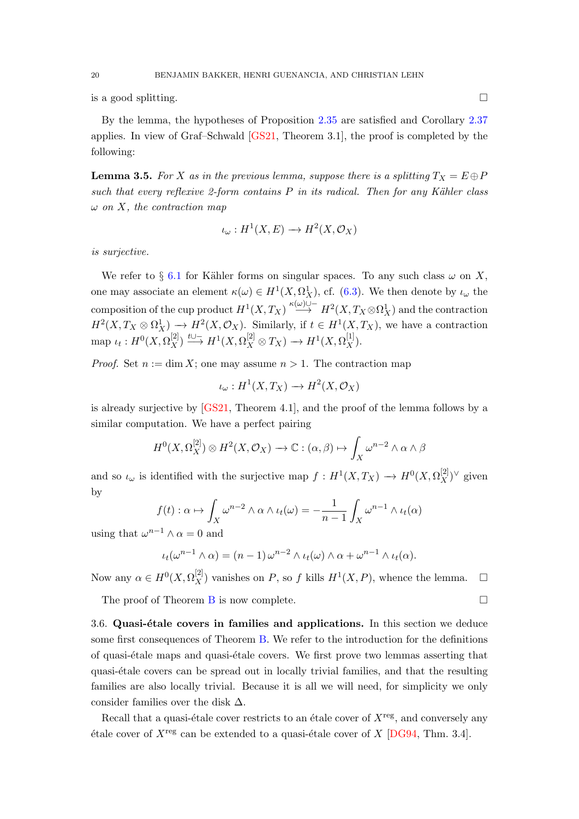<span id="page-19-1"></span>is a good splitting.

By the lemma, the hypotheses of Proposition [2.35](#page-14-1) are satisfied and Corollary [2.37](#page-17-0) applies. In view of Graf–Schwald [\[GS21,](#page-44-4) Theorem 3.1], the proof is completed by the following:

<span id="page-19-0"></span>**Lemma 3.5.** For X as in the previous lemma, suppose there is a splitting  $T_X = E \oplus P$ such that every reflexive 2-form contains  $P$  in its radical. Then for any Kähler class  $\omega$  on X, the contraction map

$$
\iota_{\omega}: H^1(X, E) \longrightarrow H^2(X, \mathcal{O}_X)
$$

is surjective.

We refer to § [6.1](#page-27-1) for Kähler forms on singular spaces. To any such class  $\omega$  on X, one may associate an element  $\kappa(\omega) \in H^1(X, \Omega_X^1)$ , cf. [\(6.3\)](#page-28-0). We then denote by  $\iota_{\omega}$  the composition of the cup product  $H^1(X, T_X) \stackrel{\kappa(\omega)\cup -}{\longrightarrow} H^2(X, T_X \otimes \Omega^1_X)$  and the contraction  $H^2(X, T_X \otimes \Omega^1_X) \longrightarrow H^2(X, \mathcal{O}_X)$ . Similarly, if  $t \in H^1(X, T_X)$ , we have a contraction map  $\iota_t: H^0(X, \Omega_X^{[2]}) \stackrel{t \cup^-}{\longrightarrow} H^1(X, \Omega_X^{[2]} \otimes T_X) \longrightarrow H^1(X, \Omega_X^{[1]}).$ 

*Proof.* Set  $n := \dim X$ ; one may assume  $n > 1$ . The contraction map

$$
\iota_{\omega}: H^1(X, T_X) \to H^2(X, \mathcal{O}_X)
$$

is already surjective by [\[GS21,](#page-44-4) Theorem 4.1], and the proof of the lemma follows by a similar computation. We have a perfect pairing

$$
H^{0}(X,\Omega_{X}^{[2]})\otimes H^{2}(X,\mathcal{O}_{X})\longrightarrow \mathbb{C}:(\alpha,\beta)\mapsto \int_{X}\omega^{n-2}\wedge\alpha\wedge\beta
$$

and so  $\iota_{\omega}$  is identified with the surjective map  $f: H^1(X, T_X) \to H^0(X, \Omega_X^{[2]})^{\vee}$  given by

$$
f(t): \alpha \mapsto \int_X \omega^{n-2} \wedge \alpha \wedge \iota_t(\omega) = -\frac{1}{n-1} \int_X \omega^{n-1} \wedge \iota_t(\alpha)
$$

using that  $\omega^{n-1} \wedge \alpha = 0$  and

$$
\iota_t(\omega^{n-1}\wedge\alpha)=(n-1)\,\omega^{n-2}\wedge\iota_t(\omega)\wedge\alpha+\omega^{n-1}\wedge\iota_t(\alpha).
$$

Now any  $\alpha \in H^0(X, \Omega_X^{[2]})$  vanishes on P, so f kills  $H^1(X, P)$ , whence the lemma.  $\square$ 

The proof of Theorem [B](#page-1-2) is now complete.  $\Box$ 

 $3.6.$  Quasi-étale covers in families and applications. In this section we deduce some first consequences of Theorem [B.](#page-1-2) We refer to the introduction for the definitions of quasi-étale maps and quasi-étale covers. We first prove two lemmas asserting that quasi-´etale covers can be spread out in locally trivial families, and that the resulting families are also locally trivial. Because it is all we will need, for simplicity we only consider families over the disk  $\Delta$ .

Recall that a quasi-étale cover restricts to an étale cover of  $X^{\text{reg}}$ , and conversely any  $\acute{e}$ tale cover of  $X^{\text{reg}}$  can be extended to a quasi- $\acute{e}$ tale cover of  $X$  [\[DG94,](#page-43-11) Thm. 3.4].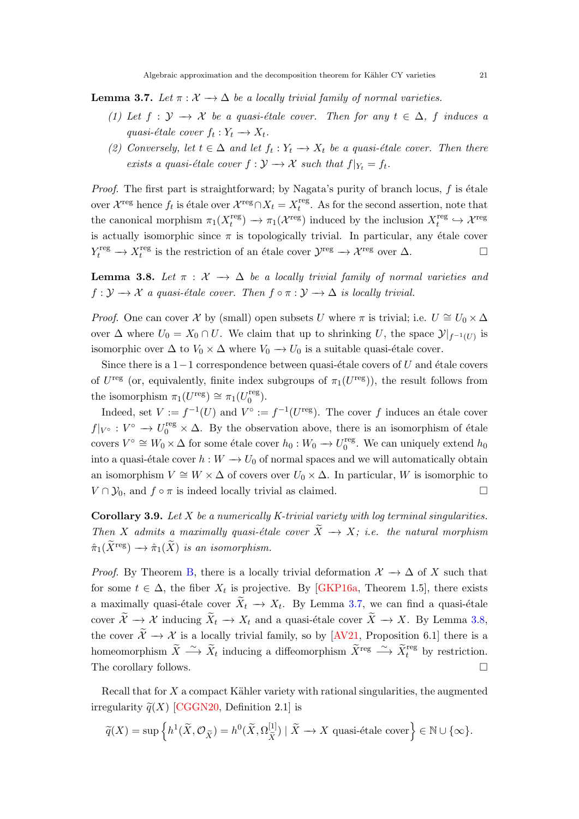<span id="page-20-3"></span><span id="page-20-0"></span>**Lemma 3.7.** Let  $\pi : \mathcal{X} \to \Delta$  be a locally trivial family of normal varieties.

- (1) Let  $f: \mathcal{Y} \to \mathcal{X}$  be a quasi-étale cover. Then for any  $t \in \Delta$ , f induces a quasi-étale cover  $f_t: Y_t \longrightarrow X_t$ .
- (2) Conversely, let  $t \in \Delta$  and let  $f_t : Y_t \to X_t$  be a quasi-étale cover. Then there exists a quasi-étale cover  $f : \mathcal{Y} \to \mathcal{X}$  such that  $f|_{Y_t} = f_t$ .

*Proof.* The first part is straightforward; by Nagata's purity of branch locus,  $f$  is étale over  $\mathcal{X}^{\text{reg}}$  hence  $f_t$  is étale over  $\mathcal{X}^{\text{reg}} \cap X_t = X_t^{\text{reg}}$  $t_t^{\text{reg}}$ . As for the second assertion, note that the canonical morphism  $\pi_1(X_t^{\text{reg}})$  $t_t^{\text{reg}}$   $\rightarrow \pi_1(\mathcal{X}^{\text{reg}})$  induced by the inclusion  $X_t^{\text{reg}}$  $t_t^{\text{reg}} \hookrightarrow \mathcal{X}^{\text{reg}}$ is actually isomorphic since  $\pi$  is topologically trivial. In particular, any étale cover  $Y_t^{\text{reg}} \to X_t^{\text{reg}}$ <sup>reg</sup> is the restriction of an étale cover  $\mathcal{Y}^{\text{reg}} \to \mathcal{X}^{\text{reg}}$  over  $\Delta$ .

<span id="page-20-1"></span>**Lemma 3.8.** Let  $\pi$  :  $\mathcal{X} \rightarrow \Delta$  be a locally trivial family of normal varieties and  $f: \mathcal{Y} \to \mathcal{X}$  a quasi-étale cover. Then  $f \circ \pi: \mathcal{Y} \to \Delta$  is locally trivial.

*Proof.* One can cover X by (small) open subsets U where  $\pi$  is trivial; i.e.  $U \cong U_0 \times \Delta$ over  $\Delta$  where  $U_0 = X_0 \cap U$ . We claim that up to shrinking U, the space  $\mathcal{Y}|_{f^{-1}(U)}$  is isomorphic over  $\Delta$  to  $V_0 \times \Delta$  where  $V_0 \to U_0$  is a suitable quasi-étale cover.

Since there is a  $1-1$  correspondence between quasi-étale covers of U and étale covers of  $U^{\text{reg}}$  (or, equivalently, finite index subgroups of  $\pi_1(U^{\text{reg}})$ ), the result follows from the isomorphism  $\pi_1(U^{\text{reg}}) \cong \pi_1(U_0^{\text{reg}})$  $_0^{\rm reg}$ ).

Indeed, set  $V := f^{-1}(U)$  and  $V^{\circ} := f^{-1}(U^{\text{reg}})$ . The cover f induces an étale cover  $f|_{V^{\circ}} : V^{\circ} \to U_0^{\text{reg}} \times \Delta$ . By the observation above, there is an isomorphism of étale covers  $V^{\circ} \cong W_0 \times \Delta$  for some étale cover  $h_0: W_0 \to U_0^{\text{reg}}$  $_0^{\text{reg}}$ . We can uniquely extend  $h_0$ into a quasi-étale cover  $h : W \to U_0$  of normal spaces and we will automatically obtain an isomorphism  $V \cong W \times \Delta$  of covers over  $U_0 \times \Delta$ . In particular, W is isomorphic to  $V \cap Y_0$ , and  $f \circ \pi$  is indeed locally trivial as claimed.

<span id="page-20-2"></span>Corollary 3.9. Let  $X$  be a numerically K-trivial variety with log terminal singularities. Then X admits a maximally quasi-étale cover  $\widetilde{X} \to X$ ; i.e. the natural morphism  $\hat{\pi}_1(\widetilde{X}^{\text{reg}}) \longrightarrow \hat{\pi}_1(\widetilde{X})$  is an isomorphism.

*Proof.* By Theorem [B,](#page-1-2) there is a locally trivial deformation  $\mathcal{X} \to \Delta$  of X such that for some  $t \in \Delta$ , the fiber  $X_t$  is projective. By [\[GKP16a,](#page-44-14) Theorem 1.5], there exists a maximally quasi-étale cover  $X_t \to X_t$ . By Lemma [3.7,](#page-20-0) we can find a quasi-étale cover  $\widetilde{X} \to \mathcal{X}$  inducing  $\widetilde{X}_t \to X_t$  and a quasi-étale cover  $\widetilde{X} \to X$ . By Lemma [3.8,](#page-20-1) the cover  $\widetilde{\mathcal{X}} \to \mathcal{X}$  is a locally trivial family, so by [\[AV21,](#page-42-3) Proposition 6.1] there is a homeomorphism  $\widetilde{X} \stackrel{\sim}{\longrightarrow} \widetilde{X}_t$  inducing a diffeomorphism  $\widetilde{X}^{\text{reg}} \stackrel{\sim}{\longrightarrow} \widetilde{X}_t^{\text{reg}}$  by restriction. The corollary follows.

Recall that for  $X$  a compact Kähler variety with rational singularities, the augmented irregularity  $\tilde{q}(X)$  [\[CGGN20,](#page-43-12) Definition 2.1] is

$$
\widetilde{q}(X) = \sup \left\{ h^1(\widetilde{X}, \mathcal{O}_{\widetilde{X}}) = h^0(\widetilde{X}, \Omega_{\widetilde{X}}^{[1]}) \mid \widetilde{X} \to X \text{ quasi-étale cover} \right\} \in \mathbb{N} \cup \{\infty\}.
$$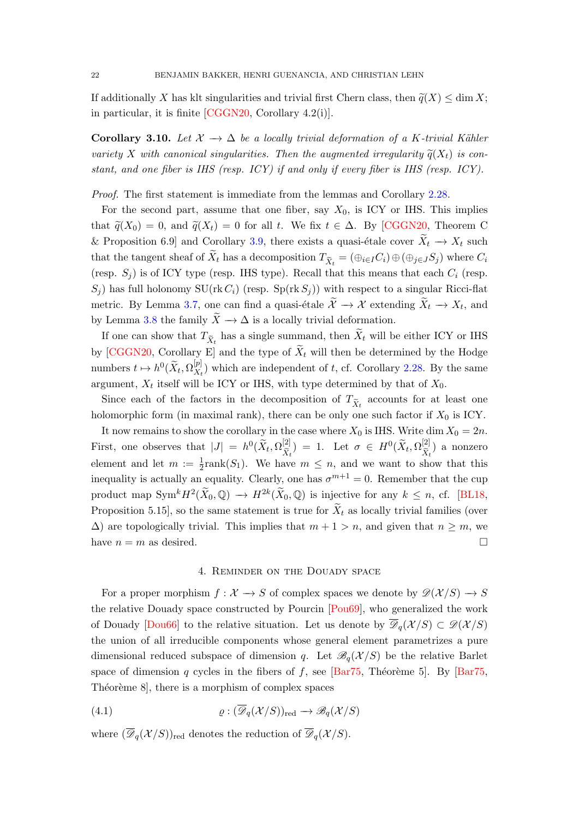<span id="page-21-2"></span>If additionally X has klt singularities and trivial first Chern class, then  $\tilde{q}(X) \leq \dim X$ ; in particular, it is finite [\[CGGN20,](#page-43-12) Corollary 4.2(i)].

<span id="page-21-1"></span>Corollary 3.10. Let  $\mathcal{X} \to \Delta$  be a locally trivial deformation of a K-trivial Kähler variety X with canonical singularities. Then the augmented irregularity  $\tilde{q}(X_t)$  is constant, and one fiber is IHS (resp. ICY) if and only if every fiber is IHS (resp. ICY).

Proof. The first statement is immediate from the lemmas and Corollary [2.28.](#page-13-0)

For the second part, assume that one fiber, say  $X_0$ , is ICY or IHS. This implies that  $\tilde{q}(X_0) = 0$ , and  $\tilde{q}(X_t) = 0$  for all t. We fix  $t \in \Delta$ . By [\[CGGN20,](#page-43-12) Theorem C & Proposition 6.9] and Corollary [3.9,](#page-20-2) there exists a quasi-etale cover  $\widetilde{X}_t \to X_t$  such that the tangent sheaf of  $X_t$  has a decomposition  $T_{\tilde{X}_t} = (\bigoplus_{i \in I} C_i) \oplus (\bigoplus_{j \in J} S_j)$  where  $C_i$ (resp.  $S_i$ ) is of ICY type (resp. IHS type). Recall that this means that each  $C_i$  (resp.  $S_i$ ) has full holonomy SU(rk  $C_i$ ) (resp. Sp(rk  $S_i$ )) with respect to a singular Ricci-flat metric. By Lemma [3.7,](#page-20-0) one can find a quasi-étale  $\mathcal{X} \to \mathcal{X}$  extending  $X_t \to X_t$ , and by Lemma [3.8](#page-20-1) the family  $\tilde{X} \to \Delta$  is a locally trivial deformation.

If one can show that  $T_{\tilde{X}_t}$  has a single summand, then  $X_t$  will be either ICY or IHS by [\[CGGN20,](#page-43-12) Corollary E] and the type of  $\widetilde{X}_t$  will then be determined by the Hodge numbers  $t \mapsto h^0(\widetilde{X}_t, \Omega_{X_t}^{[p]})$  $\binom{p}{X_t}$  which are independent of t, cf. Corollary [2.28.](#page-13-0) By the same argument,  $X_t$  itself will be ICY or IHS, with type determined by that of  $X_0$ .

Since each of the factors in the decomposition of  $T_{\tilde{X}_t}$  accounts for at least one holomorphic form (in maximal rank), there can be only one such factor if  $X_0$  is ICY.

It now remains to show the corollary in the case where  $X_0$  is IHS. Write dim  $X_0 = 2n$ . First, one observes that  $|J| = h^0(\widetilde{X}_t, \Omega_{\widetilde{X}_t}^{[2]})$  $X_t$ ) = 1. Let  $\sigma \in H^0(\widetilde{X}_t, \Omega_{\widetilde{X}_t}^{[2]}$  $\frac{X_t}{1}$ ) a nonzero element and let  $m := \frac{1}{2}$ rank $(S_1)$ . We have  $m \leq n$ , and we want to show that this inequality is actually an equality. Clearly, one has  $\sigma^{m+1} = 0$ . Remember that the cup product map  $\text{Sym}^k H^2(\widetilde{X}_0, \mathbb{Q}) \to H^{2k}(\widetilde{X}_0, \mathbb{Q})$  is injective for any  $k \leq n$ , cf. [\[BL18,](#page-42-5) Proposition 5.15], so the same statement is true for  $X_t$  as locally trivial families (over  $\Delta$ ) are topologically trivial. This implies that  $m + 1 > n$ , and given that  $n \geq m$ , we have  $n = m$  as desired.

### 4. Reminder on the Douady space

<span id="page-21-0"></span>For a proper morphism  $f: \mathcal{X} \to S$  of complex spaces we denote by  $\mathscr{D}(\mathcal{X}/S) \to S$ the relative Douady space constructed by Pourcin [\[Pou69\]](#page-45-7), who generalized the work of Douady [\[Dou66\]](#page-43-13) to the relative situation. Let us denote by  $\overline{\mathscr{D}}_q(\mathcal{X}/S) \subset \mathscr{D}(\mathcal{X}/S)$ the union of all irreducible components whose general element parametrizes a pure dimensional reduced subspace of dimension q. Let  $\mathscr{B}_q(\mathcal{X}/S)$  be the relative Barlet space of dimension q cycles in the fibers of f, see [\[Bar75,](#page-42-7) Théorème 5]. By [Bar75, Théorème 8, there is a morphism of complex spaces

(4.1) 
$$
\varrho : (\overline{\mathscr{D}}_q(\mathcal{X}/S))_{\text{red}} \to \mathscr{B}_q(\mathcal{X}/S)
$$

where  $(\overline{\mathscr{D}}_q(\mathcal{X}/S))_{\text{red}}$  denotes the reduction of  $\overline{\mathscr{D}}_q(\mathcal{X}/S)$ .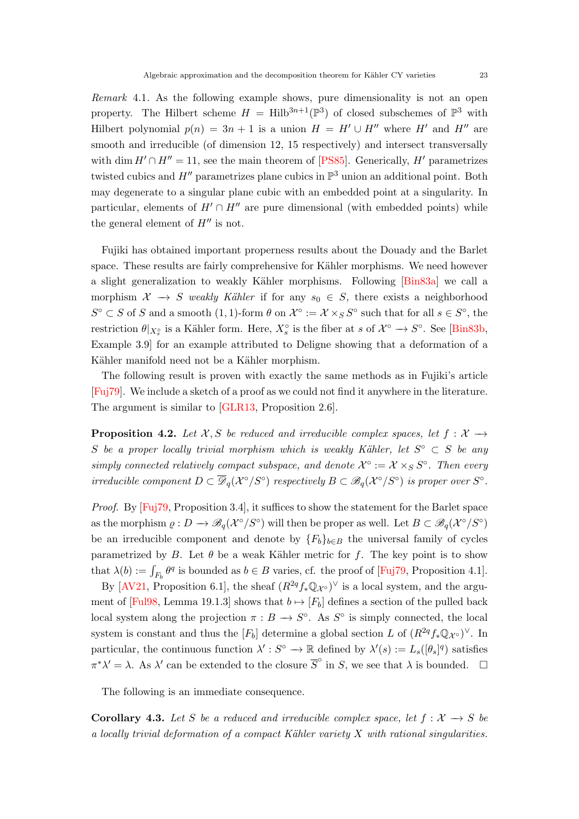<span id="page-22-2"></span>Remark 4.1. As the following example shows, pure dimensionality is not an open property. The Hilbert scheme  $H = Hilb^{3n+1}(\mathbb{P}^3)$  of closed subschemes of  $\mathbb{P}^3$  with Hilbert polynomial  $p(n) = 3n + 1$  is a union  $H = H' \cup H''$  where H' and H'' are smooth and irreducible (of dimension 12, 15 respectively) and intersect transversally with dim  $H' \cap H'' = 11$ , see the main theorem of [\[PS85\]](#page-45-8). Generically, H' parametrizes twisted cubics and  $H''$  parametrizes plane cubics in  $\mathbb{P}^3$  union an additional point. Both may degenerate to a singular plane cubic with an embedded point at a singularity. In particular, elements of  $H' \cap H''$  are pure dimensional (with embedded points) while the general element of  $H''$  is not.

Fujiki has obtained important properness results about the Douady and the Barlet space. These results are fairly comprehensive for Kähler morphisms. We need however a slight generalization to weakly Kähler morphisms. Following [\[Bin83a\]](#page-42-8) we call a morphism  $\mathcal{X} \to S$  weakly Kähler if for any  $s_0 \in S$ , there exists a neighborhood  $S^{\circ} \subset S$  of S and a smooth (1, 1)-form  $\theta$  on  $\mathcal{X}^{\circ} := \mathcal{X} \times_S S^{\circ}$  such that for all  $s \in S^{\circ}$ , the restriction  $\theta|_{X_s^{\circ}}$  is a Kähler form. Here,  $X_s^{\circ}$  is the fiber at s of  $\mathcal{X}^{\circ} \to S^{\circ}$ . See [\[Bin83b,](#page-42-9) Example 3.9] for an example attributed to Deligne showing that a deformation of a Kähler manifold need not be a Kähler morphism.

The following result is proven with exactly the same methods as in Fujiki's article [\[Fuj79\]](#page-43-7). We include a sketch of a proof as we could not find it anywhere in the literature. The argument is similar to [\[GLR13,](#page-44-15) Proposition 2.6].

<span id="page-22-0"></span>**Proposition 4.2.** Let  $\mathcal{X}, S$  be reduced and irreducible complex spaces, let  $f : \mathcal{X} \rightarrow$ S be a proper locally trivial morphism which is weakly Kähler, let  $S^{\circ} \subset S$  be any simply connected relatively compact subspace, and denote  $\mathcal{X}^{\circ} := \mathcal{X} \times_S S^{\circ}$ . Then every irreducible component  $D \subset \overline{\mathscr{D}}_q(\mathcal{X}^\circ/S^\circ)$  respectively  $B \subset \mathscr{B}_q(\mathcal{X}^\circ/S^\circ)$  is proper over  $S^\circ$ .

Proof. By [\[Fuj79,](#page-43-7) Proposition 3.4], it suffices to show the statement for the Barlet space as the morphism  $\rho: D \to \mathscr{B}_q(\mathcal{X}^\circ/S^\circ)$  will then be proper as well. Let  $B \subset \mathscr{B}_q(\mathcal{X}^\circ/S^\circ)$ be an irreducible component and denote by  ${F_b}_{b \in B}$  the universal family of cycles parametrized by B. Let  $\theta$  be a weak Kähler metric for f. The key point is to show that  $\lambda(b) := \int_{F_b} \theta^q$  is bounded as  $b \in B$  varies, cf. the proof of [\[Fuj79,](#page-43-7) Proposition 4.1].

By [\[AV21,](#page-42-3) Proposition 6.1], the sheaf  $(R^{2q} f_* \mathbb{Q}_{\mathcal{X}^{\circ}})^{\vee}$  is a local system, and the argu-ment of [\[Ful98,](#page-43-14) Lemma 19.1.3] shows that  $b \mapsto [F_b]$  defines a section of the pulled back local system along the projection  $\pi : B \to S^{\circ}$ . As  $S^{\circ}$  is simply connected, the local system is constant and thus the  $[F_b]$  determine a global section L of  $(R^{2q} f_* \mathbb{Q}_{\mathcal{X}^{\circ}})^{\vee}$ . In particular, the continuous function  $\lambda': S^{\circ} \to \mathbb{R}$  defined by  $\lambda'(s) := L_s([\theta_s]^q)$  satisfies  $\pi^* \lambda' = \lambda$ . As  $\lambda'$  can be extended to the closure  $\overline{S}^{\circ}$  in S, we see that  $\lambda$  is bounded.  $\square$ 

The following is an immediate consequence.

<span id="page-22-1"></span>**Corollary 4.3.** Let S be a reduced and irreducible complex space, let  $f : \mathcal{X} \rightarrow S$  be a locally trivial deformation of a compact Kähler variety  $X$  with rational singularities.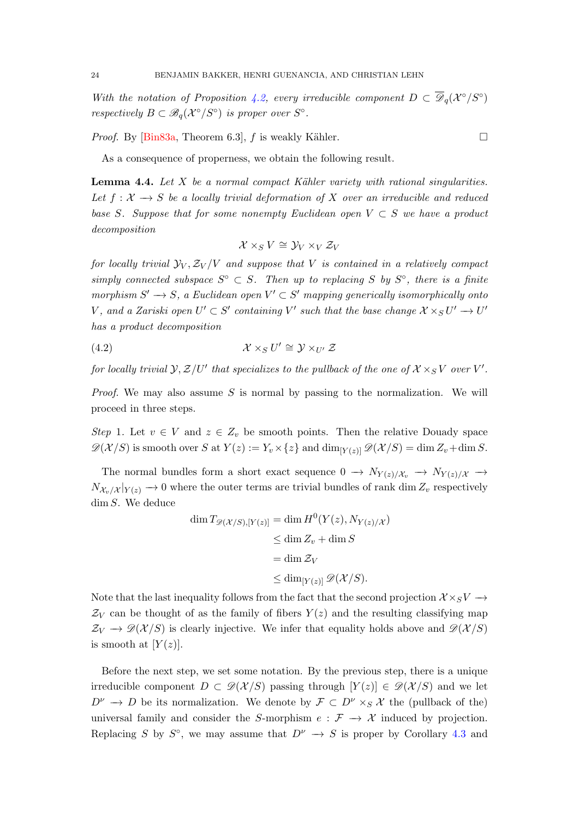<span id="page-23-1"></span>With the notation of Proposition [4.2,](#page-22-0) every irreducible component  $D \subset \overline{D}_q(X^{\circ}/S^{\circ})$ respectively  $B \subset \mathscr{B}_q(\mathcal{X}^\circ/S^\circ)$  is proper over  $S^\circ$ .

*Proof.* By [\[Bin83a,](#page-42-8) Theorem 6.3],  $f$  is weakly Kähler.

As a consequence of properness, we obtain the following result.

<span id="page-23-0"></span>**Lemma 4.4.** Let  $X$  be a normal compact Kähler variety with rational singularities. Let  $f: \mathcal{X} \longrightarrow S$  be a locally trivial deformation of X over an irreducible and reduced base S. Suppose that for some nonempty Euclidean open  $V \subset S$  we have a product decomposition

$$
\mathcal{X} \times_S V \cong \mathcal{Y}_V \times_V \mathcal{Z}_V
$$

for locally trivial  $\mathcal{Y}_V, \mathcal{Z}_V / V$  and suppose that V is contained in a relatively compact simply connected subspace  $S^{\circ} \subset S$ . Then up to replacing S by  $S^{\circ}$ , there is a finite morphism  $S' \to S$ , a Euclidean open  $V' \subset S'$  mapping generically isomorphically onto V, and a Zariski open  $U' \subset S'$  containing V' such that the base change  $\mathcal{X} \times_S U' \to U'$ has a product decomposition

(4.2) 
$$
\mathcal{X} \times_S U' \cong \mathcal{Y} \times_{U'} \mathcal{Z}
$$

for locally trivial  $\mathcal{Y}, \mathcal{Z}/U'$  that specializes to the pullback of the one of  $\mathcal{X} \times_S V$  over  $V'.$ 

*Proof.* We may also assume S is normal by passing to the normalization. We will proceed in three steps.

Step 1. Let  $v \in V$  and  $z \in Z_v$  be smooth points. Then the relative Douady space  $\mathscr{D}(\mathcal{X}/S)$  is smooth over S at  $Y(z) := Y_v \times \{z\}$  and  $\dim_{[Y(z)]} \mathscr{D}(\mathcal{X}/S) = \dim Z_v + \dim S$ .

The normal bundles form a short exact sequence  $0 \to N_{Y(z)/\mathcal{X}_v} \to N_{Y(z)/\mathcal{X}} \to$  $N_{\mathcal{X}_v/\mathcal{X}}|_{Y(z)} \to 0$  where the outer terms are trivial bundles of rank dim  $Z_v$  respectively dim S. We deduce

$$
\dim T_{\mathscr{D}(\mathcal{X}/S),[Y(z)]} = \dim H^0(Y(z), N_{Y(z)/\mathcal{X}})
$$
  
\n
$$
\leq \dim Z_v + \dim S
$$
  
\n
$$
= \dim \mathcal{Z}_V
$$
  
\n
$$
\leq \dim_{[Y(z)]} \mathscr{D}(\mathcal{X}/S).
$$

Note that the last inequality follows from the fact that the second projection  $\mathcal{X} \times_S V \longrightarrow$  $\mathcal{Z}_V$  can be thought of as the family of fibers  $Y(z)$  and the resulting classifying map  $\mathcal{Z}_V \to \mathscr{D}(\mathcal{X}/S)$  is clearly injective. We infer that equality holds above and  $\mathscr{D}(\mathcal{X}/S)$ is smooth at  $[Y(z)]$ .

Before the next step, we set some notation. By the previous step, there is a unique irreducible component  $D \subset \mathscr{D}(\mathcal{X}/S)$  passing through  $[Y(z)] \in \mathscr{D}(\mathcal{X}/S)$  and we let  $D^{\nu} \to D$  be its normalization. We denote by  $\mathcal{F} \subset D^{\nu} \times_S \mathcal{X}$  the (pullback of the) universal family and consider the S-morphism  $e : \mathcal{F} \to \mathcal{X}$  induced by projection. Replacing S by  $S^{\circ}$ , we may assume that  $D^{\nu} \to S$  is proper by Corollary [4.3](#page-22-1) and

$$
\Box
$$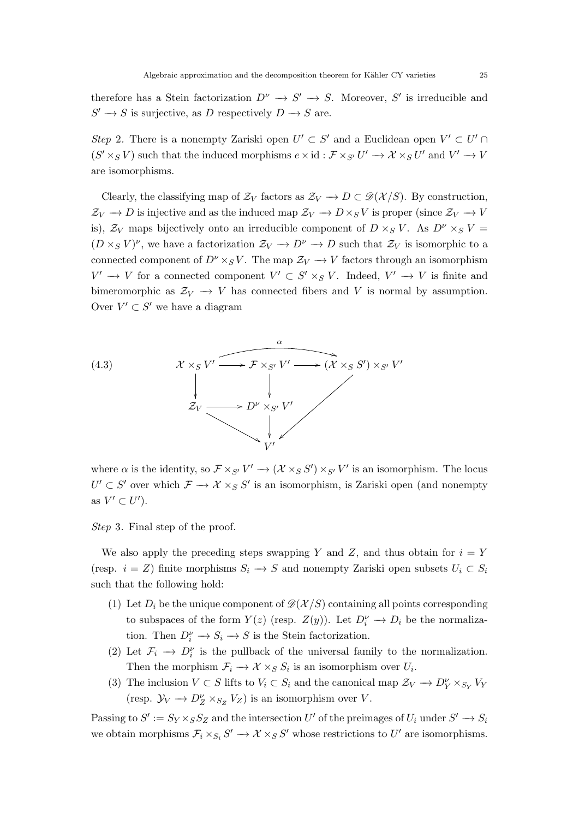therefore has a Stein factorization  $D^{\nu} \to S' \to S$ . Moreover, S' is irreducible and  $S' \to S$  is surjective, as D respectively  $D \to S$  are.

Step 2. There is a nonempty Zariski open  $U' \subset S'$  and a Euclidean open  $V' \subset U'$  $(S' \times_S V)$  such that the induced morphisms  $e \times id : \mathcal{F} \times_{S'} U' \to \mathcal{X} \times_S U'$  and  $V' \to V$ are isomorphisms.

Clearly, the classifying map of  $\mathcal{Z}_V$  factors as  $\mathcal{Z}_V \to D \subset \mathscr{D}(\mathcal{X}/S)$ . By construction,  $\mathcal{Z}_V \to D$  is injective and as the induced map  $\mathcal{Z}_V \to D \times_S V$  is proper (since  $\mathcal{Z}_V \to V$ is),  $\mathcal{Z}_V$  maps bijectively onto an irreducible component of  $D \times_S V$ . As  $D^{\nu} \times_S V =$  $(D \times_S V)^\nu$ , we have a factorization  $\mathcal{Z}_V \to D^\nu \to D$  such that  $\mathcal{Z}_V$  is isomorphic to a connected component of  $D^{\nu} \times_S V$ . The map  $\mathcal{Z}_V \to V$  factors through an isomorphism  $V' \to V$  for a connected component  $V' \subset S' \times_S V$ . Indeed,  $V' \to V$  is finite and bimeromorphic as  $\mathcal{Z}_V \to V$  has connected fibers and V is normal by assumption. Over  $V' \subset S'$  we have a diagram



where  $\alpha$  is the identity, so  $\mathcal{F} \times_{S'} V' \to (\mathcal{X} \times_S S') \times_{S'} V'$  is an isomorphism. The locus  $U' \subset S'$  over which  $\mathcal{F} \to \mathcal{X} \times_S S'$  is an isomorphism, is Zariski open (and nonempty as  $V' \subset U'$ ).

Step 3. Final step of the proof.

We also apply the preceding steps swapping Y and Z, and thus obtain for  $i = Y$ (resp.  $i = Z$ ) finite morphisms  $S_i \to S$  and nonempty Zariski open subsets  $U_i \subset S_i$ such that the following hold:

- (1) Let  $D_i$  be the unique component of  $\mathscr{D}(\mathcal{X}/S)$  containing all points corresponding to subspaces of the form  $Y(z)$  (resp.  $Z(y)$ ). Let  $D_i^{\nu} \to D_i$  be the normalization. Then  $D_i^{\nu} \to S_i \to S$  is the Stein factorization.
- (2) Let  $\mathcal{F}_i \to D_i^{\nu}$  is the pullback of the universal family to the normalization. Then the morphism  $\mathcal{F}_i \to \mathcal{X} \times_S S_i$  is an isomorphism over  $U_i$ .
- (3) The inclusion  $V \subset S$  lifts to  $V_i \subset S_i$  and the canonical map  $\mathcal{Z}_V \to D_Y^{\nu} \times_{S_Y} V_Y$ (resp.  $\mathcal{Y}_V \longrightarrow D_Z^{\nu} \times_{S_Z} V_Z$ ) is an isomorphism over V.

Passing to  $S' := S_Y \times_S S_Z$  and the intersection U' of the preimages of  $U_i$  under  $S' \to S_i$ we obtain morphisms  $\mathcal{F}_i \times_{S_i} S' \to \mathcal{X} \times_S S'$  whose restrictions to U' are isomorphisms.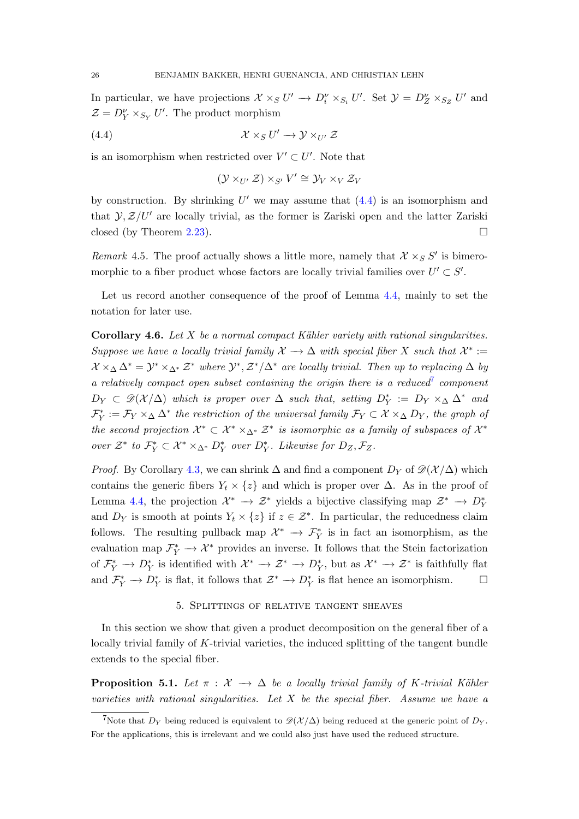In particular, we have projections  $\mathcal{X} \times_S U' \to D_i^{\nu} \times_{S_i} U'$ . Set  $\mathcal{Y} = D_Z^{\nu} \times_{S_Z} U'$  and  $\mathcal{Z} = D_Y^{\nu} \times_{S_Y} U'$ . The product morphism

(4.4) 
$$
\mathcal{X} \times_S U' \to \mathcal{Y} \times_{U'} \mathcal{Z}
$$

is an isomorphism when restricted over  $V' \subset U'$ . Note that

<span id="page-25-1"></span>
$$
(\mathcal{Y} \times_{U'} \mathcal{Z}) \times_{S'} V' \cong \mathcal{Y}_V \times_V \mathcal{Z}_V
$$

by construction. By shrinking  $U'$  we may assume that  $(4.4)$  is an isomorphism and that  $\mathcal{Y}, \mathcal{Z}/U'$  are locally trivial, as the former is Zariski open and the latter Zariski closed (by Theorem [2.23\)](#page-11-1).

Remark 4.5. The proof actually shows a little more, namely that  $\mathcal{X} \times_S S'$  is bimeromorphic to a fiber product whose factors are locally trivial families over  $U' \subset S'$ .

Let us record another consequence of the proof of Lemma [4.4,](#page-23-0) mainly to set the notation for later use.

<span id="page-25-4"></span>**Corollary 4.6.** Let  $X$  be a normal compact Kähler variety with rational singularities. Suppose we have a locally trivial family  $\mathcal{X} \to \Delta$  with special fiber X such that  $\mathcal{X}^* :=$  $\mathcal{X} \times_{\Delta} \Delta^* = \mathcal{Y}^* \times_{\Delta^*} \mathcal{Z}^*$  where  $\mathcal{Y}^*, \mathcal{Z}^*/\Delta^*$  are locally trivial. Then up to replacing  $\Delta$  by a relatively compact open subset containing the origin there is a reduced<sup>[7](#page-25-2)</sup> component  $D_Y \subset \mathscr{D}(\mathcal{X}/\Delta)$  which is proper over  $\Delta$  such that, setting  $D_Y^* := D_Y \times_{\Delta} \Delta^*$  and  $\mathcal{F}_Y^* := \mathcal{F}_Y \times_\Delta \Delta^*$  the restriction of the universal family  $\mathcal{F}_Y \subset \mathcal{X} \times_\Delta D_Y$ , the graph of the second projection  $\mathcal{X}^* \subset \mathcal{X}^* \times_{\Delta^*} \mathcal{Z}^*$  is isomorphic as a family of subspaces of  $\mathcal{X}^*$ over  $\mathcal{Z}^*$  to  $\mathcal{F}_Y^* \subset \mathcal{X}^* \times_{\Delta^*} D_Y^*$  over  $D_Y^*$ . Likewise for  $D_Z, \mathcal{F}_Z$ .

*Proof.* By Corollary [4.3,](#page-22-1) we can shrink  $\Delta$  and find a component  $D_Y$  of  $\mathscr{D}(\mathcal{X}/\Delta)$  which contains the generic fibers  $Y_t \times \{z\}$  and which is proper over  $\Delta$ . As in the proof of Lemma [4.4,](#page-23-0) the projection  $\mathcal{X}^* \to \mathcal{Z}^*$  yields a bijective classifying map  $\mathcal{Z}^* \to D_Y^*$ and  $D_Y$  is smooth at points  $Y_t \times \{z\}$  if  $z \in \mathcal{Z}^*$ . In particular, the reducedness claim follows. The resulting pullback map  $\mathcal{X}^* \to \mathcal{F}_Y^*$  is in fact an isomorphism, as the evaluation map  $\mathcal{F}_Y^* \to \mathcal{X}^*$  provides an inverse. It follows that the Stein factorization of  $\mathcal{F}_Y^* \to D_Y^*$  is identified with  $\mathcal{X}^* \to \mathcal{Z}^* \to D_Y^*$ , but as  $\mathcal{X}^* \to \mathcal{Z}^*$  is faithfully flat and  $\mathcal{F}_Y^* \to D_Y^*$  is flat, it follows that  $\mathcal{Z}^* \to D_Y^*$  is flat hence an isomorphism.  $\Box$ 

### 5. Splittings of relative tangent sheaves

<span id="page-25-0"></span>In this section we show that given a product decomposition on the general fiber of a locally trivial family of K-trivial varieties, the induced splitting of the tangent bundle extends to the special fiber.

<span id="page-25-3"></span>**Proposition 5.1.** Let  $\pi$  :  $\mathcal{X} \rightarrow \Delta$  be a locally trivial family of K-trivial Kähler varieties with rational singularities. Let  $X$  be the special fiber. Assume we have a

<span id="page-25-2"></span><sup>&</sup>lt;sup>7</sup>Note that  $D_Y$  being reduced is equivalent to  $\mathcal{D}(\mathcal{X}/\Delta)$  being reduced at the generic point of  $D_Y$ . For the applications, this is irrelevant and we could also just have used the reduced structure.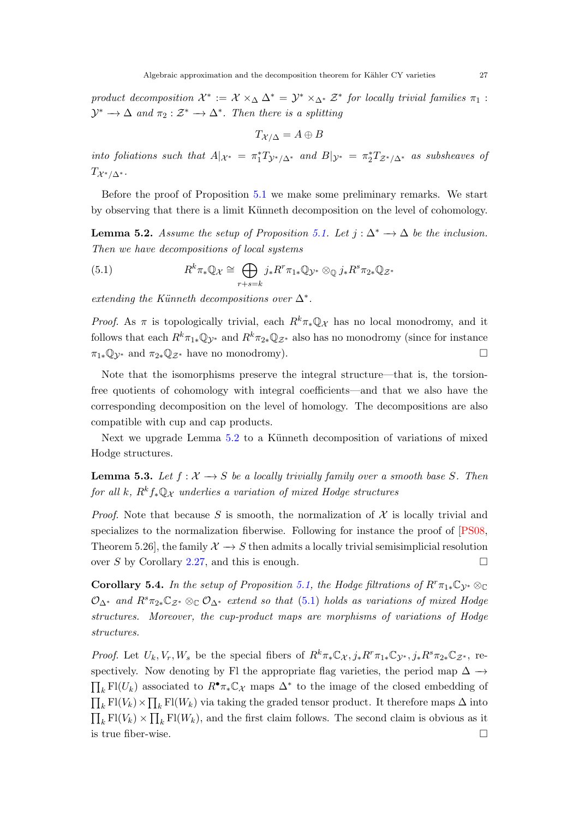<span id="page-26-3"></span>product decomposition  $\mathcal{X}^* := \mathcal{X} \times_{\Delta} \Delta^* = \mathcal{Y}^* \times_{\Delta^*} \mathcal{Z}^*$  for locally trivial families  $\pi_1$ :  $\mathcal{Y}^* \to \Delta$  and  $\pi_2 : \mathcal{Z}^* \to \Delta^*$ . Then there is a splitting

$$
T_{\mathcal{X}/\Delta}=A\oplus B
$$

into foliations such that  $A|_{\mathcal{X}^*} = \pi_1^* T_{\mathcal{Y}^*/\Delta^*}$  and  $B|_{\mathcal{Y}^*} = \pi_2^* T_{\mathcal{Z}^*/\Delta^*}$  as subsheaves of  $T_{\mathcal{X}^*/\Delta^*}.$ 

Before the proof of Proposition [5.1](#page-25-3) we make some preliminary remarks. We start by observing that there is a limit K¨unneth decomposition on the level of cohomology.

<span id="page-26-0"></span>**Lemma 5.2.** Assume the setup of Proposition [5.1.](#page-25-3) Let  $j : \Delta^* \to \Delta$  be the inclusion. Then we have decompositions of local systems

<span id="page-26-1"></span>(5.1) 
$$
R^k \pi_* \mathbb{Q}_{\mathcal{X}} \cong \bigoplus_{r+s=k} j_* R^r \pi_{1*} \mathbb{Q}_{\mathcal{Y}^*} \otimes_{\mathbb{Q}} j_* R^s \pi_{2*} \mathbb{Q}_{\mathcal{Z}^*}
$$

extending the Künneth decompositions over  $\Delta^*$ .

*Proof.* As  $\pi$  is topologically trivial, each  $R^k \pi_* \mathbb{Q}_\mathcal{X}$  has no local monodromy, and it follows that each  $R^k \pi_{1*} \mathbb{Q}_{\mathcal{V}^*}$  and  $R^k \pi_{2*} \mathbb{Q}_{\mathcal{Z}^*}$  also has no monodromy (since for instance  $\pi_{1*}\mathbb{Q}_{\mathcal{V}^*}$  and  $\pi_{2*}\mathbb{Q}_{\mathcal{Z}^*}$  have no monodromy).

Note that the isomorphisms preserve the integral structure—that is, the torsionfree quotients of cohomology with integral coefficients—and that we also have the corresponding decomposition on the level of homology. The decompositions are also compatible with cup and cap products.

Next we upgrade Lemma [5.2](#page-26-0) to a Künneth decomposition of variations of mixed Hodge structures.

**Lemma 5.3.** Let  $f : \mathcal{X} \to S$  be a locally trivially family over a smooth base S. Then for all k,  $R^k f_* \mathbb{Q}_{\mathcal{X}}$  underlies a variation of mixed Hodge structures

*Proof.* Note that because S is smooth, the normalization of  $X$  is locally trivial and specializes to the normalization fiberwise. Following for instance the proof of [\[PS08,](#page-45-9) Theorem 5.26], the family  $\mathcal{X} \to S$  then admits a locally trivial semisimplicial resolution over S by Corollary [2.27,](#page-12-0) and this is enough.  $\square$ 

<span id="page-26-2"></span>**Corollary 5.4.** In the setup of Proposition [5.1,](#page-25-3) the Hodge filtrations of  $R^r \pi_{1*} \mathbb{C}_{\mathcal{Y}^*} \otimes_{\mathbb{C}}$  $\mathcal{O}_{\Delta^*}$  and  $R^s\pi_{2*}\mathbb{C}_{\mathcal{Z}^*}\otimes_{\mathbb{C}}\mathcal{O}_{\Delta^*}$  extend so that [\(5.1\)](#page-26-1) holds as variations of mixed Hodge structures. Moreover, the cup-product maps are morphisms of variations of Hodge structures.

*Proof.* Let  $U_k, V_r, W_s$  be the special fibers of  $R^k \pi_* \mathbb{C}_X$ ,  $j_* R^r \pi_{1*} \mathbb{C}_{\mathcal{V}^*}, j_* R^s \pi_{2*} \mathbb{C}_{\mathcal{Z}^*}$ , respectively. Now denoting by Fl the appropriate flag varieties, the period map  $\Delta \rightarrow$  $\prod_k$  Fl(U<sub>k</sub>) associated to R<sup>•</sup>π<sub>∗</sub>C<sub>λ</sub> maps  $\Delta^*$  to the image of the closed embedding of  $\prod_k$  Fl(V<sub>k</sub>) ×  $\prod_k$  Fl(W<sub>k</sub>) via taking the graded tensor product. It therefore maps  $\Delta$  into  $\prod_k$  Fl(V<sub>k</sub>) ×  $\prod_k$  Fl(W<sub>k</sub>), and the first claim follows. The second claim is obvious as it is true fiber-wise.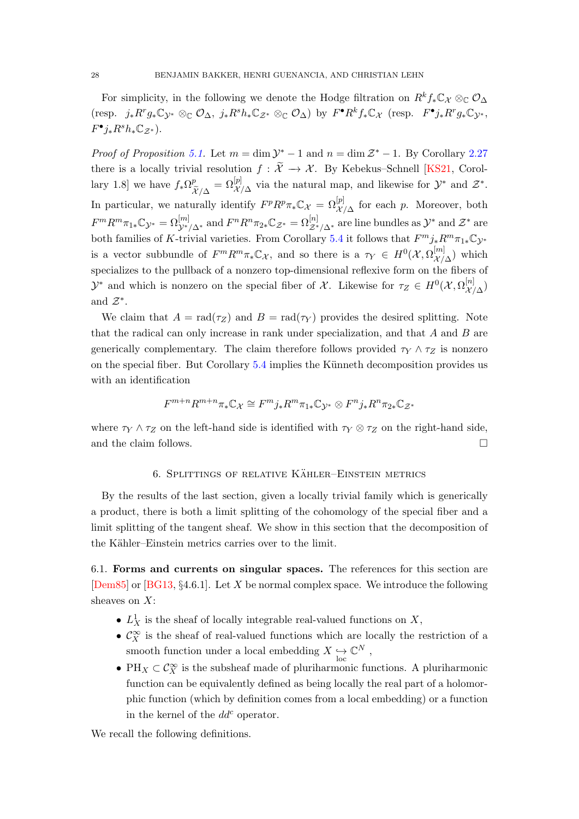<span id="page-27-2"></span>For simplicity, in the following we denote the Hodge filtration on  $R^kf_*\mathbb{C}_\mathcal{X}\otimes_\mathbb{C} \mathcal{O}_\Lambda$ (resp.  $j_* R^r g_* \mathbb{C}_{\mathcal{Y}^*} \otimes_{\mathbb{C}} \mathcal{O}_{\Delta}$ ,  $j_* R^s h_* \mathbb{C}_{\mathcal{Z}^*} \otimes_{\mathbb{C}} \mathcal{O}_{\Delta}$ ) by  $F^{\bullet} R^k f_* \mathbb{C}_{\mathcal{X}}$  (resp.  $F^{\bullet} j_* R^r g_* \mathbb{C}_{\mathcal{Y}^*}$ ,  $F^{\bullet}j_{*}R^{s}h_{*}\mathbb{C}_{\mathcal{Z}^{*}}).$ 

*Proof of Proposition [5.1.](#page-25-3)* Let  $m = \dim \mathcal{Y}^* - 1$  and  $n = \dim \mathcal{Z}^* - 1$ . By Corollary [2.27](#page-12-0) there is a locally trivial resolution  $f : \widetilde{X} \to \mathcal{X}$ . By Kebekus–Schnell [\[KS21,](#page-45-0) Corollary 1.8] we have  $f_*\Omega^p$  $\mathcal{X}/\Delta$  $=\Omega^{[p]}_{\mathcal{X}/\Delta}$  via the natural map, and likewise for  $\mathcal{Y}^*$  and  $\mathcal{Z}^*$ . In particular, we naturally identify  $F^p R^p \pi_* \mathbb{C}_\mathcal{X} = \Omega^{[p]}_{\mathcal{X}/\Delta}$  for each p. Moreover, both  $F^m R^m \pi_{1*} \mathbb{C}_{\mathcal{Y}^*} = \Omega^{[m]}_{\mathcal{Y}^*/\Delta^*}$  and  $F^n R^n \pi_{2*} \mathbb{C}_{\mathcal{Z}^*} = \Omega^{[n]}_{\mathcal{Z}^*/\Delta^*}$  are line bundles as  $\mathcal{Y}^*$  and  $\mathcal{Z}^*$  are both families of K-trivial varieties. From Corollary [5.4](#page-26-2) it follows that  $F^m j_* R^m \pi_{1*} \mathbb{C}_{\mathcal{Y}^*}$ is a vector subbundle of  $F^m R^m \pi_* \mathbb{C}_{\mathcal{X}}$ , and so there is a  $\tau_Y \in H^0(\mathcal{X}, \Omega^{[m]}_{\mathcal{X}'}$  $\chi^{[m]}_{\lambda/\Delta}$  which specializes to the pullback of a nonzero top-dimensional reflexive form on the fibers of  $\mathcal{Y}^*$  and which is nonzero on the special fiber of X. Likewise for  $\tau_Z \in H^0(\mathcal{X}, \Omega_{\mathcal{X}}^{[n]}$  $\chi^{\left[ n\right] }_{\left[ \mathcal{X}\right] \Delta} )$ and  $\mathcal{Z}^*$ .

We claim that  $A = rad(\tau_Z)$  and  $B = rad(\tau_Y)$  provides the desired splitting. Note that the radical can only increase in rank under specialization, and that A and B are generically complementary. The claim therefore follows provided  $\tau_Y \wedge \tau_Z$  is nonzero on the special fiber. But Corollary  $5.4$  implies the Künneth decomposition provides us with an identification

$$
F^{m+n}R^{m+n}\pi_{*}\mathbb{C}_{\mathcal{X}}\cong F^{m}j_{*}R^{m}\pi_{1*}\mathbb{C}_{\mathcal{Y}^{*}}\otimes F^{n}j_{*}R^{n}\pi_{2*}\mathbb{C}_{\mathcal{Z}^{*}}
$$

where  $\tau_Y \wedge \tau_Z$  on the left-hand side is identified with  $\tau_Y \otimes \tau_Z$  on the right-hand side, and the claim follows.  $\Box$ 

# 6. SPLITTINGS OF RELATIVE KÄHLER–EINSTEIN METRICS

<span id="page-27-0"></span>By the results of the last section, given a locally trivial family which is generically a product, there is both a limit splitting of the cohomology of the special fiber and a limit splitting of the tangent sheaf. We show in this section that the decomposition of the Kähler–Einstein metrics carries over to the limit.

<span id="page-27-1"></span>6.1. Forms and currents on singular spaces. The references for this section are [\[Dem85\]](#page-43-15) or [\[BG13,](#page-42-10) §4.6.1]. Let X be normal complex space. We introduce the following sheaves on  $X$ :

- $L_X^1$  is the sheaf of locally integrable real-valued functions on X,
- $\bullet$   $\mathcal{C}^\infty_X$  is the sheaf of real-valued functions which are locally the restriction of a smooth function under a local embedding  $X \underset{\text{loc}}{\rightarrow}$  $\mathbb{C}^N$  ,
- PH<sub>X</sub>  $\subset \mathcal{C}_X^{\infty}$  is the subsheaf made of pluriharmonic functions. A pluriharmonic function can be equivalently defined as being locally the real part of a holomorphic function (which by definition comes from a local embedding) or a function in the kernel of the  $dd^c$  operator.

We recall the following definitions.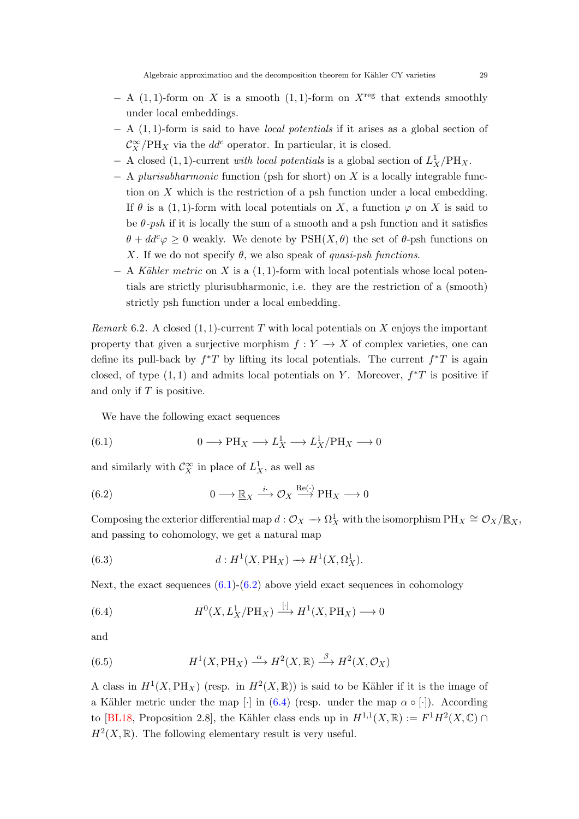- <span id="page-28-5"></span> $- A$  (1, 1)-form on X is a smooth (1, 1)-form on  $X^{\text{reg}}$  that extends smoothly under local embeddings.
- − A (1, 1)-form is said to have local potentials if it arises as a global section of  $\mathcal{C}_X^{\infty}/\mathrm{PH}_X$  via the  $dd^c$  operator. In particular, it is closed.
- − A closed (1, 1)-current with local potentials is a global section of  $L_X^1/PH_X$ .
- $A$  plurisubharmonic function (psh for short) on X is a locally integrable function on X which is the restriction of a psh function under a local embedding. If  $\theta$  is a (1, 1)-form with local potentials on X, a function  $\varphi$  on X is said to be  $\theta$ -psh if it is locally the sum of a smooth and a psh function and it satisfies  $\theta + dd^c \varphi \geq 0$  weakly. We denote by  $PSH(X, \theta)$  the set of  $\theta$ -psh functions on X. If we do not specify  $\theta$ , we also speak of quasi-psh functions.
- $A$  Kähler metric on X is a  $(1, 1)$ -form with local potentials whose local potentials are strictly plurisubharmonic, i.e. they are the restriction of a (smooth) strictly psh function under a local embedding.

<span id="page-28-4"></span>*Remark* 6.2. A closed  $(1, 1)$ -current T with local potentials on X enjoys the important property that given a surjective morphism  $f: Y \to X$  of complex varieties, one can define its pull-back by  $f^*T$  by lifting its local potentials. The current  $f^*T$  is again closed, of type  $(1, 1)$  and admits local potentials on Y. Moreover,  $f^*T$  is positive if and only if  $T$  is positive.

<span id="page-28-1"></span>We have the following exact sequences

(6.1) 
$$
0 \longrightarrow PH_X \longrightarrow L_X^1 \longrightarrow L_X^1/PH_X \longrightarrow 0
$$

and similarly with  $\mathcal{C}_X^{\infty}$  in place of  $L_X^1$ , as well as

<span id="page-28-2"></span>(6.2) 
$$
0 \longrightarrow \mathbb{R}_X \xrightarrow{i} \mathcal{O}_X \xrightarrow{\text{Re}(\cdot)} \text{PH}_X \longrightarrow 0
$$

Composing the exterior differential map  $d: \mathcal{O}_X \to \Omega^1_X$  with the isomorphism  $PH_X \cong \mathcal{O}_X/\mathbb{R}_X$ , and passing to cohomology, we get a natural map

<span id="page-28-0"></span>(6.3) 
$$
d: H^1(X, \text{PH}_X) \to H^1(X, \Omega^1_X).
$$

Next, the exact sequences  $(6.1)-(6.2)$  $(6.1)-(6.2)$  above yield exact sequences in cohomology

<span id="page-28-3"></span>(6.4) 
$$
H^{0}(X, L_X^1/\text{PH}_X) \xrightarrow{[\cdot]} H^{1}(X, \text{PH}_X) \longrightarrow 0
$$

and

(6.5) 
$$
H^1(X, \text{PH}_X) \xrightarrow{\alpha} H^2(X, \mathbb{R}) \xrightarrow{\beta} H^2(X, \mathcal{O}_X)
$$

A class in  $H^1(X, \text{PH}_X)$  (resp. in  $H^2(X, \mathbb{R})$ ) is said to be Kähler if it is the image of a Kähler metric under the map  $\lceil \cdot \rceil$  in [\(6.4\)](#page-28-3) (resp. under the map  $\alpha \circ \lceil \cdot \rceil$ ). According to [\[BL18,](#page-42-5) Proposition 2.8], the Kähler class ends up in  $H^{1,1}(X,\mathbb{R}) := F^1H^2(X,\mathbb{C}) \cap$  $H<sup>2</sup>(X,\mathbb{R})$ . The following elementary result is very useful.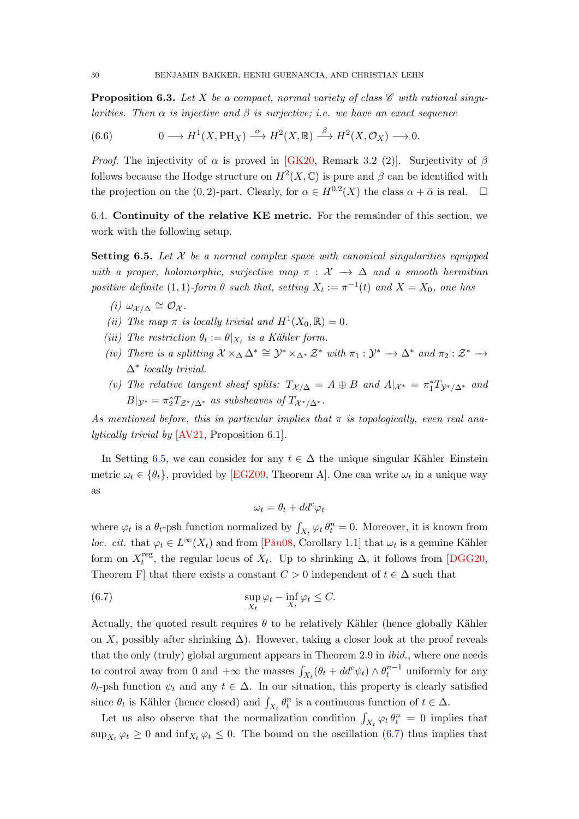<span id="page-29-4"></span><span id="page-29-2"></span>**Proposition 6.3.** Let X be a compact, normal variety of class  $\mathscr{C}$  with rational singularities. Then  $\alpha$  is injective and  $\beta$  is surjective; i.e. we have an exact sequence

<span id="page-29-3"></span>(6.6) 
$$
0 \longrightarrow H^1(X,\text{PH}_X) \stackrel{\alpha}{\longrightarrow} H^2(X,\mathbb{R}) \stackrel{\beta}{\longrightarrow} H^2(X,\mathcal{O}_X) \longrightarrow 0.
$$

*Proof.* The injectivity of  $\alpha$  is proved in [\[GK20,](#page-44-16) Remark 3.2 (2)]. Surjectivity of  $\beta$ follows because the Hodge structure on  $H^2(X, \mathbb{C})$  is pure and  $\beta$  can be identified with the projection on the (0, 2)-part. Clearly, for  $\alpha \in H^{0,2}(X)$  the class  $\alpha + \bar{\alpha}$  is real.  $\Box$ 

6.4. Continuity of the relative KE metric. For the remainder of this section, we work with the following setup.

<span id="page-29-0"></span>**Setting 6.5.** Let  $X$  be a normal complex space with canonical singularities equipped with a proper, holomorphic, surjective map  $\pi : \mathcal{X} \to \Delta$  and a smooth hermitian positive definite (1, 1)-form  $\theta$  such that, setting  $X_t := \pi^{-1}(t)$  and  $X = X_0$ , one has

- (*i*)  $\omega_{\mathcal{X}/\Delta} \cong \mathcal{O}_{\mathcal{X}}$ .
- (ii) The map  $\pi$  is locally trivial and  $H^1(X_0,\mathbb{R})=0$ .
- (iii) The restriction  $\theta_t := \theta|_{X_t}$  is a Kähler form.
- (iv) There is a splitting  $\mathcal{X} \times_{\Delta} \Delta^* \cong \mathcal{Y}^* \times_{\Delta^*} \mathcal{Z}^*$  with  $\pi_1 : \mathcal{Y}^* \to \Delta^*$  and  $\pi_2 : \mathcal{Z}^* \to$ ∆<sup>∗</sup> locally trivial.
- (v) The relative tangent sheaf splits:  $T_{\mathcal{X}/\Delta} = A \oplus B$  and  $A|_{\mathcal{X}^*} = \pi_1^* T_{\mathcal{Y}^*/\Delta^*}$  and  $B|_{\mathcal{Y}^*} = \pi_2^* T_{\mathcal{Z}^*/\Delta^*}$  as subsheaves of  $T_{\mathcal{X}^*/\Delta^*}$ .

As mentioned before, this in particular implies that  $\pi$  is topologically, even real analytically trivial by [\[AV21,](#page-42-3) Proposition 6.1].

In Setting [6.5,](#page-29-0) we can consider for any  $t \in \Delta$  the unique singular Kähler–Einstein metric  $\omega_t \in \{\theta_t\}$ , provided by [\[EGZ09,](#page-43-16) Theorem A]. One can write  $\omega_t$  in a unique way as

<span id="page-29-1"></span>
$$
\omega_t = \theta_t + dd^c \varphi_t
$$

where  $\varphi_t$  is a  $\theta_t$ -psh function normalized by  $\int_{X_t} \varphi_t \theta_t^n = 0$ . Moreover, it is known from loc. cit. that  $\varphi_t \in L^{\infty}(X_t)$  and from [Pău08, Corollary 1.1] that  $\omega_t$  is a genuine Kähler form on  $X_t^{\text{reg}}$ <sup>teg</sup>, the regular locus of  $X_t$ . Up to shrinking  $\Delta$ , it follows from [\[DGG20,](#page-43-17) Theorem F that there exists a constant  $C > 0$  independent of  $t \in \Delta$  such that

(6.7) 
$$
\sup_{X_t} \varphi_t - \inf_{X_t} \varphi_t \leq C.
$$

Actually, the quoted result requires  $\theta$  to be relatively Kähler (hence globally Kähler on X, possibly after shrinking  $\Delta$ ). However, taking a closer look at the proof reveals that the only (truly) global argument appears in Theorem 2.9 in ibid., where one needs to control away from 0 and  $+\infty$  the masses  $\int_{X_t} (\theta_t + dd^c \psi_t) \wedge \theta_t^{n-1}$  uniformly for any  $\theta_t$ -psh function  $\psi_t$  and any  $t \in \Delta$ . In our situation, this property is clearly satisfied since  $\theta_t$  is Kähler (hence closed) and  $\int_{X_t} \theta_t^n$  is a continuous function of  $t \in \Delta$ .

Let us also observe that the normalization condition  $\int_{X_t} \varphi_t \theta_t^n = 0$  implies that  $\sup_{X_t} \varphi_t \geq 0$  and  $\inf_{X_t} \varphi_t \leq 0$ . The bound on the oscillation  $(6.7)$  thus implies that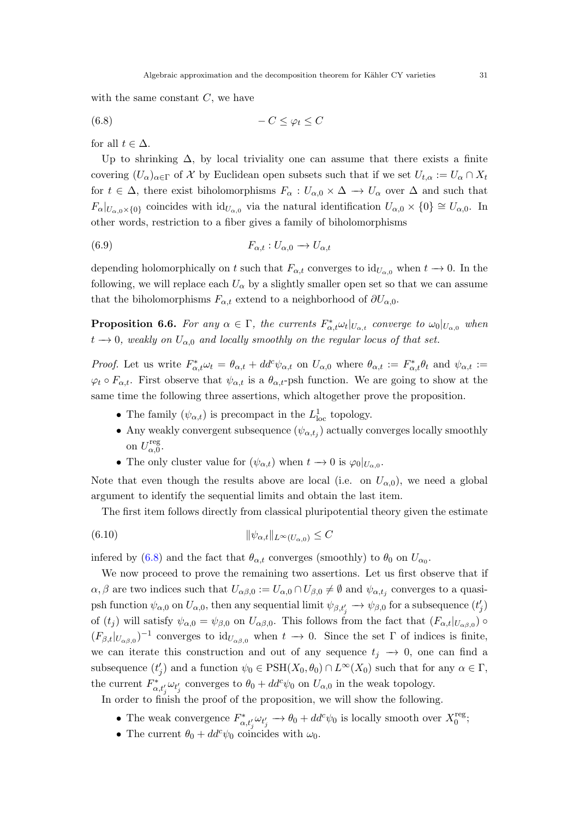with the same constant  $C$ , we have

<span id="page-30-0"></span>
$$
(6.8) \t -C \leq \varphi_t \leq C
$$

for all  $t \in \Delta$ .

Up to shrinking  $\Delta$ , by local triviality one can assume that there exists a finite covering  $(U_\alpha)_{\alpha\in\Gamma}$  of X by Euclidean open subsets such that if we set  $U_{t,\alpha} := U_\alpha \cap X_t$ for  $t \in \Delta$ , there exist biholomorphisms  $F_{\alpha}: U_{\alpha,0} \times \Delta \rightarrow U_{\alpha}$  over  $\Delta$  and such that  $F_{\alpha}|_{U_{\alpha,0}\times\{0\}}$  coincides with  $id_{U_{\alpha,0}}$  via the natural identification  $U_{\alpha,0}\times\{0\}\cong U_{\alpha,0}$ . In other words, restriction to a fiber gives a family of biholomorphisms

$$
(6.9) \t\t F_{\alpha,t}: U_{\alpha,0} \to U_{\alpha,t}
$$

depending holomorphically on t such that  $F_{\alpha,t}$  converges to  $\mathrm{id}_{U_{\alpha,0}}$  when  $t \to 0$ . In the following, we will replace each  $U_{\alpha}$  by a slightly smaller open set so that we can assume that the biholomorphisms  $F_{\alpha,t}$  extend to a neighborhood of  $\partial U_{\alpha,0}$ .

<span id="page-30-1"></span>**Proposition 6.6.** For any  $\alpha \in \Gamma$ , the currents  $F_{\alpha,t}^* \omega_t |_{U_{\alpha,t}}$  converge to  $\omega_0|_{U_{\alpha,0}}$  when  $t \rightarrow 0$ , weakly on  $U_{\alpha,0}$  and locally smoothly on the regular locus of that set.

*Proof.* Let us write  $F_{\alpha,t}^* \omega_t = \theta_{\alpha,t} + dd^c \psi_{\alpha,t}$  on  $U_{\alpha,0}$  where  $\theta_{\alpha,t} := F_{\alpha,t}^* \theta_t$  and  $\psi_{\alpha,t} :=$  $\varphi_t \circ F_{\alpha,t}$ . First observe that  $\psi_{\alpha,t}$  is a  $\theta_{\alpha,t}$ -psh function. We are going to show at the same time the following three assertions, which altogether prove the proposition.

- The family  $(\psi_{\alpha,t})$  is precompact in the  $L^1_{\text{loc}}$  topology.
- Any weakly convergent subsequence  $(\psi_{\alpha,t_j})$  actually converges locally smoothly on  $U_{\alpha,0}^{\text{reg}}$ -reg ${}_{\alpha,0}.$
- The only cluster value for  $(\psi_{\alpha,t})$  when  $t \to 0$  is  $\varphi_0|_{U_{\alpha,0}}$ .

Note that even though the results above are local (i.e. on  $U_{\alpha,0}$ ), we need a global argument to identify the sequential limits and obtain the last item.

The first item follows directly from classical pluripotential theory given the estimate

$$
(6.10) \t\t\t\t\t \|\psi_{\alpha,t}\|_{L^{\infty}(U_{\alpha,0})} \leq C
$$

infered by [\(6.8\)](#page-30-0) and the fact that  $\theta_{\alpha,t}$  converges (smoothly) to  $\theta_0$  on  $U_{\alpha_0}$ .

We now proceed to prove the remaining two assertions. Let us first observe that if  $\alpha, \beta$  are two indices such that  $U_{\alpha\beta,0} := U_{\alpha,0} \cap U_{\beta,0} \neq \emptyset$  and  $\psi_{\alpha,t_j}$  converges to a quasipsh function  $\psi_{\alpha,0}$  on  $U_{\alpha,0}$ , then any sequential limit  $\psi_{\beta,t'_j} \to \psi_{\beta,0}$  for a subsequence  $(t'_j)$ of  $(t_j)$  will satisfy  $\psi_{\alpha,0} = \psi_{\beta,0}$  on  $U_{\alpha\beta,0}$ . This follows from the fact that  $(F_{\alpha,t}|_{U_{\alpha\beta,0}})$  $(F_{\beta,t}|_{U_{\alpha\beta,0}})^{-1}$  converges to  $\mathrm{id}_{U_{\alpha\beta,0}}$  when  $t\to 0$ . Since the set  $\Gamma$  of indices is finite, we can iterate this construction and out of any sequence  $t_i \rightarrow 0$ , one can find a subsequence  $(t'_j)$  and a function  $\psi_0 \in \text{PSH}(X_0, \theta_0) \cap L^{\infty}(X_0)$  such that for any  $\alpha \in \Gamma$ , the current  $F_{\alpha,t'_j}\omega_{t'_j}$  converges to  $\theta_0 + dd^c \psi_0$  on  $U_{\alpha,0}$  in the weak topology.

In order to finish the proof of the proposition, we will show the following.

- The weak convergence  $F_{\alpha,t'_j}^* \omega_{t'_j} \to \theta_0 + dd^c \psi_0$  is locally smooth over  $X_0^{\text{reg}}$  $_0^{\rm reg},$
- The current  $\theta_0 + dd^c \psi_0$  coincides with  $\omega_0$ .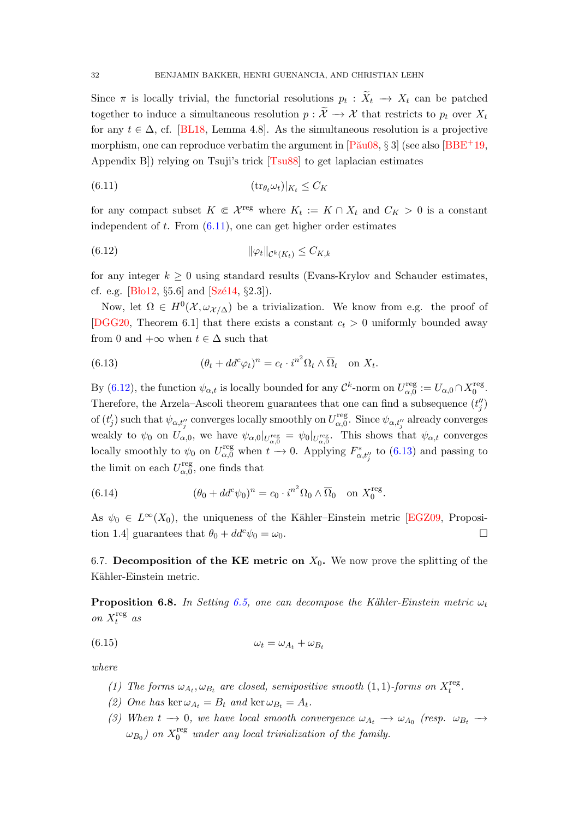<span id="page-31-8"></span>Since  $\pi$  is locally trivial, the functorial resolutions  $p_t: X_t \to X_t$  can be patched together to induce a simultaneous resolution  $p : \widetilde{X} \to \mathcal{X}$  that restricts to  $p_t$  over  $X_t$ for any  $t \in \Delta$ , cf. [\[BL18,](#page-42-5) Lemma 4.8]. As the simultaneous resolution is a projective morphism, one can reproduce verbatim the argument in  $[P\text{au}08, \S 3]$  (see also  $[BBE^+19,$ Appendix B]) relying on Tsuji's trick [\[Tsu88\]](#page-45-11) to get laplacian estimates

<span id="page-31-0"></span>
$$
(6.11) \t\t (tr_{\theta_t} \omega_t)|_{K_t} \le C_K
$$

for any compact subset  $K \in \mathcal{X}^{\text{reg}}$  where  $K_t := K \cap X_t$  and  $C_K > 0$  is a constant independent of  $t$ . From  $(6.11)$ , one can get higher order estimates

<span id="page-31-1"></span>
$$
(6.12) \t\t\t\t\t \|\varphi_t\|_{\mathcal{C}^k(K_t)} \leq C_{K,k}
$$

for any integer  $k \geq 0$  using standard results (Evans-Krylov and Schauder estimates, cf. e.g. [ $B$ lo12,  $\S 5.6$ ] and  $[Sz\acute{e}14, \S 2.3]$ .

Now, let  $\Omega \in H^0(\mathcal{X}, \omega_{\mathcal{X}/\Delta})$  be a trivialization. We know from e.g. the proof of [\[DGG20,](#page-43-17) Theorem 6.1] that there exists a constant  $c_t > 0$  uniformly bounded away from 0 and  $+\infty$  when  $t \in \Delta$  such that

<span id="page-31-2"></span>(6.13) 
$$
(\theta_t + dd^c \varphi_t)^n = c_t \cdot i^{n^2} \Omega_t \wedge \overline{\Omega}_t \quad \text{on } X_t.
$$

By [\(6.12\)](#page-31-1), the function  $\psi_{\alpha,t}$  is locally bounded for any  $\mathcal{C}^k$ -norm on  $U_{\alpha,0}^{\text{reg}}$  $\alpha_{\alpha,0}^{\text{reg}} := U_{\alpha,0} \cap X_0^{\text{reg}}$  $\frac{\text{reg}}{0}$ . Therefore, the Arzela–Ascoli theorem guarantees that one can find a subsequence  $(t''_j)$ of  $(t'_j)$  such that  $\psi_{\alpha,t''_j}$  converges locally smoothly on  $U_{\alpha,0}^{\text{reg}}$ <sup>reg</sup><sub>α,0</sub>. Since  $\psi_{\alpha,t_{j}''}$  already converges weakly to  $\psi_0$  on  $U_{\alpha,0}$ , we have  $\psi_{\alpha,0}|_{U_{\alpha,0}^{\text{reg}}} = \psi_0|_{U_{\alpha,0}^{\text{reg}}}$ . This shows that  $\psi_{\alpha,t}$  converges locally smoothly to  $\psi_0$  on  $U_{\alpha,0}^{\text{reg}}$  when  $t \to 0$ . Applying  $F_{\alpha,t''_j}^*$  to [\(6.13\)](#page-31-2) and passing to the limit on each  $U_{\alpha}^{\text{reg}}$  $\alpha_{\alpha,0}^{\text{reg}}$ , one finds that

(6.14) 
$$
(\theta_0 + dd^c \psi_0)^n = c_0 \cdot i^{n^2} \Omega_0 \wedge \overline{\Omega}_0 \quad \text{on } X_0^{\text{reg}}.
$$

As  $\psi_0 \in L^{\infty}(X_0)$ , the uniqueness of the Kähler–Einstein metric [\[EGZ09,](#page-43-16) Proposition 1.4] guarantees that  $\theta_0 + dd^c \psi_0 = \omega_0$ .

6.7. Decomposition of the KE metric on  $X_0$ . We now prove the splitting of the Kähler-Einstein metric.

<span id="page-31-7"></span>**Proposition 6.8.** In Setting [6.5,](#page-29-0) one can decompose the Kähler-Einstein metric  $\omega_t$ on  $X_t^{\text{reg}}$  $\int_t^{\text{reg}}$  as

$$
\omega_t = \omega_{A_t} + \omega_{B_t}
$$

<span id="page-31-4"></span>where

- <span id="page-31-3"></span>(1) The forms  $\omega_{A_t}, \omega_{B_t}$  are closed, semipositive smooth (1, 1)-forms on  $X_t^{\text{reg}}$  $_t^{\text{reg}}$ .
- <span id="page-31-5"></span>(2) One has ker  $\omega_{A_t} = B_t$  and ker  $\omega_{B_t} = A_t$ .
- <span id="page-31-6"></span>(3) When  $t \to 0$ , we have local smooth convergence  $\omega_{A_t} \to \omega_{A_0}$  (resp.  $\omega_{B_t} \to$  $\omega_{B_0}$ ) on  $X_0^{\text{reg}}$  $_{0}^{\text{reg}}$  under any local trivialization of the family.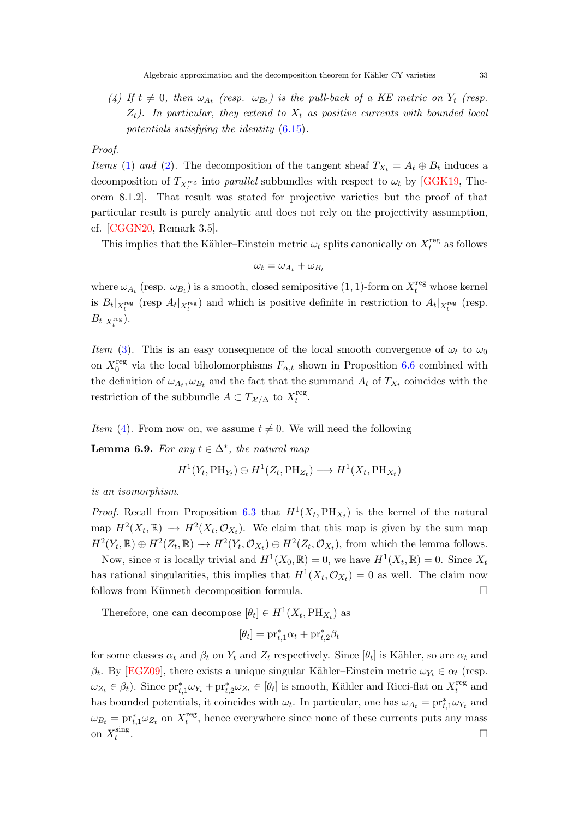<span id="page-32-1"></span><span id="page-32-0"></span>(4) If  $t \neq 0$ , then  $\omega_{A_t}$  (resp.  $\omega_{B_t}$ ) is the pull-back of a KE metric on  $Y_t$  (resp.  $Z_t$ ). In particular, they extend to  $X_t$  as positive currents with bounded local potentials satisfying the identity [\(6.15\)](#page-31-3).

Proof.

*Items* [\(1\)](#page-31-4) and [\(2\)](#page-31-5). The decomposition of the tangent sheaf  $T_{X_t} = A_t \oplus B_t$  induces a decomposition of  $T_{X_t^{\text{reg}}}$  into parallel subbundles with respect to  $\omega_t$  by [\[GGK19,](#page-44-1) Theorem 8.1.2]. That result was stated for projective varieties but the proof of that particular result is purely analytic and does not rely on the projectivity assumption, cf. [\[CGGN20,](#page-43-12) Remark 3.5].

This implies that the Kähler–Einstein metric  $\omega_t$  splits canonically on  $X_t^{\text{reg}}$  $t_t^{\text{reg}}$  as follows

$$
\omega_t = \omega_{A_t} + \omega_{B_t}
$$

where  $\omega_{A_t}$  (resp.  $\omega_{B_t}$ ) is a smooth, closed semipositive (1, 1)-form on  $X_t^{\text{reg}}$  whose kernel is  $B_t|_{X_t^{\text{reg}}}$  (resp  $A_t|_{X_t^{\text{reg}}}$ ) and which is positive definite in restriction to  $A_t|_{X_t^{\text{reg}}}$  (resp.  $B_t|_{X_t^{\text{reg}}}).$ 

Item [\(3\)](#page-31-6). This is an easy consequence of the local smooth convergence of  $\omega_t$  to  $\omega_0$ on  $X_0^{\text{reg}}$ <sup>reg</sup> via the local biholomorphisms  $F_{\alpha,t}$  shown in Proposition [6.6](#page-30-1) combined with the definition of  $\omega_{A_t}, \omega_{B_t}$  and the fact that the summand  $A_t$  of  $T_{X_t}$  coincides with the restriction of the subbundle  $A \subset T_{\mathcal{X}/\Delta}$  to  $X_t^{\text{reg}}$  $_t^{\text{reg}}$ .

Item [\(4\)](#page-32-0). From now on, we assume  $t \neq 0$ . We will need the following

**Lemma 6.9.** For any  $t \in \Delta^*$ , the natural map

$$
H^1(Y_t, \text{PH}_{Y_t}) \oplus H^1(Z_t, \text{PH}_{Z_t}) \longrightarrow H^1(X_t, \text{PH}_{X_t})
$$

is an isomorphism.

*Proof.* Recall from Proposition [6.3](#page-29-2) that  $H^1(X_t, PH_{X_t})$  is the kernel of the natural map  $H^2(X_t, \mathbb{R}) \to H^2(X_t, \mathcal{O}_{X_t})$ . We claim that this map is given by the sum map  $H^2(Y_t, \mathbb{R}) \oplus H^2(Z_t, \mathbb{R}) \to H^2(Y_t, \mathcal{O}_{X_t}) \oplus H^2(Z_t, \mathcal{O}_{X_t}),$  from which the lemma follows.

Now, since  $\pi$  is locally trivial and  $H^1(X_0, \mathbb{R}) = 0$ , we have  $H^1(X_t, \mathbb{R}) = 0$ . Since  $X_t$ has rational singularities, this implies that  $H^1(X_t, \mathcal{O}_{X_t}) = 0$  as well. The claim now follows from Künneth decomposition formula.  $\Box$ 

Therefore, one can decompose  $[\theta_t] \in H^1(X_t, \text{PH}_{X_t})$  as

$$
[\theta_t] = \text{pr}_{t,1}^* \alpha_t + \text{pr}_{t,2}^* \beta_t
$$

for some classes  $\alpha_t$  and  $\beta_t$  on  $Y_t$  and  $Z_t$  respectively. Since  $[\theta_t]$  is Kähler, so are  $\alpha_t$  and β<sub>t</sub>. By [\[EGZ09\]](#page-43-16), there exists a unique singular Kähler–Einstein metric  $ω_{Y_t} ∈ α_t$  (resp.  $\omega_{Z_t} \in \beta_t$ ). Since  $\text{pr}_{t,1}^* \omega_{Y_t} + \text{pr}_{t,2}^* \omega_{Z_t} \in [\theta_t]$  is smooth, Kähler and Ricci-flat on  $X_t^{\text{reg}}$  $t_t^{\text{reg}}$  and has bounded potentials, it coincides with  $\omega_t$ . In particular, one has  $\omega_{A_t} = \text{pr}_{t,1}^* \omega_{Y_t}$  and  $\omega_{B_t} = \mathrm{pr}_{t,1}^* \omega_{Z_t}$  on  $X_t^{\text{reg}}$  $t_t^{\text{reg}}$ , hence everywhere since none of these currents puts any mass on  $X_t^{\text{sing}}$ t . The contract of the contract of the contract of the contract of the contract of the contract of the contract<br>The contract of the contract of the contract of the contract of the contract of the contract of the contract o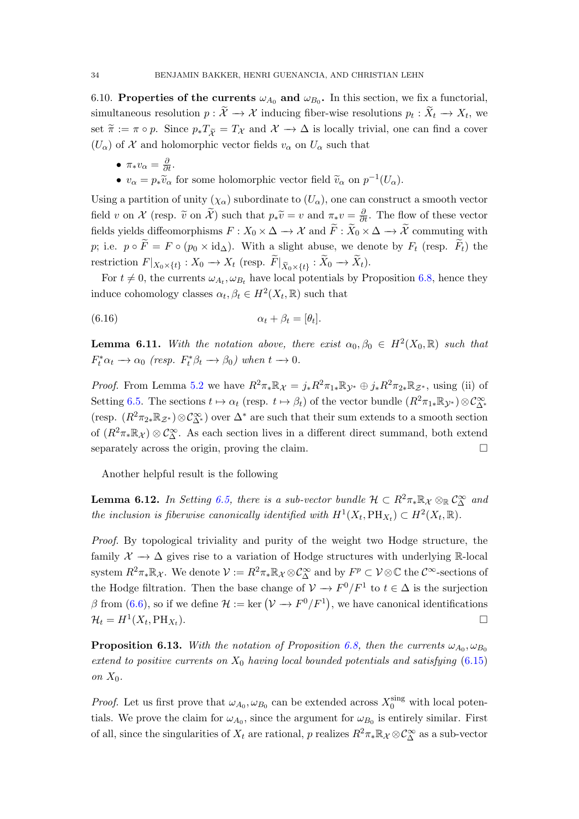6.10. Properties of the currents  $\omega_{A_0}$  and  $\omega_{B_0}$ . In this section, we fix a functorial, simultaneous resolution  $p: \mathcal{X} \to \mathcal{X}$  inducing fiber-wise resolutions  $p_t: X_t \to X_t$ , we set  $\tilde{\pi} := \pi \circ p$ . Since  $p_*T_{\tilde{\chi}} = T_{\mathcal{X}}$  and  $\mathcal{X} \to \Delta$  is locally trivial, one can find a cover  $(U_{\alpha})$  of X and holomorphic vector fields  $v_{\alpha}$  on  $U_{\alpha}$  such that

•  $\pi_* v_\alpha = \frac{\partial}{\partial t}$ . •  $v_{\alpha} = p_{\ast} \tilde{v}_{\alpha}$  for some holomorphic vector field  $\tilde{v}_{\alpha}$  on  $p^{-1}(U_{\alpha})$ .

Using a partition of unity  $(\chi_{\alpha})$  subordinate to  $(U_{\alpha})$ , one can construct a smooth vector field v on X (resp.  $\tilde{v}$  on  $\tilde{X}$ ) such that  $p_*\tilde{v} = v$  and  $\pi_*v = \frac{\partial}{\partial t}$ . The flow of these vector fields yields diffeomorphisms  $F: X_0 \times \Delta \to \mathcal{X}$  and  $\widetilde{F}: \widetilde{X}_0 \times \Delta \to \widetilde{\mathcal{X}}$  commuting with p; i.e.  $p \circ \widetilde{F} = F \circ (p_0 \times \mathrm{id}_{\Delta})$ . With a slight abuse, we denote by  $F_t$  (resp.  $\widetilde{F}_t$ ) the restriction  $F|_{X_0\times\{t\}}: X_0\to X_t$  (resp.  $F|_{\widetilde{X}_0\times\{t\}}: X_0\to X_t$ ).

For  $t \neq 0$ , the currents  $\omega_{A_t}, \omega_{B_t}$  have local potentials by Proposition [6.8,](#page-31-7) hence they induce cohomology classes  $\alpha_t, \beta_t \in H^2(X_t, \mathbb{R})$  such that

$$
\alpha_t + \beta_t = [\theta_t].
$$

<span id="page-33-1"></span>**Lemma 6.11.** With the notation above, there exist  $\alpha_0, \beta_0 \in H^2(X_0, \mathbb{R})$  such that  $F_t^* \alpha_t \to \alpha_0$  (resp.  $F_t^* \beta_t \to \beta_0$ ) when  $t \to 0$ .

*Proof.* From Lemma [5.2](#page-26-0) we have  $R^2 \pi_* \mathbb{R}_{\mathcal{X}} = j_* R^2 \pi_{1*} \mathbb{R}_{\mathcal{Y}^*} \oplus j_* R^2 \pi_{2*} \mathbb{R}_{\mathcal{Z}^*}$ , using (ii) of Setting [6.5.](#page-29-0) The sections  $t \mapsto \alpha_t$  (resp.  $t \mapsto \beta_t$ ) of the vector bundle  $(R^2\pi_{1*}\mathbb{R}_{\mathcal{Y}^*})\otimes \mathcal{C}_{\Delta^*}^{\infty}$ (resp.  $(R^2\pi_{2*}\mathbb{R}_{\mathcal{Z}^*})\otimes\mathcal{C}^{\infty}_{\Delta^*}$ ) over  $\Delta^*$  are such that their sum extends to a smooth section of  $(R^2\pi_*\mathbb{R}_\mathcal{X})\otimes\mathcal{C}_\Delta^\infty$ . As each section lives in a different direct summand, both extend separately across the origin, proving the claim.

Another helpful result is the following

<span id="page-33-0"></span>**Lemma 6.12.** In Setting [6.5,](#page-29-0) there is a sub-vector bundle  $\mathcal{H} \subset R^2\pi_*\mathbb{R}_\mathcal{X}\otimes_{\mathbb{R}}\mathcal{C}^\infty_\Delta$  and the inclusion is fiberwise canonically identified with  $H^1(X_t, \text{PH}_{X_t}) \subset H^2(X_t, \mathbb{R})$ .

Proof. By topological triviality and purity of the weight two Hodge structure, the family  $\mathcal{X} \to \Delta$  gives rise to a variation of Hodge structures with underlying R-local system  $R^2\pi_*\mathbb{R}_\mathcal{X}$ . We denote  $\mathcal{V} := R^2\pi_*\mathbb{R}_\mathcal{X} \otimes \mathcal{C}_\Delta^\infty$  and by  $F^p \subset \mathcal{V} \otimes \mathbb{C}$  the  $\mathcal{C}^\infty$ -sections of the Hodge filtration. Then the base change of  $\mathcal{V} \to F^0/F^1$  to  $t \in \Delta$  is the surjection  $\beta$  from [\(6.6\)](#page-29-3), so if we define  $\mathcal{H} := \text{ker}(\mathcal{V} \to F^0/F^1)$ , we have canonical identifications  $\mathcal{H}_t = H^1(X_t, \text{PH}_{X_t})$  $\Box$ 

<span id="page-33-2"></span>**Proposition 6.13.** With the notation of Proposition [6.8,](#page-31-7) then the currents  $\omega_{A_0}, \omega_{B_0}$ extend to positive currents on  $X_0$  having local bounded potentials and satisfying [\(6.15\)](#page-31-3) on  $X_0$ .

*Proof.* Let us first prove that  $\omega_{A_0}, \omega_{B_0}$  can be extended across  $X_0^{\text{sing}}$  with local potentials. We prove the claim for  $\omega_{A_0}$ , since the argument for  $\omega_{B_0}$  is entirely similar. First of all, since the singularities of  $X_t$  are rational, p realizes  $R^2\pi_*\mathbb{R}_\mathcal{X}\otimes\mathcal{C}_\Delta^\infty$  as a sub-vector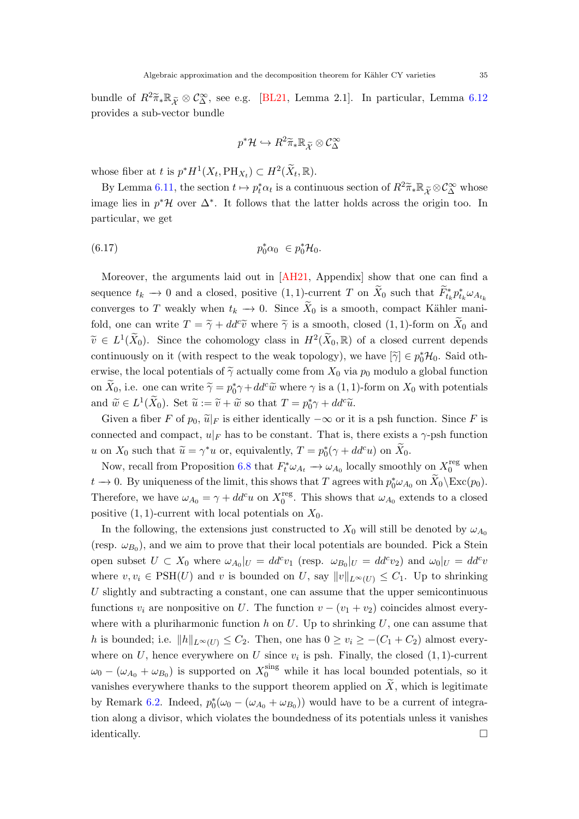<span id="page-34-0"></span>bundle of  $R^2\widetilde{\pi}_* \mathbb{R}_{\widetilde{\mathcal{X}}} \otimes \mathcal{C}_{\Delta}^{\infty}$ , see e.g. [\[BL21,](#page-42-4) Lemma 2.1]. In particular, Lemma [6.12](#page-33-0) provides a sub-vector bundle

$$
p^*\mathcal{H} \hookrightarrow R^2 \widetilde{\pi}_* \mathbb{R}_{\widetilde{\mathcal{X}}} \otimes \mathcal{C}_{\Delta}^{\infty}
$$

whose fiber at t is  $p^*H^1(X_t, \text{PH}_{X_t}) \subset H^2(\widetilde{X}_t, \mathbb{R}).$ 

By Lemma [6.11,](#page-33-1) the section  $t \mapsto p_t^* \alpha_t$  is a continuous section of  $R^2 \widetilde{\pi}_* \mathbb{R}_{\widetilde{\mathcal{X}}} \otimes \mathcal{C}_{\Delta}^{\infty}$  whose image lies in  $p^*\mathcal{H}$  over  $\Delta^*$ . It follows that the latter holds across the origin too. In particular, we get

(6.17) p ∗ <sup>0</sup>α<sup>0</sup> ∈ p ∗ <sup>0</sup>H0.

Moreover, the arguments laid out in [\[AH21,](#page-42-13) Appendix] show that one can find a sequence  $t_k \to 0$  and a closed, positive  $(1,1)$ -current T on  $\widetilde{X}_0$  such that  $\widetilde{F}_{t_k}^* p_{t_k}^* \omega_{A_{t_k}}$ converges to T weakly when  $t_k \to 0$ . Since  $\widetilde{X}_0$  is a smooth, compact Kähler manifold, one can write  $T = \tilde{\gamma} + dd^c \tilde{v}$  where  $\tilde{\gamma}$  is a smooth, closed (1, 1)-form on  $\tilde{X}_0$  and  $\widetilde{v} \in L^1(\widetilde{X}_0)$ . Since the cohomology class in  $H^2(\widetilde{X}_0, \mathbb{R})$  of a closed current depends continuously on it (with respect to the weak topology), we have  $[\tilde{\gamma}] \in p_0^* \mathcal{H}_0$ . Said otherwise, the local potentials of  $\tilde{\gamma}$  actually come from  $X_0$  via  $p_0$  modulo a global function on  $\widetilde{X}_0$ , i.e. one can write  $\widetilde{\gamma} = p_0^* \gamma + dd^c \widetilde{w}$  where  $\gamma$  is a  $(1, 1)$ -form on  $X_0$  with potentials and  $\widetilde{w} \in L^1(\widetilde{X}_0)$ . Set  $\widetilde{u} := \widetilde{v} + \widetilde{w}$  so that  $T = p_0^* \gamma + dd^c \widetilde{u}$ .

Given a fiber F of  $p_0$ ,  $\tilde{u}|_F$  is either identically  $-\infty$  or it is a psh function. Since F is connected and compact,  $u|_F$  has to be constant. That is, there exists a  $\gamma$ -psh function u on  $X_0$  such that  $\widetilde{u} = \gamma^* u$  or, equivalently,  $T = p_0^*(\gamma + dd^c u)$  on  $\widetilde{X}_0$ .

Now, recall from Proposition [6.8](#page-31-7) that  $F_t^* \omega_{A_t} \to \omega_{A_0}$  locally smoothly on  $X_0^{\text{reg}}$  when  $t \to 0$ . By uniqueness of the limit, this shows that T agrees with  $p_0^* \omega_{A_0}$  on  $\widetilde{X}_0 \backslash \text{Exc}(p_0)$ . Therefore, we have  $\omega_{A_0} = \gamma + dd^c u$  on  $X_0^{\text{reg}}$ <sup>reg</sup>. This shows that  $\omega_{A_0}$  extends to a closed positive  $(1, 1)$ -current with local potentials on  $X_0$ .

In the following, the extensions just constructed to  $X_0$  will still be denoted by  $\omega_{A_0}$ (resp.  $\omega_{B_0}$ ), and we aim to prove that their local potentials are bounded. Pick a Stein open subset  $U \subset X_0$  where  $\omega_{A_0}|_U = dd^c v_1$  (resp.  $\omega_{B_0}|_U = dd^c v_2$ ) and  $\omega_0|_U = dd^c v_1$ where  $v, v_i \in \text{PSH}(U)$  and v is bounded on U, say  $||v||_{L^{\infty}(U)} \leq C_1$ . Up to shrinking U slightly and subtracting a constant, one can assume that the upper semicontinuous functions  $v_i$  are nonpositive on U. The function  $v - (v_1 + v_2)$  coincides almost everywhere with a pluriharmonic function  $h$  on  $U$ . Up to shrinking  $U$ , one can assume that h is bounded; i.e.  $||h||_{L^{\infty}(U)} \leq C_2$ . Then, one has  $0 \geq v_i \geq -(C_1 + C_2)$  almost everywhere on U, hence everywhere on U since  $v_i$  is psh. Finally, the closed  $(1, 1)$ -current  $\omega_0 - (\omega_{A_0} + \omega_{B_0})$  is supported on  $X_0^{\text{sing}}$  while it has local bounded potentials, so it vanishes everywhere thanks to the support theorem applied on  $\widetilde{X}$ , which is legitimate by Remark [6.2.](#page-28-4) Indeed,  $p_0^*(\omega_0 - (\omega_{A_0} + \omega_{B_0}))$  would have to be a current of integration along a divisor, which violates the boundedness of its potentials unless it vanishes identically.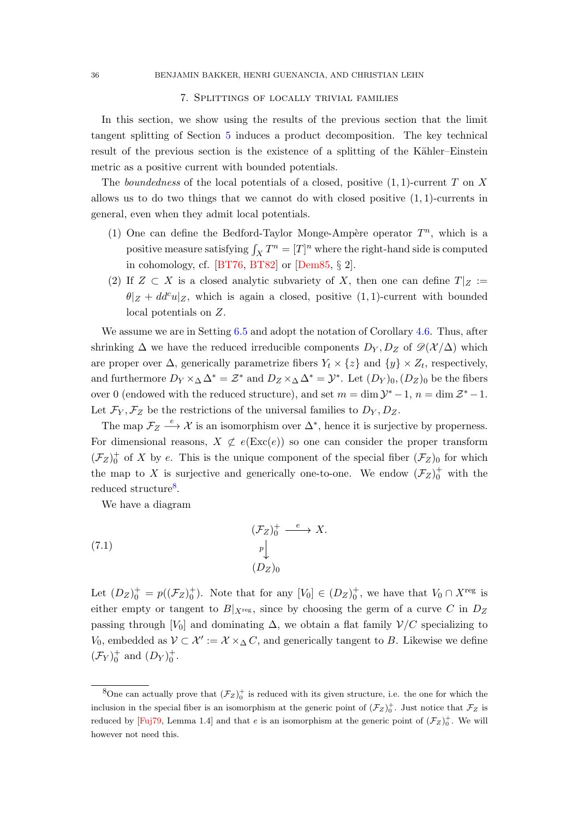# 7. Splittings of locally trivial families

<span id="page-35-3"></span><span id="page-35-0"></span>In this section, we show using the results of the previous section that the limit tangent splitting of Section [5](#page-25-0) induces a product decomposition. The key technical result of the previous section is the existence of a splitting of the Kähler–Einstein metric as a positive current with bounded potentials.

The *boundedness* of the local potentials of a closed, positive  $(1, 1)$ -current T on X allows us to do two things that we cannot do with closed positive  $(1, 1)$ -currents in general, even when they admit local potentials.

- (1) One can define the Bedford-Taylor Monge-Ampère operator  $T^n$ , which is a positive measure satisfying  $\int_X T^n = [T]^n$  where the right-hand side is computed in cohomology, cf. [\[BT76,](#page-42-14) [BT82\]](#page-42-15) or [\[Dem85,](#page-43-15) § 2].
- (2) If  $Z \subset X$  is a closed analytic subvariety of X, then one can define  $T|_Z :=$  $\theta|Z + dd^c u|Z$ , which is again a closed, positive  $(1, 1)$ -current with bounded local potentials on Z.

We assume we are in Setting [6.5](#page-29-0) and adopt the notation of Corollary [4.6.](#page-25-4) Thus, after shrinking  $\Delta$  we have the reduced irreducible components  $D_Y, D_Z$  of  $\mathscr{D}(\mathcal{X}/\Delta)$  which are proper over  $\Delta$ , generically parametrize fibers  $Y_t \times \{z\}$  and  $\{y\} \times Z_t$ , respectively, and furthermore  $D_Y \times_\Delta \Delta^* = \mathcal{Z}^*$  and  $D_Z \times_\Delta \Delta^* = \mathcal{Y}^*$ . Let  $(D_Y)_0, (D_Z)_0$  be the fibers over 0 (endowed with the reduced structure), and set  $m = \dim \mathcal{Y}^* - 1$ ,  $n = \dim \mathcal{Z}^* - 1$ . Let  $\mathcal{F}_Y, \mathcal{F}_Z$  be the restrictions of the universal families to  $D_Y, D_Z$ .

The map  $\mathcal{F}_Z \stackrel{e}{\longrightarrow} \mathcal{X}$  is an isomorphism over  $\Delta^*$ , hence it is surjective by properness. For dimensional reasons,  $X \not\subset e(\text{Exc}(e))$  so one can consider the proper transform  $(\mathcal{F}_Z)_0^+$  of X by e. This is the unique component of the special fiber  $(\mathcal{F}_Z)_0$  for which the map to X is surjective and generically one-to-one. We endow  $(\mathcal{F}_Z)_0^+$  with the reduced structure<sup>[8](#page-35-1)</sup>.

<span id="page-35-2"></span>We have a diagram

(7.1) 
$$
\begin{array}{c}\n(\mathcal{F}_Z)_0^+ \xrightarrow{e} X. \\
p \downarrow \\
(D_Z)_0\n\end{array}
$$

Let  $(D_Z)_0^+ = p((\mathcal{F}_Z)_0^+$ . Note that for any  $[V_0] \in (D_Z)_0^+$ , we have that  $V_0 \cap X^{\text{reg}}$  is either empty or tangent to  $B|_{X^{\text{reg}}}$ , since by choosing the germ of a curve C in  $D_Z$ passing through [V<sub>0</sub>] and dominating  $\Delta$ , we obtain a flat family  $\mathcal{V}/C$  specializing to V<sub>0</sub>, embedded as  $\mathcal{V} \subset \mathcal{X}' := \mathcal{X} \times_{\Delta} C$ , and generically tangent to B. Likewise we define  $(\mathcal{F}_Y)_0^+$  and  $(D_Y)_0^+$ .

<span id="page-35-1"></span><sup>&</sup>lt;sup>8</sup>One can actually prove that  $(\mathcal{F}_Z)^+$  is reduced with its given structure, i.e. the one for which the inclusion in the special fiber is an isomorphism at the generic point of  $(\mathcal{F}_Z)_0^+$ . Just notice that  $\mathcal{F}_Z$  is reduced by [\[Fuj79,](#page-43-7) Lemma 1.4] and that e is an isomorphism at the generic point of  $(\mathcal{F}_Z)_0^+$ . We will however not need this.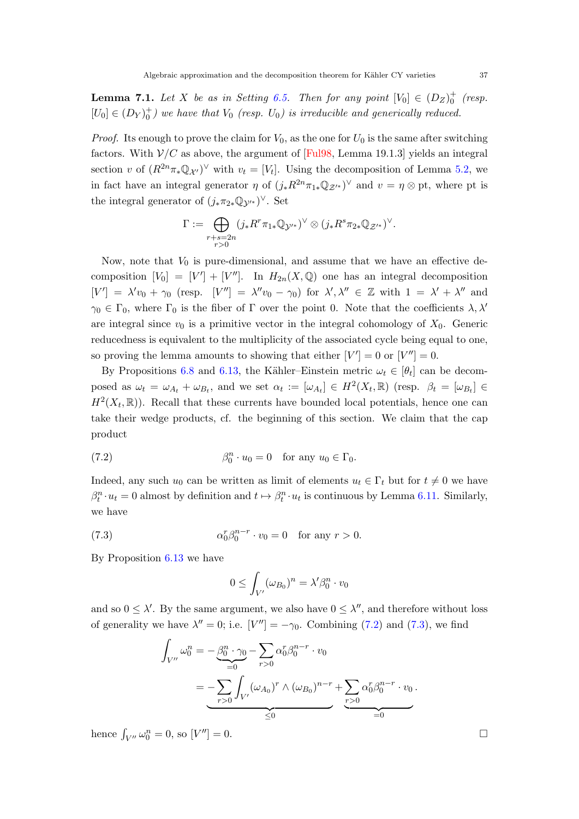<span id="page-36-3"></span><span id="page-36-2"></span>**Lemma 7.1.** Let X be as in Setting [6.5.](#page-29-0) Then for any point  $[V_0] \in (D_Z)_0^+$  (resp.  $[U_0] \in (D_Y)_0^+$  we have that  $V_0$  (resp.  $U_0$ ) is irreducible and generically reduced.

*Proof.* Its enough to prove the claim for  $V_0$ , as the one for  $U_0$  is the same after switching factors. With  $\mathcal{V}/C$  as above, the argument of [\[Ful98,](#page-43-14) Lemma 19.1.3] yields an integral section v of  $(R^{2n}\pi_*\mathbb{Q}_{\mathcal{X}'})^{\vee}$  with  $v_t = [V_t]$ . Using the decomposition of Lemma [5.2,](#page-26-0) we in fact have an integral generator  $\eta$  of  $(j_*R^{2n}\pi_{1*}\mathbb{Q}_{\mathcal{Z}'}^*)^{\vee}$  and  $v = \eta \otimes$  pt, where pt is the integral generator of  $(j_*\pi_{2*}\mathbb{Q}_{\mathcal{Y}'}^*)^{\vee}$ . Set

$$
\Gamma:=\bigoplus_{\substack{r+s=2n\\r>0}}(j_*R^r\pi_{1*}\mathbb{Q}_{\mathcal{Y}'^*})^{\vee}\otimes (j_*R^s\pi_{2*}\mathbb{Q}_{\mathcal{Z}'^*})^{\vee}.
$$

Now, note that  $V_0$  is pure-dimensional, and assume that we have an effective decomposition  $[V_0] = [V'] + [V'']$ . In  $H_{2n}(X, \mathbb{Q})$  one has an integral decomposition  $[V'] = \lambda' v_0 + \gamma_0$  (resp.  $[V''] = \lambda'' v_0 - \gamma_0$ ) for  $\lambda', \lambda'' \in \mathbb{Z}$  with  $1 = \lambda' + \lambda''$  and  $\gamma_0 \in \Gamma_0$ , where  $\Gamma_0$  is the fiber of  $\Gamma$  over the point 0. Note that the coefficients  $\lambda, \lambda'$ are integral since  $v_0$  is a primitive vector in the integral cohomology of  $X_0$ . Generic reducedness is equivalent to the multiplicity of the associated cycle being equal to one, so proving the lemma amounts to showing that either  $|V'| = 0$  or  $|V''| = 0$ .

By Propositions [6.8](#page-31-7) and [6.13,](#page-33-2) the Kähler–Einstein metric  $\omega_t \in [\theta_t]$  can be decomposed as  $\omega_t = \omega_{A_t} + \omega_{B_t}$ , and we set  $\alpha_t := [\omega_{A_t}] \in H^2(X_t, \mathbb{R})$  (resp.  $\beta_t = [\omega_{B_t}] \in$  $H^2(X_t, \mathbb{R})$ ). Recall that these currents have bounded local potentials, hence one can take their wedge products, cf. the beginning of this section. We claim that the cap product

(7.2) 
$$
\beta_0^n \cdot u_0 = 0 \quad \text{for any } u_0 \in \Gamma_0.
$$

Indeed, any such  $u_0$  can be written as limit of elements  $u_t \in \Gamma_t$  but for  $t \neq 0$  we have  $\beta_t^n \cdot u_t = 0$  almost by definition and  $t \mapsto \beta_t^n \cdot u_t$  is continuous by Lemma [6.11.](#page-33-1) Similarly, we have

(7.3) 
$$
\alpha_0^r \beta_0^{n-r} \cdot v_0 = 0 \quad \text{for any } r > 0.
$$

By Proposition [6.13](#page-33-2) we have

<span id="page-36-1"></span><span id="page-36-0"></span>
$$
0 \leq \int_{V'} (\omega_{B_0})^n = \lambda' \beta_0^n \cdot v_0
$$

and so  $0 \leq \lambda'$ . By the same argument, we also have  $0 \leq \lambda''$ , and therefore without loss of generality we have  $\lambda'' = 0$ ; i.e.  $[V''] = -\gamma_0$ . Combining [\(7.2\)](#page-36-0) and [\(7.3\)](#page-36-1), we find

$$
\int_{V''} \omega_0^n = -\underbrace{\beta_0^n \cdot \gamma_0}_{=0} - \sum_{r>0} \alpha_0^r \beta_0^{n-r} \cdot v_0
$$
\n
$$
= -\underbrace{\sum_{r>0} \int_{V'} (\omega_{A_0})^r \wedge (\omega_{B_0})^{n-r}}_{\leq 0} + \underbrace{\sum_{r>0} \alpha_0^r \beta_0^{n-r} \cdot v_0}_{=0}.
$$

hence  $\int_{V''} \omega_0^n = 0$ , so  $[V''] = 0$ .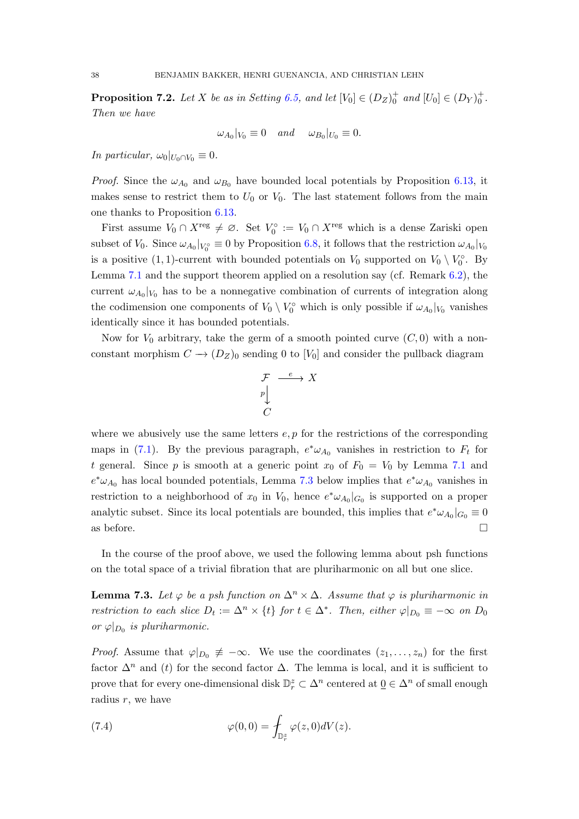<span id="page-37-2"></span>**Proposition 7.2.** Let X be as in Setting [6.5,](#page-29-0) and let  $[V_0] \in (D_Z)_0^+$  and  $[U_0] \in (D_Y)_0^+$ . Then we have

$$
\omega_{A_0}|_{V_0}\equiv 0 \quad and \quad \omega_{B_0}|_{U_0}\equiv 0.
$$

In particular,  $\omega_0|_{U_0 \cap V_0} \equiv 0$ .

*Proof.* Since the  $\omega_{A_0}$  and  $\omega_{B_0}$  have bounded local potentials by Proposition [6.13,](#page-33-2) it makes sense to restrict them to  $U_0$  or  $V_0$ . The last statement follows from the main one thanks to Proposition [6.13.](#page-33-2)

First assume  $V_0 \cap X^{\text{reg}} \neq \emptyset$ . Set  $V_0^{\circ} := V_0 \cap X^{\text{reg}}$  which is a dense Zariski open subset of  $V_0$ . Since  $\omega_{A_0}|_{V_0} \equiv 0$  by Proposition [6.8,](#page-31-7) it follows that the restriction  $\omega_{A_0}|_{V_0}$ is a positive  $(1,1)$ -current with bounded potentials on  $V_0$  supported on  $V_0 \setminus V_0^{\circ}$ . By Lemma [7.1](#page-36-2) and the support theorem applied on a resolution say (cf. Remark [6.2\)](#page-28-4), the current  $\omega_{A_0}|_{V_0}$  has to be a nonnegative combination of currents of integration along the codimension one components of  $V_0 \setminus V_0^{\circ}$  which is only possible if  $\omega_{A_0}|_{V_0}$  vanishes identically since it has bounded potentials.

Now for  $V_0$  arbitrary, take the germ of a smooth pointed curve  $(C, 0)$  with a nonconstant morphism  $C \to (D_Z)_0$  sending 0 to  $[V_0]$  and consider the pullback diagram

$$
\begin{array}{ccc}\n\mathcal{F} & \xrightarrow{e} & X \\
\downarrow & & \\
\downarrow & & \\
C & & \n\end{array}
$$

where we abusively use the same letters  $e, p$  for the restrictions of the corresponding maps in [\(7.1\)](#page-35-2). By the previous paragraph,  $e^*\omega_{A_0}$  vanishes in restriction to  $F_t$  for t general. Since p is smooth at a generic point  $x_0$  of  $F_0 = V_0$  by Lemma [7.1](#page-36-2) and  $e^*\omega_{A_0}$  has local bounded potentials, Lemma [7.3](#page-37-0) below implies that  $e^*\omega_{A_0}$  vanishes in restriction to a neighborhood of  $x_0$  in  $V_0$ , hence  $e^*\omega_{A_0}|_{G_0}$  is supported on a proper analytic subset. Since its local potentials are bounded, this implies that  $e^*\omega_{A_0}|_{G_0} \equiv 0$ as before.  $\Box$ 

In the course of the proof above, we used the following lemma about psh functions on the total space of a trivial fibration that are pluriharmonic on all but one slice.

<span id="page-37-0"></span>**Lemma 7.3.** Let  $\varphi$  be a psh function on  $\Delta^n \times \Delta$ . Assume that  $\varphi$  is pluriharmonic in restriction to each slice  $D_t := \Delta^n \times \{t\}$  for  $t \in \Delta^*$ . Then, either  $\varphi|_{D_0} \equiv -\infty$  on  $D_0$ or  $\varphi|_{D_0}$  is pluriharmonic.

*Proof.* Assume that  $\varphi|_{D_0} \neq -\infty$ . We use the coordinates  $(z_1, \ldots, z_n)$  for the first factor  $\Delta^n$  and (t) for the second factor  $\Delta$ . The lemma is local, and it is sufficient to prove that for every one-dimensional disk  $\mathbb{D}_r^z \subset \Delta^n$  centered at  $\underline{0} \in \Delta^n$  of small enough radius  $r$ , we have

<span id="page-37-1"></span>(7.4) 
$$
\varphi(0,0) = \int_{\mathbb{D}_r^z} \varphi(z,0) dV(z).
$$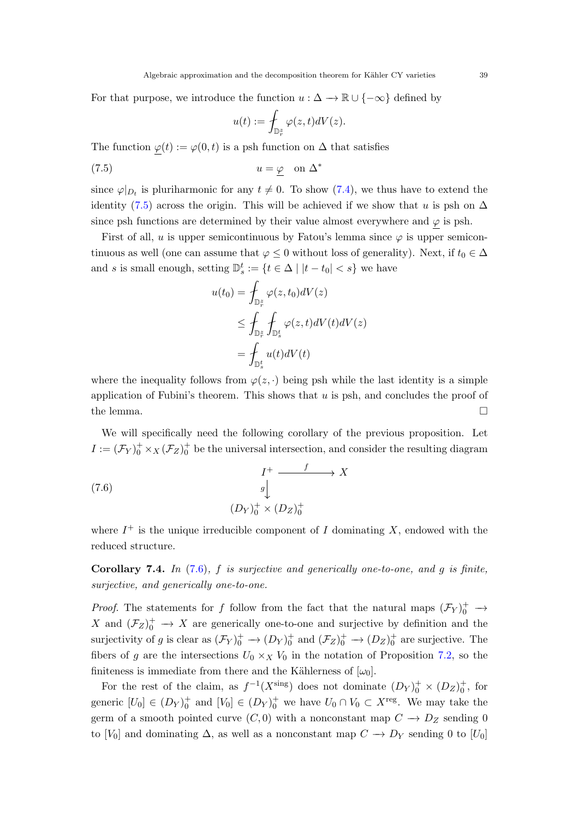For that purpose, we introduce the function  $u : \Delta \to \mathbb{R} \cup \{-\infty\}$  defined by

<span id="page-38-0"></span>
$$
u(t):=\int_{{\mathbb D}_r^z}\varphi(z,t)dV(z).
$$

The function  $\varphi(t) := \varphi(0, t)$  is a psh function on  $\Delta$  that satisfies

$$
(7.5) \t\t u = \varphi \t on \t \Delta^*
$$

since  $\varphi|_{D_t}$  is pluriharmonic for any  $t \neq 0$ . To show [\(7.4\)](#page-37-1), we thus have to extend the identity [\(7.5\)](#page-38-0) across the origin. This will be achieved if we show that u is psh on  $\Delta$ since psh functions are determined by their value almost everywhere and  $\varphi$  is psh.

First of all, u is upper semicontinuous by Fatou's lemma since  $\varphi$  is upper semicontinuous as well (one can assume that  $\varphi \leq 0$  without loss of generality). Next, if  $t_0 \in \Delta$ and s is small enough, setting  $\mathbb{D}_{s}^{t} := \{ t \in \Delta \mid |t - t_{0}| < s \}$  we have

$$
u(t_0) = \int_{\mathbb{D}_r^z} \varphi(z, t_0) dV(z)
$$
  
\n
$$
\leq \int_{\mathbb{D}_r^z} \int_{\mathbb{D}_s^t} \varphi(z, t) dV(t) dV(z)
$$
  
\n
$$
= \int_{\mathbb{D}_s^t} u(t) dV(t)
$$

where the inequality follows from  $\varphi(z, \cdot)$  being psh while the last identity is a simple application of Fubini's theorem. This shows that  $u$  is psh, and concludes the proof of the lemma.  $\Box$ 

We will specifically need the following corollary of the previous proposition. Let  $I := (\mathcal{F}_Y)_0^+ \times_X (\mathcal{F}_Z)_0^+$  be the universal intersection, and consider the resulting diagram

<span id="page-38-1"></span>(7.6) 
$$
\begin{array}{ccc}\nI^+ & \xrightarrow{f} & X \\
g^{\parallel} & & \\
(D_Y)^+_{0} & \times (D_Z)^+_{0}\n\end{array}
$$

where  $I^+$  is the unique irreducible component of I dominating X, endowed with the reduced structure.

<span id="page-38-2"></span>Corollary 7.4. In  $(7.6)$ , f is surjective and generically one-to-one, and g is finite, surjective, and generically one-to-one.

*Proof.* The statements for f follow from the fact that the natural maps  $(\mathcal{F}_Y)_0^+$   $\rightarrow$ X and  $(\mathcal{F}_Z)_0^+$   $\rightarrow$  X are generically one-to-one and surjective by definition and the surjectivity of g is clear as  $(\mathcal{F}_Y)^+_0 \to (D_Y)^+_0$  and  $(\mathcal{F}_Z)^+_0 \to (D_Z)^+_0$  are surjective. The fibers of g are the intersections  $U_0 \times_X V_0$  in the notation of Proposition [7.2,](#page-37-2) so the finiteness is immediate from there and the Kählerness of  $[\omega_0]$ .

For the rest of the claim, as  $f^{-1}(X^{\text{sing}})$  does not dominate  $(D_Y)^+_0 \times (D_Z)^+_0$ , for generic  $[U_0] \in (D_Y)_0^+$  and  $[V_0] \in (D_Y)_0^+$  we have  $U_0 \cap V_0 \subset X^{\text{reg}}$ . We may take the germ of a smooth pointed curve  $(C, 0)$  with a nonconstant map  $C \rightarrow D_Z$  sending 0 to [V<sub>0</sub>] and dominating  $\Delta$ , as well as a nonconstant map  $C \rightarrow D<sub>Y</sub>$  sending 0 to [U<sub>0</sub>]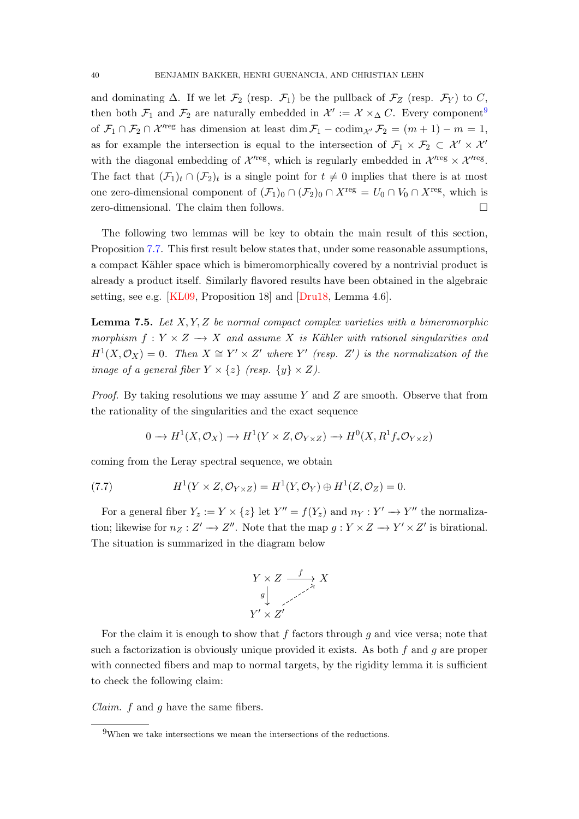<span id="page-39-3"></span>and dominating  $\Delta$ . If we let  $\mathcal{F}_2$  (resp.  $\mathcal{F}_1$ ) be the pullback of  $\mathcal{F}_Z$  (resp.  $\mathcal{F}_Y$ ) to C, then both  $\mathcal{F}_1$  and  $\mathcal{F}_2$  are naturally embedded in  $\mathcal{X}' := \mathcal{X} \times_{\Delta} C$ . Every component<sup>[9](#page-39-0)</sup> of  $\mathcal{F}_1 \cap \mathcal{F}_2 \cap \mathcal{X}'^{reg}$  has dimension at least dim  $\mathcal{F}_1 - \text{codim}_{\mathcal{X}'} \mathcal{F}_2 = (m+1) - m = 1$ , as for example the intersection is equal to the intersection of  $\mathcal{F}_1 \times \mathcal{F}_2 \subset \mathcal{X}' \times \mathcal{X}'$ with the diagonal embedding of  $\mathcal{X}'^{reg}$ , which is regularly embedded in  $\mathcal{X}'^{reg} \times \mathcal{X}'^{reg}$ . The fact that  $(\mathcal{F}_1)_t \cap (\mathcal{F}_2)_t$  is a single point for  $t \neq 0$  implies that there is at most one zero-dimensional component of  $(\mathcal{F}_1)_0 \cap (\mathcal{F}_2)_0 \cap X^{\text{reg}} = U_0 \cap V_0 \cap X^{\text{reg}}$ , which is zero-dimensional. The claim then follows.

The following two lemmas will be key to obtain the main result of this section, Proposition [7.7.](#page-41-1) This first result below states that, under some reasonable assumptions, a compact Kähler space which is bimeromorphically covered by a nontrivial product is already a product itself. Similarly flavored results have been obtained in the algebraic setting, see e.g. [\[KL09,](#page-45-13) Proposition 18] and [\[Dru18,](#page-43-1) Lemma 4.6].

<span id="page-39-2"></span>**Lemma 7.5.** Let  $X, Y, Z$  be normal compact complex varieties with a bimeromorphic morphism  $f: Y \times Z \longrightarrow X$  and assume X is Kähler with rational singularities and  $H^1(X, \mathcal{O}_X) = 0$ . Then  $X \cong Y' \times Z'$  where Y' (resp. Z') is the normalization of the image of a general fiber  $Y \times \{z\}$  (resp.  $\{y\} \times Z$ ).

*Proof.* By taking resolutions we may assume Y and Z are smooth. Observe that from the rationality of the singularities and the exact sequence

<span id="page-39-1"></span>
$$
0 \to H^1(X, \mathcal{O}_X) \to H^1(Y \times Z, \mathcal{O}_{Y \times Z}) \to H^0(X, R^1f_*\mathcal{O}_{Y \times Z})
$$

coming from the Leray spectral sequence, we obtain

(7.7) 
$$
H^1(Y \times Z, \mathcal{O}_{Y \times Z}) = H^1(Y, \mathcal{O}_Y) \oplus H^1(Z, \mathcal{O}_Z) = 0.
$$

For a general fiber  $Y_z := Y \times \{z\}$  let  $Y'' = f(Y_z)$  and  $n_Y : Y' \to Y''$  the normalization; likewise for  $n_Z : Z' \to Z''$ . Note that the map  $g : Y \times Z \to Y' \times Z'$  is birational. The situation is summarized in the diagram below



For the claim it is enough to show that  $f$  factors through  $g$  and vice versa; note that such a factorization is obviously unique provided it exists. As both  $f$  and  $g$  are proper with connected fibers and map to normal targets, by the rigidity lemma it is sufficient to check the following claim:

*Claim.*  $f$  and  $g$  have the same fibers.

<span id="page-39-0"></span> $9$ When we take intersections we mean the intersections of the reductions.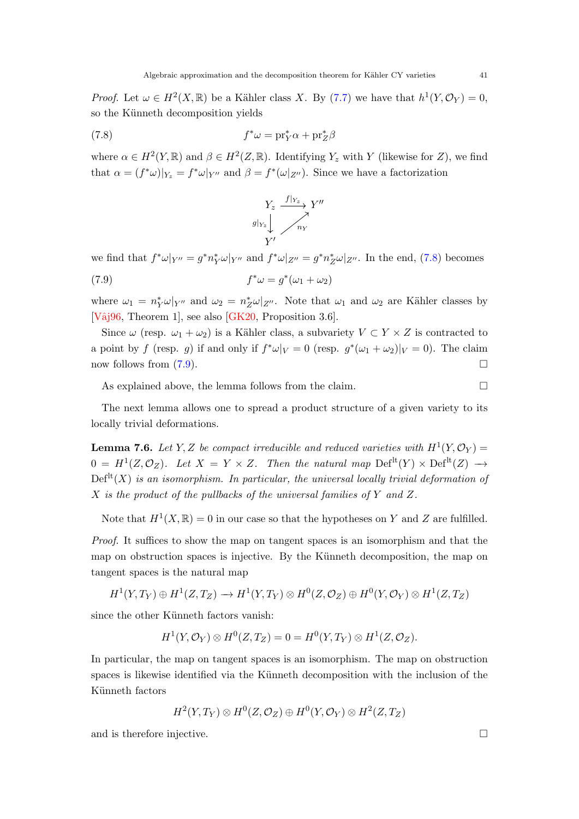<span id="page-40-3"></span>*Proof.* Let  $\omega \in H^2(X,\mathbb{R})$  be a Kähler class X. By [\(7.7\)](#page-39-1) we have that  $h^1(Y,\mathcal{O}_Y)=0$ , so the Künneth decomposition yields

(7.8) 
$$
f^*\omega = \mathrm{pr}_Y^*\alpha + \mathrm{pr}_Z^*\beta
$$

where  $\alpha \in H^2(Y,\mathbb{R})$  and  $\beta \in H^2(Z,\mathbb{R})$ . Identifying  $Y_z$  with Y (likewise for Z), we find that  $\alpha = (f^*\omega)|_{Y_z} = f^*\omega|_{Y''}$  and  $\beta = f^*(\omega|_{Z''})$ . Since we have a factorization

<span id="page-40-1"></span><span id="page-40-0"></span>

we find that  $f^*\omega|_{Y''}=g^*n_Y^*\omega|_{Y''}$  and  $f^*\omega|_{Z''}=g^*n_Z^*\omega|_{Z''}$ . In the end, [\(7.8\)](#page-40-0) becomes

(7.9) 
$$
f^*\omega = g^*(\omega_1 + \omega_2)
$$

where  $\omega_1 = n_Y^* \omega|_{Y''}$  and  $\omega_2 = n_Z^* \omega|_{Z''}$ . Note that  $\omega_1$  and  $\omega_2$  are Kähler classes by [Vâj96, Theorem 1], see also [\[GK20,](#page-44-16) Proposition 3.6].

Since  $\omega$  (resp.  $\omega_1 + \omega_2$ ) is a Kähler class, a subvariety  $V \subset Y \times Z$  is contracted to a point by f (resp. g) if and only if  $f^*\omega|_V = 0$  (resp.  $g^*(\omega_1 + \omega_2)|_V = 0$ ). The claim now follows from  $(7.9)$ .

As explained above, the lemma follows from the claim.

The next lemma allows one to spread a product structure of a given variety to its locally trivial deformations.

<span id="page-40-2"></span>**Lemma 7.6.** Let Y, Z be compact irreducible and reduced varieties with  $H^1(Y, \mathcal{O}_Y) =$  $0 = H^1(Z, \mathcal{O}_Z)$ . Let  $X = Y \times Z$ . Then the natural map  $\text{Def}^{\text{lt}}(Y) \times \text{Def}^{\text{lt}}(Z) \longrightarrow$  $\mathrm{Def}^{\mathrm{lt}}(X)$  is an isomorphism. In particular, the universal locally trivial deformation of  $X$  is the product of the pullbacks of the universal families of  $Y$  and  $Z$ .

Note that  $H^1(X,\mathbb{R})=0$  in our case so that the hypotheses on Y and Z are fulfilled.

Proof. It suffices to show the map on tangent spaces is an isomorphism and that the map on obstruction spaces is injective. By the Künneth decomposition, the map on tangent spaces is the natural map

$$
H^1(Y, T_Y) \oplus H^1(Z, T_Z) \longrightarrow H^1(Y, T_Y) \otimes H^0(Z, \mathcal{O}_Z) \oplus H^0(Y, \mathcal{O}_Y) \otimes H^1(Z, T_Z)
$$

since the other Künneth factors vanish:

$$
H^1(Y, \mathcal{O}_Y) \otimes H^0(Z, T_Z) = 0 = H^0(Y, T_Y) \otimes H^1(Z, \mathcal{O}_Z).
$$

In particular, the map on tangent spaces is an isomorphism. The map on obstruction spaces is likewise identified via the Künneth decomposition with the inclusion of the Künneth factors

 $H^2(Y,T_Y)\otimes H^0(Z,{\mathcal O}_Z)\oplus H^0(Y,{\mathcal O}_Y)\otimes H^2(Z,T_Z)$ 

and is therefore injective.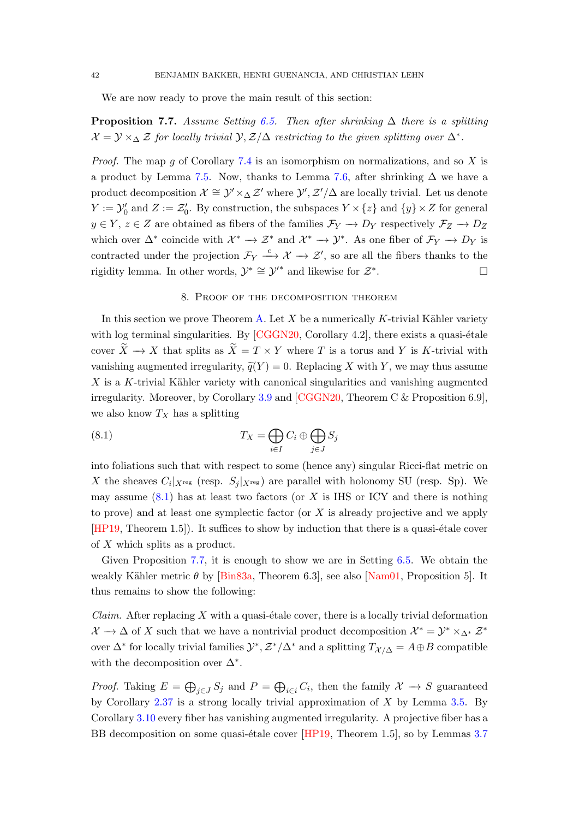<span id="page-41-3"></span>We are now ready to prove the main result of this section:

<span id="page-41-1"></span>**Proposition 7.7.** Assume Setting [6.5.](#page-29-0) Then after shrinking  $\Delta$  there is a splitting  $\mathcal{X} = \mathcal{Y} \times_{\Delta} \mathcal{Z}$  for locally trivial  $\mathcal{Y}, \mathcal{Z}/\Delta$  restricting to the given splitting over  $\Delta^*$ .

*Proof.* The map g of Corollary [7.4](#page-38-2) is an isomorphism on normalizations, and so X is a product by Lemma [7.5.](#page-39-2) Now, thanks to Lemma [7.6,](#page-40-2) after shrinking  $\Delta$  we have a product decomposition  $\mathcal{X} \cong \mathcal{Y}' \times_{\Delta} \mathcal{Z}'$  where  $\mathcal{Y}', \mathcal{Z}'/\Delta$  are locally trivial. Let us denote  $Y := \mathcal{Y}'_0$  and  $Z := \mathcal{Z}'_0$ . By construction, the subspaces  $Y \times \{z\}$  and  $\{y\} \times Z$  for general  $y \in Y$ ,  $z \in Z$  are obtained as fibers of the families  $\mathcal{F}_Y \to D_Y$  respectively  $\mathcal{F}_Z \to D_Z$ which over  $\Delta^*$  coincide with  $\mathcal{X}^* \to \mathcal{Z}^*$  and  $\mathcal{X}^* \to \mathcal{Y}^*$ . As one fiber of  $\mathcal{F}_Y \to D_Y$  is contracted under the projection  $\mathcal{F}_Y \stackrel{e}{\longrightarrow} \mathcal{X} \longrightarrow \mathcal{Z}'$ , so are all the fibers thanks to the rigidity lemma. In other words,  $\mathcal{Y}^* \cong \mathcal{Y}'^*$  and likewise for  $\mathcal{Z}^*$ .

#### <span id="page-41-2"></span>8. Proof of the decomposition theorem

<span id="page-41-0"></span>In this section we prove Theorem [A.](#page-0-1) Let X be a numerically K-trivial Kähler variety with log terminal singularities. By  $[CGGN20, Corollary 4.2]$ , there exists a quasi-étale cover  $\widetilde{X} \to X$  that splits as  $\widetilde{X} = T \times Y$  where T is a torus and Y is K-trivial with vanishing augmented irregularity,  $\tilde{q}(Y) = 0$ . Replacing X with Y, we may thus assume  $X$  is a K-trivial Kähler variety with canonical singularities and vanishing augmented irregularity. Moreover, by Corollary [3.9](#page-20-2) and [\[CGGN20,](#page-43-12) Theorem C & Proposition 6.9], we also know  $T_X$  has a splitting

(8.1) 
$$
T_X = \bigoplus_{i \in I} C_i \oplus \bigoplus_{j \in J} S_j
$$

into foliations such that with respect to some (hence any) singular Ricci-flat metric on X the sheaves  $C_i|_{X^{\text{reg}}}$  (resp.  $S_j|_{X^{\text{reg}}}$ ) are parallel with holonomy SU (resp. Sp). We may assume  $(8.1)$  has at least two factors (or X is IHS or ICY and there is nothing to prove) and at least one symplectic factor (or X is already projective and we apply  $[HP19, Theorem 1.5]$  $[HP19, Theorem 1.5]$ . It suffices to show by induction that there is a quasi-etale cover of X which splits as a product.

Given Proposition [7.7,](#page-41-1) it is enough to show we are in Setting [6.5.](#page-29-0) We obtain the weakly Kähler metric  $\theta$  by [\[Bin83a,](#page-42-8) Theorem 6.3], see also [\[Nam01,](#page-45-15) Proposition 5]. It thus remains to show the following:

*Claim.* After replacing X with a quasi-etale cover, there is a locally trivial deformation  $\mathcal{X} \to \Delta$  of X such that we have a nontrivial product decomposition  $\mathcal{X}^* = \mathcal{Y}^* \times_{\Delta^*} \mathcal{Z}^*$ over  $\Delta^*$  for locally trivial families  $\mathcal{Y}^*, \mathcal{Z}^*/\Delta^*$  and a splitting  $T_{\mathcal{X}/\Delta} = A \oplus B$  compatible with the decomposition over  $\Delta^*$ .

*Proof.* Taking  $E = \bigoplus_{j \in J} S_j$  and  $P = \bigoplus_{i \in i} C_i$ , then the family  $\mathcal{X} \to S$  guaranteed by Corollary  $2.37$  is a strong locally trivial approximation of X by Lemma [3.5.](#page-19-0) By Corollary [3.10](#page-21-1) every fiber has vanishing augmented irregularity. A projective fiber has a BB decomposition on some quasi-étale cover  $[HP19,$  Theorem 1.5], so by Lemmas [3.7](#page-20-0)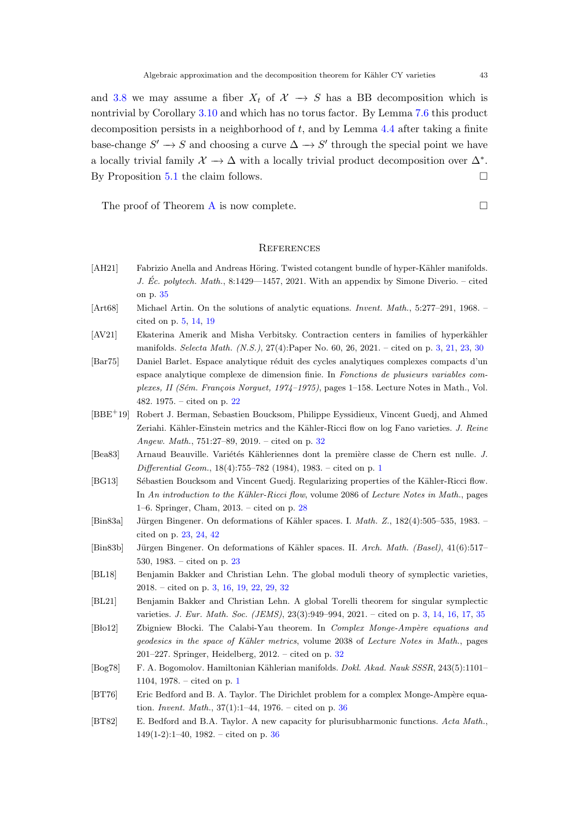and [3.8](#page-20-1) we may assume a fiber  $X_t$  of  $\mathcal{X} \to S$  has a BB decomposition which is nontrivial by Corollary [3.10](#page-21-1) and which has no torus factor. By Lemma [7.6](#page-40-2) this product decomposition persists in a neighborhood of  $t$ , and by Lemma [4.4](#page-23-0) after taking a finite base-change  $S' \to S$  and choosing a curve  $\Delta \to S'$  through the special point we have a locally trivial family  $\mathcal{X} \to \Delta$  with a locally trivial product decomposition over  $\Delta^*$ . By Proposition [5.1](#page-25-3) the claim follows.

The proof of Theorem [A](#page-0-1) is now complete.  $\Box$ 

#### <span id="page-42-0"></span>**REFERENCES**

- <span id="page-42-13"></span>[AH21] Fabrizio Anella and Andreas Höring. Twisted cotangent bundle of hyper-Kähler manifolds. J. Éc. polytech. Math., 8:1429—1457, 2021. With an appendix by Simone Diverio. – cited on p. [35](#page-34-0)
- <span id="page-42-6"></span>[Art68] Michael Artin. On the solutions of analytic equations. Invent. Math., 5:277–291, 1968. – cited on p. [5,](#page-4-2) [14,](#page-13-1) [19](#page-18-2)
- <span id="page-42-3"></span>[AV21] Ekaterina Amerik and Misha Verbitsky. Contraction centers in families of hyperkähler manifolds. Selecta Math. (N.S.), 27(4):Paper No. 60, 26, 2021. – cited on p. [3,](#page-2-0) [21,](#page-20-3) [23,](#page-22-2) [30](#page-29-4)
- <span id="page-42-7"></span>[Bar75] Daniel Barlet. Espace analytique réduit des cycles analytiques complexes compacts d'un espace analytique complexe de dimension finie. In Fonctions de plusieurs variables complexes, II (Sém. François Norguet, 1974–1975), pages  $1-158$ . Lecture Notes in Math., Vol. 482. 1975. – cited on p. [22](#page-21-2)
- <span id="page-42-11"></span>[BBE<sup>+</sup>19] Robert J. Berman, Sebastien Boucksom, Philippe Eyssidieux, Vincent Guedj, and Ahmed Zeriahi. Kähler-Einstein metrics and the Kähler-Ricci flow on log Fano varieties. J. Reine Angew. Math., 751:27–89, 2019. – cited on p. [32](#page-31-8)
- <span id="page-42-2"></span>[Bea83] Arnaud Beauville. Variétés Kähleriennes dont la première classe de Chern est nulle. J. Differential Geom., 18(4):755–782 (1984), 1983. – cited on p. [1](#page-0-2)
- <span id="page-42-10"></span>[BG13] Sébastien Boucksom and Vincent Guedj. Regularizing properties of the Kähler-Ricci flow. In An introduction to the Kähler-Ricci flow, volume 2086 of Lecture Notes in Math., pages 1–6. Springer, Cham, 2013. – cited on p. [28](#page-27-2)
- <span id="page-42-8"></span>[Bin83a] Jürgen Bingener. On deformations of Kähler spaces. I. *Math. Z.*, 182(4):505–535, 1983. – cited on p. [23,](#page-22-2) [24,](#page-23-1) [42](#page-41-3)
- <span id="page-42-9"></span>[Bin83b] Jürgen Bingener. On deformations of Kähler spaces. II. Arch. Math. (Basel), 41(6):517– 530, 1983. – cited on p. [23](#page-22-2)
- <span id="page-42-5"></span>[BL18] Benjamin Bakker and Christian Lehn. The global moduli theory of symplectic varieties, 2018. – cited on p. [3,](#page-2-0) [16,](#page-15-3) [19,](#page-18-2) [22,](#page-21-2) [29,](#page-28-5) [32](#page-31-8)
- <span id="page-42-4"></span>[BL21] Benjamin Bakker and Christian Lehn. A global Torelli theorem for singular symplectic varieties. J. Eur. Math. Soc. (JEMS), 23(3):949–994, 2021. – cited on p. [3,](#page-2-0) [14,](#page-13-1) [16,](#page-15-3) [17,](#page-16-1) [35](#page-34-0)
- <span id="page-42-12"></span>[Blo12] Zbigniew Blocki. The Calabi-Yau theorem. In *Complex Monge-Ampère equations and* geodesics in the space of Kähler metrics, volume 2038 of Lecture Notes in Math., pages 201–227. Springer, Heidelberg, 2012. – cited on p. [32](#page-31-8)
- <span id="page-42-1"></span>[Bog78] F. A. Bogomolov. Hamiltonian K¨ahlerian manifolds. Dokl. Akad. Nauk SSSR, 243(5):1101– 1104, 1978. – cited on p. [1](#page-0-2)
- <span id="page-42-14"></span>[BT76] Eric Bedford and B. A. Taylor. The Dirichlet problem for a complex Monge-Ampère equation. *Invent. Math.*,  $37(1)$ :1-44, 1976. – cited on p.  $36$
- <span id="page-42-15"></span>[BT82] E. Bedford and B.A. Taylor. A new capacity for plurisubharmonic functions. Acta Math.,  $149(1-2):1-40$ ,  $1982.$  – cited on p. [36](#page-35-3)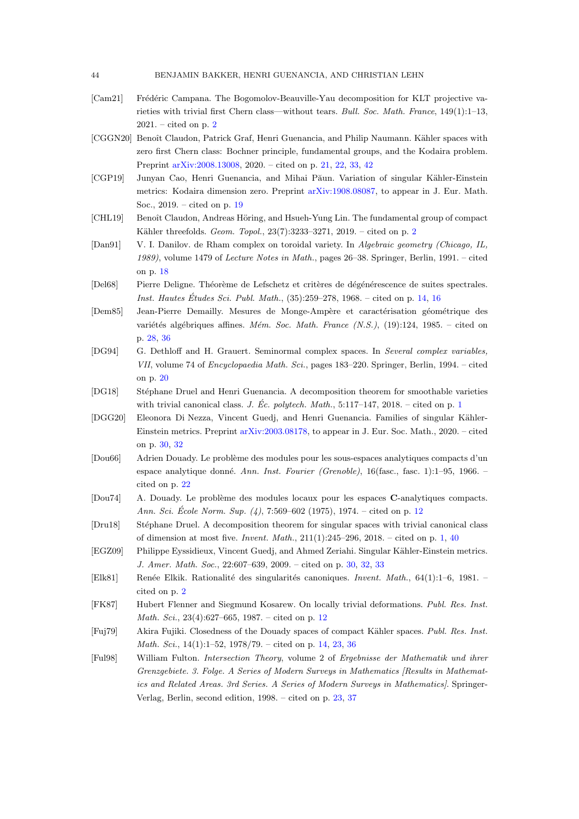- <span id="page-43-3"></span>[Cam21] Frédéric Campana. The Bogomolov-Beauville-Yau decomposition for KLT projective varieties with trivial first Chern class—without tears. Bull. Soc. Math. France, 149(1):1–13,  $2021. - \text{cited on } p. 2$  $2021. - \text{cited on } p. 2$
- <span id="page-43-12"></span>[CGGN20] Benoît Claudon, Patrick Graf, Henri Guenancia, and Philip Naumann. Kähler spaces with zero first Chern class: Bochner principle, fundamental groups, and the Kodaira problem. Preprint [arXiv:2008.13008,](http://arxiv.org/abs/2008.13008) 2020. – cited on p. [21,](#page-20-3) [22,](#page-21-2) [33,](#page-32-1) [42](#page-41-3)
- <span id="page-43-10"></span>[CGP19] Junyan Cao, Henri Guenancia, and Mihai Păun. Variation of singular Kähler-Einstein metrics: Kodaira dimension zero. Preprint [arXiv:1908.08087,](http://arxiv.org/abs/1908.08087) to appear in J. Eur. Math. Soc., 2019. – cited on p. [19](#page-18-2)
- <span id="page-43-4"></span>[CHL19] Benoît Claudon, Andreas Höring, and Hsueh-Yung Lin. The fundamental group of compact Kähler threefolds. Geom. Topol., [2](#page-1-3)3(7):3233-3271, 2019. - cited on p. 2
- <span id="page-43-9"></span>[Dan91] V. I. Danilov. de Rham complex on toroidal variety. In Algebraic geometry (Chicago, IL, 1989), volume 1479 of Lecture Notes in Math., pages 26–38. Springer, Berlin, 1991. – cited on p. [18](#page-17-1)
- <span id="page-43-8"></span>[Del68] Pierre Deligne. Théorème de Lefschetz et critères de dégénérescence de suites spectrales. Inst. Hautes Études Sci. Publ. Math., (35):259–278, 1968. – cited on p. [14,](#page-13-1) [16](#page-15-3)
- <span id="page-43-15"></span>[Dem85] Jean-Pierre Demailly. Mesures de Monge-Ampère et caractérisation géométrique des variétés algébriques affines. Mém. Soc. Math. France  $(N.S.),$  (19):124, 1985. – cited on p. [28,](#page-27-2) [36](#page-35-3)
- <span id="page-43-11"></span>[DG94] G. Dethloff and H. Grauert. Seminormal complex spaces. In Several complex variables, VII, volume 74 of Encyclopaedia Math. Sci., pages 183–220. Springer, Berlin, 1994. – cited on p. [20](#page-19-1)
- <span id="page-43-0"></span>[DG18] Stéphane Druel and Henri Guenancia. A decomposition theorem for smoothable varieties with trivial canonical class. J. Éc. polytech. Math.,  $5:117-147$  $5:117-147$  $5:117-147$ ,  $2018.$  – cited on p. 1
- <span id="page-43-17"></span>[DGG20] Eleonora Di Nezza, Vincent Guedj, and Henri Guenancia. Families of singular Kähler-Einstein metrics. Preprint [arXiv:2003.08178,](http://arxiv.org/abs/2003.08178) to appear in J. Eur. Soc. Math., 2020. – cited on p. [30,](#page-29-4) [32](#page-31-8)
- <span id="page-43-13"></span>[Dou66] Adrien Douady. Le problème des modules pour les sous-espaces analytiques compacts d'un espace analytique donné. Ann. Inst. Fourier (Grenoble), 16(fasc., fasc. 1):1–95, 1966. – cited on p. [22](#page-21-2)
- <span id="page-43-5"></span>[Dou74] A. Douady. Le problème des modules locaux pour les espaces C-analytiques compacts. Ann. Sci. École Norm. Sup.  $(4)$ , 7:569–602 (1975), 1974. – cited on p. [12](#page-11-2)
- <span id="page-43-1"></span>[Dru18] Stéphane Druel. A decomposition theorem for singular spaces with trivial canonical class of dimension at most five. *Invent. Math.*,  $211(1):245-296$ ,  $2018.$  – cited on p. [1,](#page-0-2) [40](#page-39-3)
- <span id="page-43-16"></span>[EGZ09] Philippe Eyssidieux, Vincent Guedj, and Ahmed Zeriahi. Singular Kähler-Einstein metrics. J. Amer. Math. Soc., 22:607–639, 2009. – cited on p. [30,](#page-29-4) [32,](#page-31-8) [33](#page-32-1)
- <span id="page-43-2"></span>[Elk81] Renée Elkik. Rationalité des singularités canoniques. Invent. Math., 64(1):1–6, 1981. – cited on p. [2](#page-1-3)
- <span id="page-43-6"></span>[FK87] Hubert Flenner and Siegmund Kosarew. On locally trivial deformations. Publ. Res. Inst. Math. Sci., 23(4):627–665, 1987. – cited on p. [12](#page-11-2)
- <span id="page-43-7"></span>[Fuj79] Akira Fujiki. Closedness of the Douady spaces of compact K¨ahler spaces. Publ. Res. Inst. *Math. Sci.*,  $14(1):1-52$ ,  $1978/79$ . – cited on p. [14,](#page-13-1) [23,](#page-22-2) [36](#page-35-3)
- <span id="page-43-14"></span>[Ful98] William Fulton. Intersection Theory, volume 2 of Ergebnisse der Mathematik und ihrer Grenzgebiete. 3. Folge. A Series of Modern Surveys in Mathematics [Results in Mathematics and Related Areas. 3rd Series. A Series of Modern Surveys in Mathematics]. Springer-Verlag, Berlin, second edition, 1998. – cited on p. [23,](#page-22-2) [37](#page-36-3)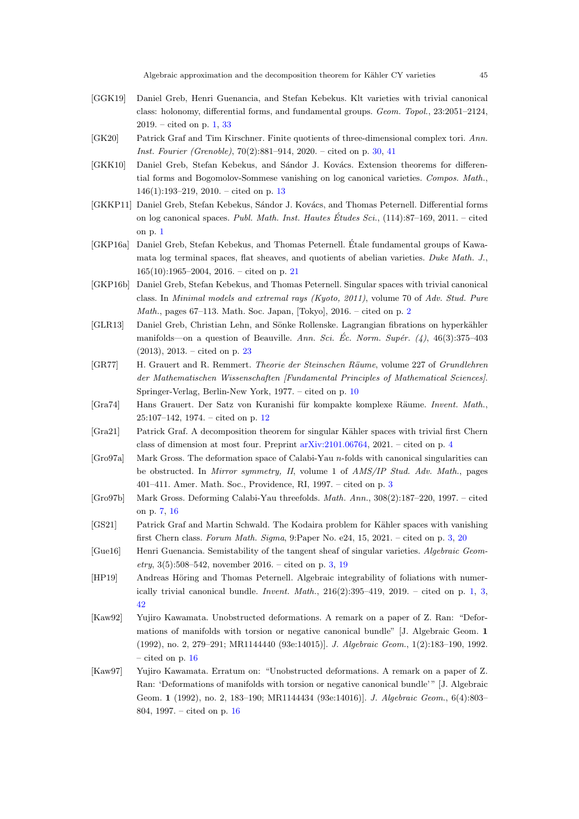- <span id="page-44-1"></span>[GGK19] Daniel Greb, Henri Guenancia, and Stefan Kebekus. Klt varieties with trivial canonical class: holonomy, differential forms, and fundamental groups. Geom. Topol., 23:2051–2124,  $2019. -$  cited on p. [1,](#page-0-2)  $33$
- <span id="page-44-16"></span>[GK20] Patrick Graf and Tim Kirschner. Finite quotients of three-dimensional complex tori. Ann. Inst. Fourier (Grenoble), 70(2):881–914, 2020. – cited on p. [30,](#page-29-4) [41](#page-40-3)
- <span id="page-44-11"></span>[GKK10] Daniel Greb, Stefan Kebekus, and Sándor J. Kovács. Extension theorems for differential forms and Bogomolov-Sommese vanishing on log canonical varieties. Compos. Math., 146(1):193–219, 2010. – cited on p. [13](#page-12-2)
- <span id="page-44-0"></span>[GKKP11] Daniel Greb, Stefan Kebekus, Sándor J. Kovács, and Thomas Peternell. Differential forms on log canonical spaces. Publ. Math. Inst. Hautes Études Sci.,  $(114):87-169$ ,  $2011. -$  cited on p. [1](#page-0-2)
- <span id="page-44-14"></span>[GKP16a] Daniel Greb, Stefan Kebekus, and Thomas Peternell. Etale fundamental groups of Kawa- ´ mata log terminal spaces, flat sheaves, and quotients of abelian varieties. Duke Math. J., 165(10):1965–2004, 2016. – cited on p. [21](#page-20-3)
- <span id="page-44-3"></span>[GKP16b] Daniel Greb, Stefan Kebekus, and Thomas Peternell. Singular spaces with trivial canonical class. In Minimal models and extremal rays (Kyoto, 2011), volume 70 of Adv. Stud. Pure *Math.*, pages 67–113. Math. Soc. Japan, [Tokyo], [2](#page-1-3)016. – cited on p. 2
- <span id="page-44-15"></span>[GLR13] Daniel Greb, Christian Lehn, and Sönke Rollenske. Lagrangian fibrations on hyperkähler manifolds—on a question of Beauville. Ann. Sci. Éc. Norm. Supér.  $(4)$ , 46(3):375–403 (2013), 2013. – cited on p. [23](#page-22-2)
- <span id="page-44-9"></span>[GR77] H. Grauert and R. Remmert. Theorie der Steinschen Räume, volume 227 of Grundlehren der Mathematischen Wissenschaften [Fundamental Principles of Mathematical Sciences]. Springer-Verlag, Berlin-New York, 1977. – cited on p. [10](#page-9-0)
- <span id="page-44-10"></span>[Gra74] Hans Grauert. Der Satz von Kuranishi für kompakte komplexe Räume. Invent. Math., 25:107–142, 1974. – cited on p. [12](#page-11-2)
- <span id="page-44-7"></span>[Gra21] Patrick Graf. A decomposition theorem for singular Kähler spaces with trivial first Chern class of dimension at most four. Preprint [arXiv:2101.06764,](http://arxiv.org/abs/2101.06764) 2021. – cited on p. [4](#page-3-0)
- <span id="page-44-5"></span>[Gro97a] Mark Gross. The deformation space of Calabi-Yau n-folds with canonical singularities can be obstructed. In Mirror symmetry, II, volume 1 of AMS/IP Stud. Adv. Math., pages 401–411. Amer. Math. Soc., Providence, RI, 1997. – cited on p. [3](#page-2-0)
- <span id="page-44-8"></span>[Gro97b] Mark Gross. Deforming Calabi-Yau threefolds. Math. Ann., 308(2):187–220, 1997. – cited on p. [7,](#page-6-4) [16](#page-15-3)
- <span id="page-44-4"></span>[GS21] Patrick Graf and Martin Schwald. The Kodaira problem for Kähler spaces with vanishing first Chern class. Forum Math. Sigma, 9:Paper No. e24, 15, 2021. – cited on p. [3,](#page-2-0) [20](#page-19-1)
- <span id="page-44-6"></span>[Gue16] Henri Guenancia. Semistability of the tangent sheaf of singular varieties. Algebraic Geom- $\text{etry}, 3(5):508-542$ , november 2016. – cited on p. [3,](#page-2-0) [19](#page-18-2)
- <span id="page-44-2"></span>[HP19] Andreas Höring and Thomas Peternell. Algebraic integrability of foliations with numerically trivial canonical bundle. Invent. Math.,  $216(2):395-419$ ,  $2019$ . – cited on p. [1,](#page-0-2) [3,](#page-2-0) [42](#page-41-3)
- <span id="page-44-12"></span>[Kaw92] Yujiro Kawamata. Unobstructed deformations. A remark on a paper of Z. Ran: "Deformations of manifolds with torsion or negative canonical bundle" [J. Algebraic Geom. 1 (1992), no. 2, 279–291; MR1144440 (93e:14015)]. J. Algebraic Geom., 1(2):183–190, 1992. – cited on p. [16](#page-15-3)
- <span id="page-44-13"></span>[Kaw97] Yujiro Kawamata. Erratum on: "Unobstructed deformations. A remark on a paper of Z. Ran: 'Deformations of manifolds with torsion or negative canonical bundle'" [J. Algebraic Geom. 1 (1992), no. 2, 183–190; MR1144434 (93e:14016)]. J. Algebraic Geom., 6(4):803– 804, 1997. – cited on p. [16](#page-15-3)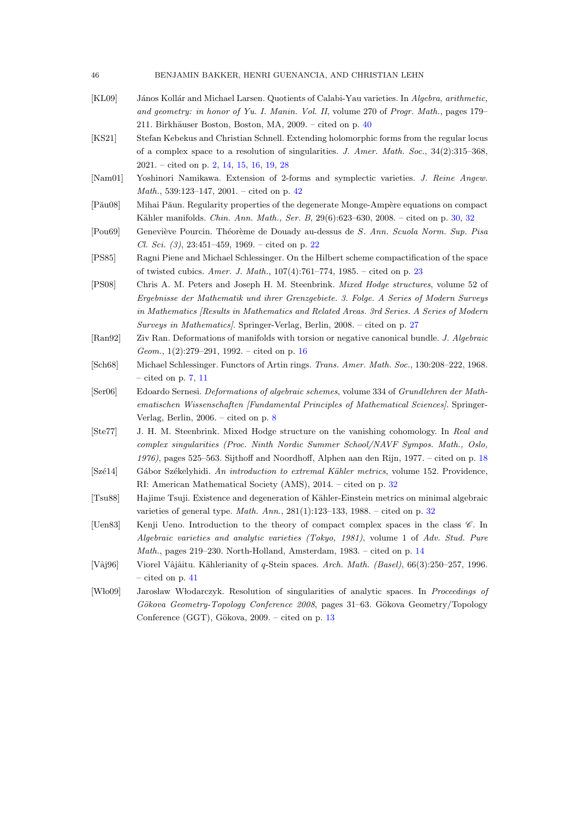| BENJAMIN BAKKER, HENRI GUENANCIA, AND CHRISTIAN LEHN<br>46 |  |
|------------------------------------------------------------|--|
|------------------------------------------------------------|--|

- <span id="page-45-13"></span>[KL09] János Kollár and Michael Larsen. Quotients of Calabi-Yau varieties. In Algebra, arithmetic, and geometry: in honor of Yu. I. Manin. Vol. II, volume 270 of Progr. Math., pages 179– 211. Birkhäuser Boston, Boston, MA,  $2009. -$  cited on p.  $40$
- <span id="page-45-0"></span>[KS21] Stefan Kebekus and Christian Schnell. Extending holomorphic forms from the regular locus of a complex space to a resolution of singularities. J. Amer. Math. Soc., 34(2):315–368, 2021. – cited on p. [2,](#page-1-3) [14,](#page-13-1) [15,](#page-14-4) [16,](#page-15-3) [19,](#page-18-2) [28](#page-27-2)
- <span id="page-45-15"></span>[Nam01] Yoshinori Namikawa. Extension of 2-forms and symplectic varieties. J. Reine Angew. Math., 539:123–147, 2001. – cited on p. [42](#page-41-3)
- <span id="page-45-10"></span>[Pău08] Mihai Păun. Regularity properties of the degenerate Monge-Ampère equations on compact Kähler manifolds. Chin. Ann. Math., Ser. B, 29(6):623-6[30,](#page-29-4) 2008. – cited on p. 30, [32](#page-31-8)
- <span id="page-45-7"></span>[Pou69] Geneviève Pourcin. Théorème de Douady au-dessus de S. Ann. Scuola Norm. Sup. Pisa Cl. Sci. (3), 23:451–459, 1969. – cited on p. [22](#page-21-2)
- <span id="page-45-8"></span>[PS85] Ragni Piene and Michael Schlessinger. On the Hilbert scheme compactification of the space of twisted cubics. Amer. J. Math., 107(4):761–774, 1985. – cited on p. [23](#page-22-2)
- <span id="page-45-9"></span>[PS08] Chris A. M. Peters and Joseph H. M. Steenbrink. Mixed Hodge structures, volume 52 of Ergebnisse der Mathematik und ihrer Grenzgebiete. 3. Folge. A Series of Modern Surveys in Mathematics [Results in Mathematics and Related Areas. 3rd Series. A Series of Modern Surveys in Mathematics]. Springer-Verlag, Berlin, 2008. – cited on p. [27](#page-26-3)
- <span id="page-45-5"></span>[Ran92] Ziv Ran. Deformations of manifolds with torsion or negative canonical bundle. J. Algebraic Geom., 1(2):279–291, 1992. – cited on p. [16](#page-15-3)
- <span id="page-45-1"></span>[Sch68] Michael Schlessinger. Functors of Artin rings. Trans. Amer. Math. Soc., 130:208–222, 1968. – cited on p. [7,](#page-6-4) [11](#page-10-2)
- <span id="page-45-2"></span>[Ser06] Edoardo Sernesi. Deformations of algebraic schemes, volume 334 of Grundlehren der Mathematischen Wissenschaften [Fundamental Principles of Mathematical Sciences]. Springer-Verlag, Berlin, 2006. – cited on p. [8](#page-7-2)
- <span id="page-45-6"></span>[Ste77] J. H. M. Steenbrink. Mixed Hodge structure on the vanishing cohomology. In Real and complex singularities (Proc. Ninth Nordic Summer School/NAVF Sympos. Math., Oslo, 1976), pages 525–563. Sijthoff and Noordhoff, Alphen aan den Rijn, 1977. – cited on p. [18](#page-17-1)
- <span id="page-45-12"></span>[Szé14] Gábor Székelyhidi. An introduction to extremal Kähler metrics, volume 152. Providence, RI: American Mathematical Society (AMS), 2014. – cited on p. [32](#page-31-8)
- <span id="page-45-11"></span>[Tsu88] Hajime Tsuji. Existence and degeneration of K¨ahler-Einstein metrics on minimal algebraic varieties of general type. Math. Ann.,  $281(1):123-133$ ,  $1988$ . – cited on p.  $32$
- <span id="page-45-4"></span>[Uen83] Kenji Ueno. Introduction to the theory of compact complex spaces in the class  $\mathscr{C}$ . In Algebraic varieties and analytic varieties (Tokyo, 1981), volume 1 of Adv. Stud. Pure *Math.*, pages 219–230. North-Holland, Amsterdam, 1983. – cited on p. [14](#page-13-1)
- <span id="page-45-14"></span>[Vâj96] Viorel Vâjâitu. Kählerianity of q-Stein spaces. Arch. Math. (Basel), 66(3):250–257, 1996. – cited on p. [41](#page-40-3)
- <span id="page-45-3"></span>[Wło09] Jarosław Włodarczyk. Resolution of singularities of analytic spaces. In Proceedings of Gökova Geometry-Topology Conference 2008, pages 31–63. Gökova Geometry/Topology Conference (GGT), Gökova,  $2009. -$  cited on p. [13](#page-12-2)